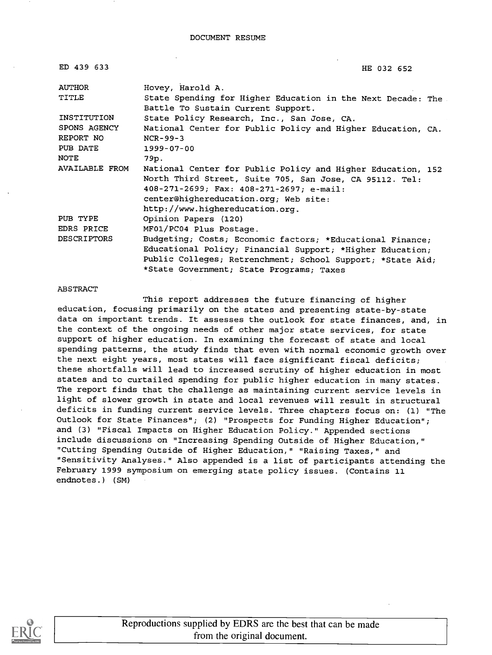| ED 439 633            | HE 032 652                                                                                        |
|-----------------------|---------------------------------------------------------------------------------------------------|
| AUTHOR                | Hovey, Harold A.                                                                                  |
| TITLE                 | State Spending for Higher Education in the Next Decade: The<br>Battle To Sustain Current Support. |
| INSTITUTION           | State Policy Research, Inc., San Jose, CA.                                                        |
| SPONS AGENCY          | National Center for Public Policy and Higher Education, CA.                                       |
| REPORT NO             | $NCR-99-3$                                                                                        |
| PUB DATE              | 1999-07-00                                                                                        |
| <b>NOTE</b>           | 79p.                                                                                              |
| <b>AVAILABLE FROM</b> | National Center for Public Policy and Higher Education, 152                                       |
|                       | North Third Street, Suite 705, San Jose, CA 95112. Tel:                                           |
|                       | 408-271-2699; Fax: 408-271-2697; e-mail:                                                          |
|                       | center@highereducation.org; Web site:                                                             |
|                       | http://www.highereducation.org.                                                                   |
| PUB TYPE              | Opinion Papers (120)                                                                              |
| EDRS PRICE            | MF01/PC04 Plus Postage.                                                                           |
| <b>DESCRIPTORS</b>    | Budgeting; Costs; Economic factors; *Educational Finance;                                         |
|                       | Educational Policy; Financial Support; *Higher Education;                                         |
|                       | Public Colleges; Retrenchment; School Support; *State Aid;                                        |
|                       | *State Government; State Programs; Taxes                                                          |

#### ABSTRACT

This report addresses the future financing of higher education, focusing primarily on the states and presenting state-by-state data on important trends. It assesses the outlook for state finances, and, in the context of the ongoing needs of other major state services, for state support of higher education. In examining the forecast of state and local spending patterns, the study finds that even with normal economic growth over the next eight years, most states will face significant fiscal deficits; these shortfalls will lead to increased scrutiny of higher education in most states and to curtailed spending for public higher education in many states. The report finds that the challenge as maintaining current service levels in light of slower growth in state and local revenues will result in structural deficits in funding current service levels. Three chapters focus on: (1) "The Outlook for State Finances"; (2) "Prospects for Funding Higher Education"; and (3) "Fiscal Impacts on Higher Education Policy." Appended sections include discussions on "Increasing Spending Outside of Higher Education," "Cutting Spending Outside of Higher Education," "Raising Taxes," and "Sensitivity Analyses." Also appended is a list of participants attending the February 1999 symposium on emerging state policy issues. (Contains 11 endnotes.) (SM)

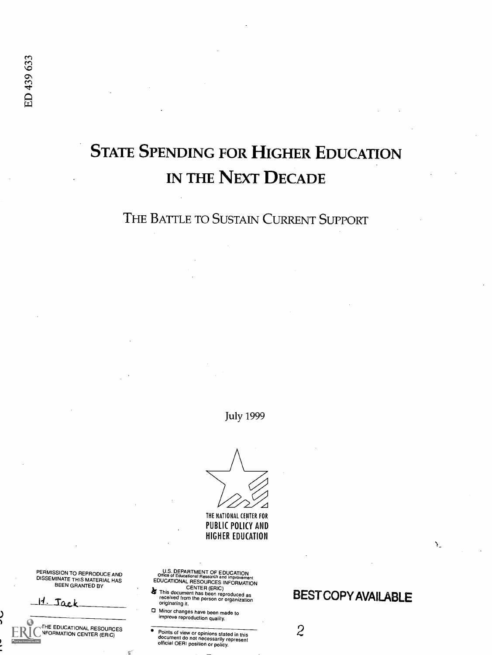# STATE SPENDING FOR HIGHER EDUCATION

# IN THE NEXT DECADE

THE BATTLE TO SUSTAIN CURRENT SUPPORT

July 1999

THE NATIONAL (ENTER FOR PUBLIC POLICY AND HIGHER EDUCATION

U.S. DEPARTMENT OF EDUCATION<br>Office of Educational Research and Improvement<br>EDUCATIONAL RESOURCES INFORMATION

PERMISSION TO REPRODUCE AND DISSEMINATE THIS MATERIAL HAS BEEN GRANTED BY

**INFORMATION CENTER (ERIC)** 

THE EDUCATIONAL RESOURCES

Ia Sa.c.1

ED 439 633

**A** This document has been reproduced as<br>received from the person or organization<br>originating it.

Minor changes have been made to improve reproduction quality.

Points of view or opinions stated in this document do not necessarily represent official OERI position or policy.

# BEST COPY AVAILABLE

Ň.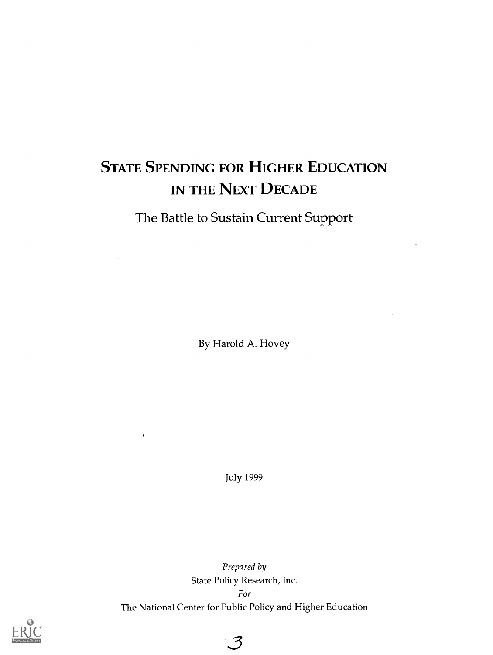# STATE SPENDING FOR HIGHER EDUCATION IN THE NEXT DECADE

The Battle to Sustain Current Support

By Harold A. Hovey

July 1999

Prepared by State Policy Research, Inc. For The National Center for Public Policy and Higher Education

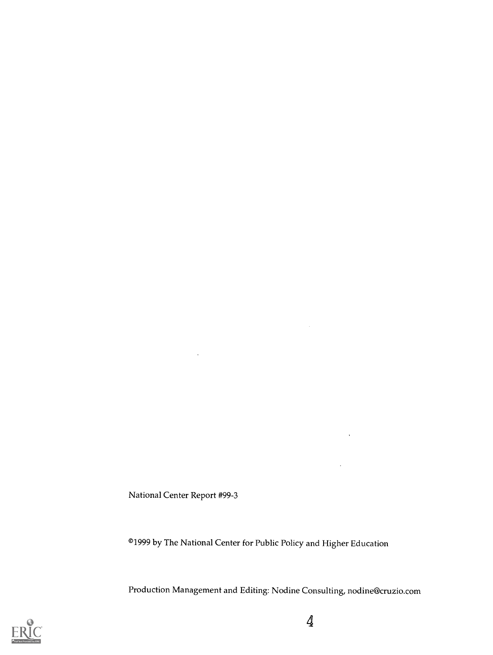National Center Report #99-3

 $\ddot{\phantom{a}}$ 

©1999 by The National Center for Public Policy and Higher Education

Production Management and Editing: Nodine Consulting, nodine@cruzio.com



l,

 $\overline{\phantom{a}}$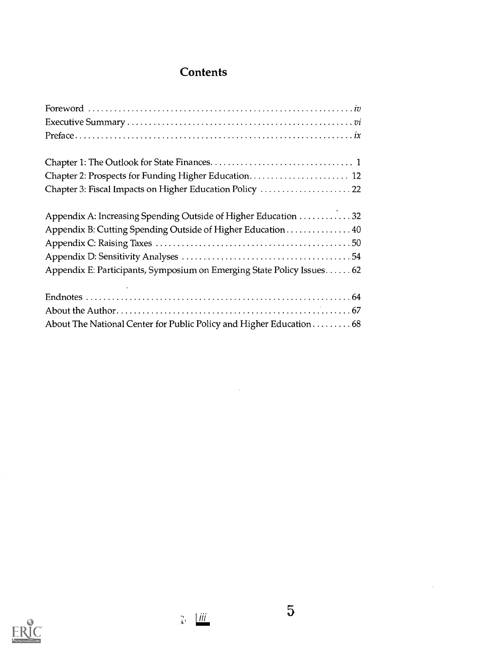# **Contents**

| Chapter 2: Prospects for Funding Higher Education 12                    |  |
|-------------------------------------------------------------------------|--|
| Chapter 3: Fiscal Impacts on Higher Education Policy  22                |  |
| Appendix A: Increasing Spending Outside of Higher Education 32          |  |
| Appendix B: Cutting Spending Outside of Higher Education 40             |  |
|                                                                         |  |
|                                                                         |  |
| Appendix E: Participants, Symposium on Emerging State Policy Issues. 62 |  |
|                                                                         |  |
|                                                                         |  |
| About The National Center for Public Policy and Higher Education 68     |  |

 $\mathcal{L}^{\text{max}}_{\text{max}}$ 



 $\sim 10$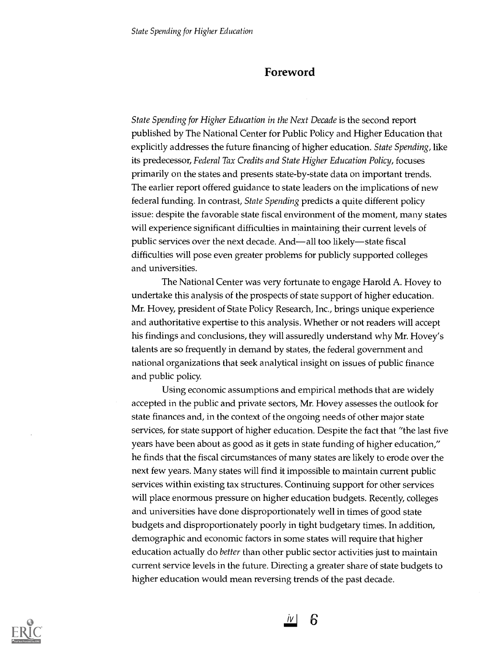# Foreword

State Spending for Higher Education in the Next Decade is the second report published by The National Center for Public Policy and Higher Education that explicitly addresses the future financing of higher education. State Spending, like its predecessor, Federal Tax Credits and State Higher Education Policy, focuses primarily on the states and presents state-by-state data on important trends. The earlier report offered guidance to state leaders on the implications of new federal funding. In contrast, State Spending predicts a quite different policy issue: despite the favorable state fiscal environment of the moment, many states will experience significant difficulties in maintaining their current levels of public services over the next decade. And—all too likely—state fiscal difficulties will pose even greater problems for publicly supported colleges and universities.

The National Center was very fortunate to engage Harold A. Hovey to undertake this analysis of the prospects of state support of higher education. Mr. Hovey, president of State Policy Research, Inc., brings unique experience and authoritative expertise to this analysis. Whether or not readers will accept his findings and conclusions, they will assuredly understand why Mr. Hovey's talents are so frequently in demand by states, the federal government and national organizations that seek analytical insight on issues of public finance and public policy.

Using economic assumptions and empirical methods that are widely accepted in the public and private sectors, Mr. Hovey assesses the outlook for state finances and, in the context of the ongoing needs of other major state services, for state support of higher education. Despite the fact that "the last five years have been about as good as it gets in state funding of higher education," he finds that the fiscal circumstances of many states are likely to erode over the next few years. Many states will find it impossible to maintain current public services within existing tax structures. Continuing support for other services will place enormous pressure on higher education budgets. Recently, colleges and universities have done disproportionately well in times of good state budgets and disproportionately poorly in tight budgetary times. In addition, demographic and economic factors in some states will require that higher education actually do better than other public sector activities just to maintain current service levels in the future. Directing a greater share of state budgets to higher education would mean reversing trends of the past decade.

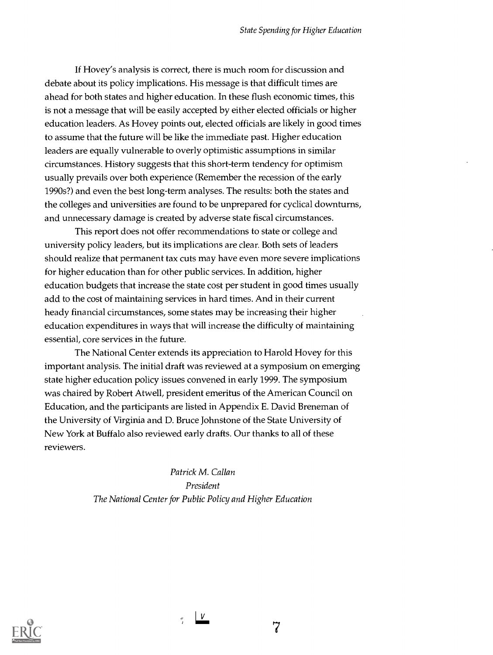If Hovey's analysis is correct, there is much room for discussion and debate about its policy implications. His message is that difficult times are ahead for both states and higher education. In these flush economic times, this is not a message that will be easily accepted by either elected officials or higher education leaders. As Hovey points out, elected officials are likely in good times to assume that the future will be like the immediate past. Higher education leaders are equally vulnerable to overly optimistic assumptions in similar circumstances. History suggests that this short-term tendency for optimism usually prevails over both experience (Remember the recession of the early 1990s?) and even the best long-term analyses. The results: both the states and the colleges and universities are found to be unprepared for cyclical downturns, and unnecessary damage is created by adverse state fiscal circumstances.

This report does not offer recommendations to state or college and university policy leaders, but its implications are clear. Both sets of leaders should realize that permanent tax cuts may have even more severe implications for higher education than for other public services. In addition, higher education budgets that increase the state cost per student in good times usually add to the cost of maintaining services in hard times. And in their current heady financial circumstances, some states may be increasing their higher education expenditures in ways that will increase the difficulty of maintaining essential, core services in the future.

The National Center extends its appreciation to Harold Hovey for this important analysis. The initial draft was reviewed at a symposium on emerging state higher education policy issues convened in early 1999. The symposium was chaired by Robert Atwell, president emeritus of the American Council on Education, and the participants are listed in Appendix E. David Breneman of the University of Virginia and D. Bruce Johnstone of the State University of New York at Buffalo also reviewed early drafts. Our thanks to all of these reviewers.

> Patrick M. Callan President The National Center for Public Policy and Higher Education

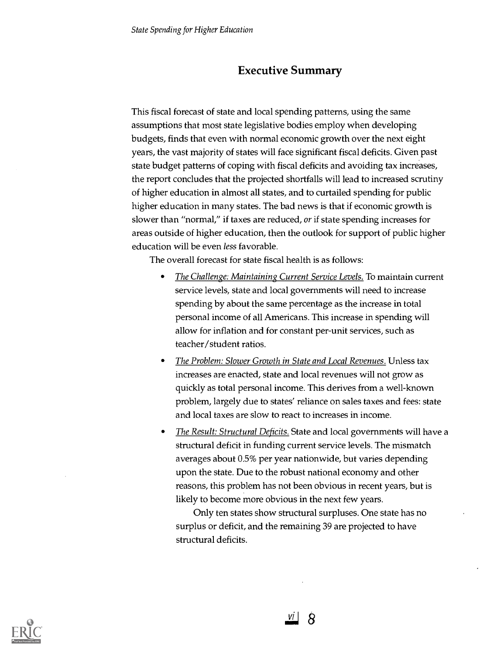# Executive Summary

This fiscal forecast of state and local spending patterns, using the same assumptions that most state legislative bodies employ when developing budgets, finds that even with normal economic growth over the next eight years, the vast majority of states will face significant fiscal deficits. Given past state budget patterns of coping with fiscal deficits and avoiding tax increases, the report concludes that the projected shortfalls will lead to increased scrutiny of higher education in almost all states, and to curtailed spending for public higher education in many states. The bad news is that if economic growth is slower than "normal," if taxes are reduced, or if state spending increases for areas outside of higher education, then the outlook for support of public higher education will be even less favorable.

The overall forecast for state fiscal health is as follows:

- The Challenge: Maintaining Current Service Levels. To maintain current  $\bullet$ service levels, state and local governments will need to increase spending by about the same percentage as the increase in total personal income of all Americans. This increase in spending will allow for inflation and for constant per-unit services, such as teacher/student ratios.
- The Problem: Slower Growth in State and Local Revenues. Unless tax increases are enacted, state and local revenues will not grow as quickly as total personal income. This derives from a well-known problem, largely due to states' reliance on sales taxes and fees: state and local taxes are slow to react to increases in income.
- The Result: Structural Deficits. State and local governments will have a structural deficit in funding current service levels. The mismatch averages about 0.5% per year nationwide, but varies depending upon the state. Due to the robust national economy and other reasons, this problem has not been obvious in recent years, but is likely to become more obvious in the next few years.

Only ten states show structural surpluses. One state has no surplus or deficit, and the remaining 39 are projected to have structural deficits.

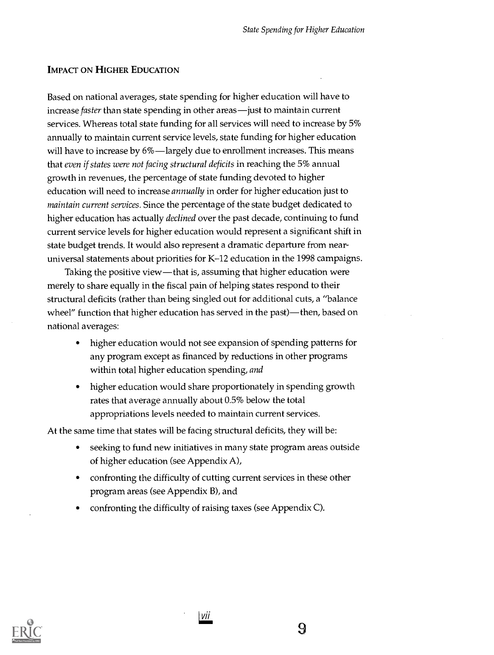#### IMPACT ON HIGHER EDUCATION

Based on national averages, state spending for higher education will have to increase faster than state spending in other areas—just to maintain current services. Whereas total state funding for all services will need to increase by 5% annually to maintain current service levels, state funding for higher education will have to increase by  $6\%$ —largely due to enrollment increases. This means that even if states were not facing structural deficits in reaching the 5% annual growth in revenues, the percentage of state funding devoted to higher education will need to increase *annually* in order for higher education just to maintain current services. Since the percentage of the state budget dedicated to higher education has actually declined over the past decade, continuing to fund current service levels for higher education would represent a significant shift in state budget trends. It would also represent a dramatic departure from nearuniversal statements about priorities for K-12 education in the 1998 campaigns.

Taking the positive view—that is, assuming that higher education were merely to share equally in the fiscal pain of helping states respond to their structural deficits (rather than being singled out for additional cuts, a "balance wheel" function that higher education has served in the past)—then, based on national averages:

- $\bullet$ higher education would not see expansion of spending patterns for any program except as financed by reductions in other programs within total higher education spending, and
- higher education would share proportionately in spending growth  $\bullet$ rates that average annually about 0.5% below the total appropriations levels needed to maintain current services.

At the same time that states will be facing structural deficits, they will be:

- seeking to fund new initiatives in many state program areas outside  $\bullet$ of higher education (see Appendix A),
- confronting the difficulty of cutting current services in these other  $\bullet$ program areas (see Appendix B), and
- confronting the difficulty of raising taxes (see Appendix C).



| Vii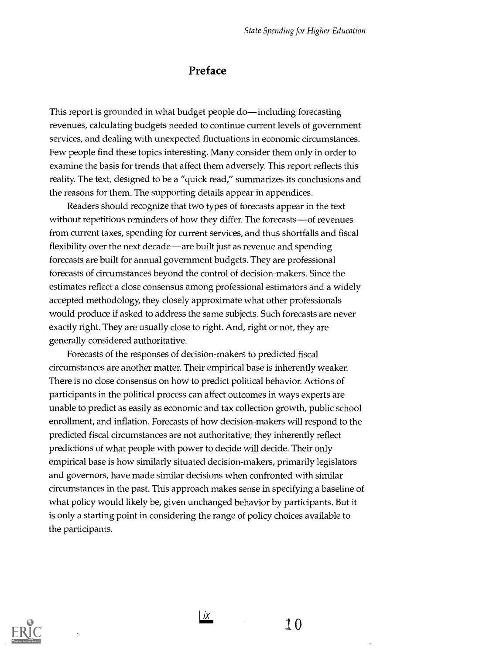# Preface

This report is grounded in what budget people do—including forecasting revenues, calculating budgets needed to continue current levels of government services, and dealing with unexpected fluctuations in economic circumstances. Few people find these topics interesting. Many consider them only in order to examine the basis for trends that affect them adversely. This report reflects this reality. The text, designed to be a "quick read," summarizes its conclusions and the reasons for them. The supporting details appear in appendices.

Readers should recognize that two types of forecasts appear in the text without repetitious reminders of how they differ. The forecasts—of revenues from current taxes, spending for current services, and thus shortfalls and fiscal flexibility over the next decade—are built just as revenue and spending forecasts are built for annual government budgets. They are professional forecasts of circumstances beyond the control of decision-makers. Since the estimates reflect a close consensus among professional estimators and a widely accepted methodology, they closely approximate what other professionals would produce if asked to address the same subjects. Such forecasts are never exactly right. They are usually close to right. And, right or not, they are generally considered authoritative.

Forecasts of the responses of decision-makers to predicted fiscal circumstances are another matter. Their empirical base is inherently weaker. There is no close consensus on how to predict political behavior. Actions of participants in the political process can affect outcomes in ways experts are unable to predict as easily as economic and tax collection growth, public school enrollment, and inflation. Forecasts of how decision-makers will respond to the predicted fiscal circumstances are not authoritative; they inherently reflect predictions of what people with power to decide will decide. Their only empirical base is how similarly situated decision-makers, primarily legislators and governors, have made similar decisions when confronted with similar circumstances in the past. This approach makes sense in specifying a baseline of what policy would likely be, given unchanged behavior by participants. But it is only a starting point in considering the range of policy choices available to the participants.



 $\frac{1}{2}$  10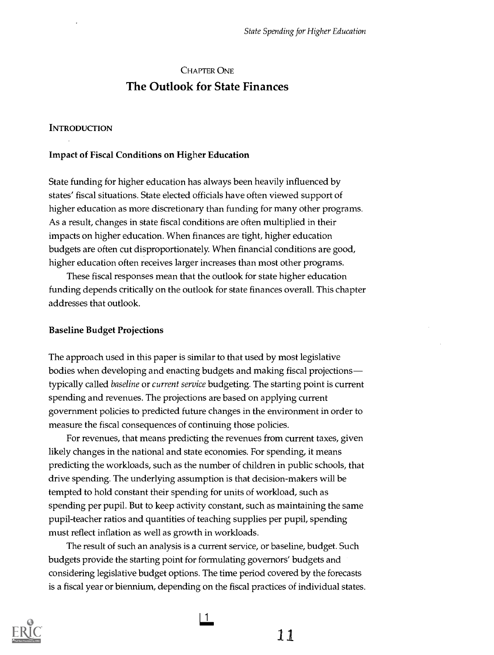# CHAPTER ONE The Outlook for State Finances

#### **INTRODUCTION**

#### Impact of Fiscal Conditions on Higher Education

State funding for higher education has always been heavily influenced by states' fiscal situations. State elected officials have often viewed support of higher education as more discretionary than funding for many other programs. As a result, changes in state fiscal conditions are often multiplied in their impacts on higher education. When finances are tight, higher education budgets are often cut disproportionately. When financial conditions are good, higher education often receives larger increases than most other programs.

These fiscal responses mean that the outlook for state higher education funding depends critically on the outlook for state finances overall. This chapter addresses that outlook.

#### Baseline Budget Projections

The approach used in this paper is similar to that used by most legislative bodies when developing and enacting budgets and making fiscal projections typically called baseline or current service budgeting. The starting point is current spending and revenues. The projections are based on applying current government policies to predicted future changes in the environment in order to measure the fiscal consequences of continuing those policies.

For revenues, that means predicting the revenues from current taxes, given likely changes in the national and state economies. For spending, it means predicting the workloads, such as the number of children in public schools, that drive spending. The underlying assumption is that decision-makers will be tempted to hold constant their spending for units of workload, such as spending per pupil. But to keep activity constant, such as maintaining the same pupil-teacher ratios and quantities of teaching supplies per pupil, spending must reflect inflation as well as growth in workloads.

The result of such an analysis is a current service, or baseline, budget. Such budgets provide the starting point for formulating governors' budgets and considering legislative budget options. The time period covered by the forecasts is a fiscal year or biennium, depending on the fiscal practices of individual states.



 $\mathbf{1}$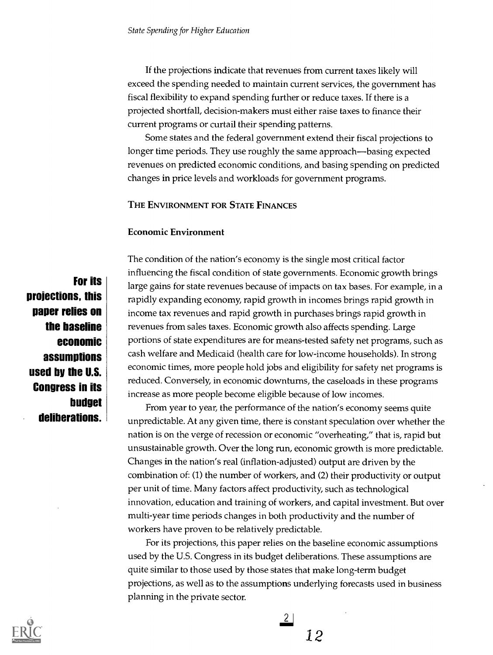If the projections indicate that revenues from current taxes likely will exceed the spending needed to maintain current services, the government has fiscal flexibility to expand spending further or reduce taxes. If there is a projected shortfall, decision-makers must either raise taxes to finance their current programs or curtail their spending patterns.

Some states and the federal government extend their fiscal projections to longer time periods. They use roughly the same approach—basing expected revenues on predicted economic conditions, and basing spending on predicted changes in price levels and workloads for government programs.

#### THE ENVIRONMENT FOR STATE FINANCES

#### Economic Environment

For its projections, this paper relies on the baseline economic assumptions used by the U.S. Congress in its budget deliberations.

The condition of the nation's economy is the single most critical factor influencing the fiscal condition of state governments. Economic growth brings large gains for state revenues because of impacts on tax bases. For example, in a rapidly expanding economy, rapid growth in incomes brings rapid growth in income tax revenues and rapid growth in purchases brings rapid growth in revenues from sales taxes. Economic growth also affects spending. Large portions of state expenditures are for means-tested safety net programs, such as cash welfare and Medicaid (health care for low-income households). In strong economic times, more people hold jobs and eligibility for safety net programs is reduced. Conversely, in economic downturns, the caseloads in these programs increase as more people become eligible because of low incomes.

From year to year, the performance of the nation's economy seems quite unpredictable. At any given time, there is constant speculation over whether the nation is on the verge of recession or economic "overheating," that is, rapid but unsustainable growth. Over the long run, economic growth is more predictable. Changes in the nation's real (inflation-adjusted) output are driven by the combination of: (1) the number of workers, and (2) their productivity or output per unit of time. Many factors affect productivity, such as technological innovation, education and training of workers, and capital investment. But over multi-year time periods changes in both productivity and the number of workers have proven to be relatively predictable.

For its projections, this paper relies on the baseline economic assumptions used by the U.S. Congress in its budget deliberations. These assumptions are quite similar to those used by those states that make long-term budget projections, as well as to the assumptions underlying forecasts used in business planning in the private sector.

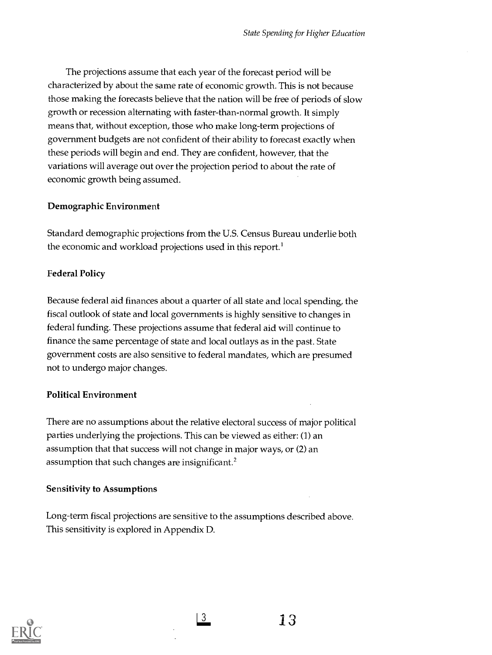The projections assume that each year of the forecast period will be characterized by about the same rate of economic growth. This is not because those making the forecasts believe that the nation will be free of periods of slow growth or recession alternating with faster-than-normal growth. It simply means that, without exception, those who make long-term projections of government budgets are not confident of their ability to forecast exactly when these periods will begin and end. They are confident, however, that the variations will average out over the projection period to about the rate of economic growth being assumed.

# Demographic Environment

Standard demographic projections from the U.S. Census Bureau underlie both the economic and workload projections used in this report.<sup>1</sup>

# Federal Policy

Because federal aid finances about a quarter of all state and local spending, the fiscal outlook of state and local governments is highly sensitive to changes in federal funding. These projections assume that federal aid will continue to finance the same percentage of state and local outlays as in the past. State government costs are also sensitive to federal mandates, which are presumed not to undergo major changes.

# Political Environment

There are no assumptions about the relative electoral success of major political parties underlying the projections. This can be viewed as either: (1) an assumption that that success will not change in major ways, or (2) an assumption that such changes are insignificant.<sup>2</sup>

# Sensitivity to Assumptions

Long-term fiscal projections are sensitive to the assumptions described above. This sensitivity is explored in Appendix D.

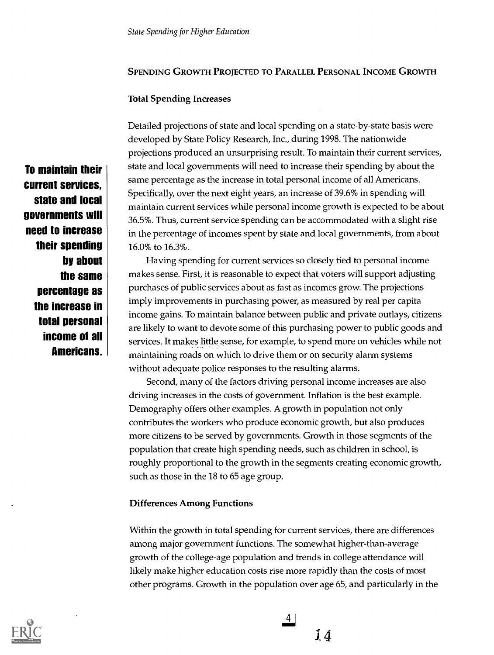# SPENDING GROWTH PROJECTED TO PARALLEL PERSONAL INCOME GROWTH

#### Total Spending Increases

Detailed projections of state and local spending on a state-by-state basis were developed by State Policy Research, Inc., during 1998. The nationwide projections produced an unsurprising result. To maintain their current services, state and local governments will need to increase their spending by about the same percentage as the increase in total personal income of all Americans. Specifically, over the next eight years, an increase of 39.6% in spending will maintain current services while personal income growth is expected to be about 36.5%. Thus, current service spending can be accommodated with a slight rise in the percentage of incomes spent by state and local governments, from about 16.0% to 16.3%.

Having spending for current services so closely tied to personal income makes sense. First, it is reasonable to expect that voters will support adjusting purchases of public services about as fast as incomes grow. The projections imply improvements in purchasing power, as measured by real per capita income gains. To maintain balance between public and private outlays, citizens are likely to want to devote some of this purchasing power to public goods and services. It makes little sense, for example, to spend more on vehicles while not maintaining roads on which to drive them or on security alarm systems without adequate police responses to the resulting alarms.

Second, many of the factors driving personal income increases are also driving increases in the costs of government. Inflation is the best example. Demography offers other examples. A growth in population not only contributes the workers who produce economic growth, but also produces more citizens to be served by governments. Growth in those segments of the population that create high spending needs, such as children in school, is roughly proportional to the growth in the segments creating economic growth, such as those in the 18 to 65 age group.

#### Differences Among Functions

Within the growth in total spending for current services, there are differences among major government functions. The somewhat higher-than-average growth of the college-age population and trends in college attendance will likely make higher education costs rise more rapidly than the costs of most other programs. Growth in the population over age 65, and particularly in the



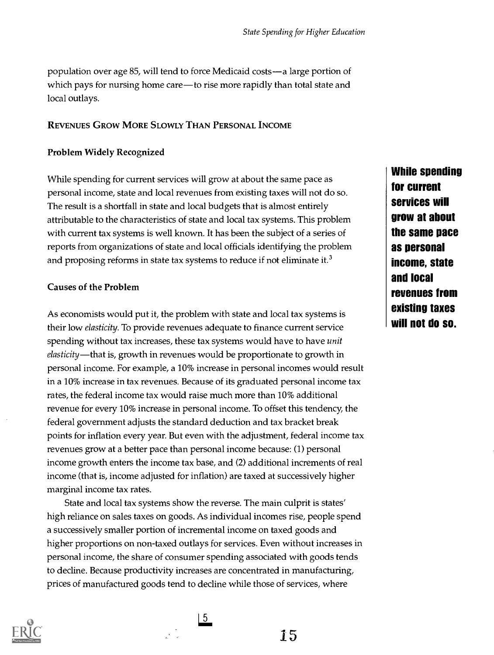population over age 85, will tend to force Medicaid costs—a large portion of which pays for nursing home care—to rise more rapidly than total state and local outlays.

# REVENUES GROW MORE SLOWLY THAN PERSONAL INCOME

# Problem Widely Recognized

While spending for current services will grow at about the same pace as personal income, state and local revenues from existing taxes will not do so. The result is a shortfall in state and local budgets that is almost entirely attributable to the characteristics of state and local tax systems. This problem with current tax systems is well known. It has been the subject of a series of reports from organizations of state and local officials identifying the problem and proposing reforms in state tax systems to reduce if not eliminate it.<sup>3</sup>

# Causes of the Problem

As economists would put it, the problem with state and local tax systems is their low elasticity. To provide revenues adequate to finance current service spending without tax increases, these tax systems would have to have *unit* elasticity—that is, growth in revenues would be proportionate to growth in personal income. For example, a 10% increase in personal incomes would result in a 10% increase in tax revenues. Because of its graduated personal income tax rates, the federal income tax would raise much more than 10% additional revenue for every 10% increase in personal income. To offset this tendency, the federal government adjusts the standard deduction and tax bracket break points for inflation every year. But even with the adjustment, federal income tax revenues grow at a better pace than personal income because: (1) personal income growth enters the income tax base, and (2) additional increments of real income (that is, income adjusted for inflation) are taxed at successively higher marginal income tax rates.

State and local tax systems show the reverse. The main culprit is states' high reliance on sales taxes on goods. As individual incomes rise, people spend a successively smaller portion of incremental income on taxed goods and higher proportions on non-taxed outlays for services. Even without increases in personal income, the share of consumer spending associated with goods tends to decline. Because productivity increases are concentrated in manufacturing, prices of manufactured goods tend to decline while those of services, where

 $5<sup>5</sup>$ 



While spending for current services will grow at about the same pace as personal income, state and local revenues from existing taxes will not do so.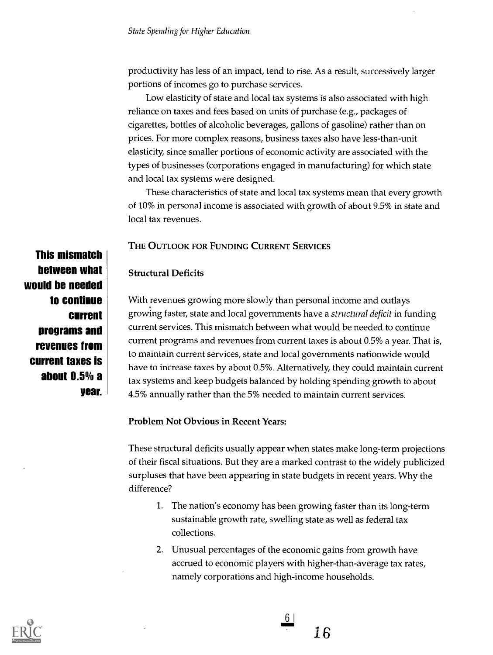productivity has less of an impact, tend to rise. As a result, successively larger portions of incomes go to purchase services.

Low elasticity of state and local tax systems is also associated with high reliance on taxes and fees based on units of purchase (e.g., packages of cigarettes, bottles of alcoholic beverages, gallons of gasoline) rather than on prices. For more complex reasons, business taxes also have less-than-unit elasticity, since smaller portions of economic activity are associated with the types of businesses (corporations engaged in manufacturing) for which state and local tax systems were designed.

These characteristics of state and local tax systems mean that every growth of 10% in personal income is associated with growth of about 9.5% in state and local tax revenues.

# THE OUTLOOK FOR FUNDING CURRENT SERVICES

#### Structural Deficits

With revenues growing more slowly than personal income and outlays growing faster, state and local governments have a structural deficit in funding current services. This mismatch between what would be needed to continue current programs and revenues from current taxes is about 0.5% a year. That is, to maintain current services, state and local governments nationwide would have to increase taxes by about 0.5%. Alternatively, they could maintain current tax systems and keep budgets balanced by holding spending growth to about 4.5% annually rather than the 5% needed to maintain current services.

Problem Not Obvious in Recent Years:

These structural deficits usually appear when states make long-term projections of their fiscal situations. But they are a marked contrast to the widely publicized surpluses that have been appearing in state budgets in recent years. Why the difference?

- 1. The nation's economy has been growing faster than its long-term sustainable growth rate, swelling state as well as federal tax collections.
- 2. Unusual percentages of the economic gains from growth have accrued to economic players with higher-than-average tax rates, namely corporations and high-income households.



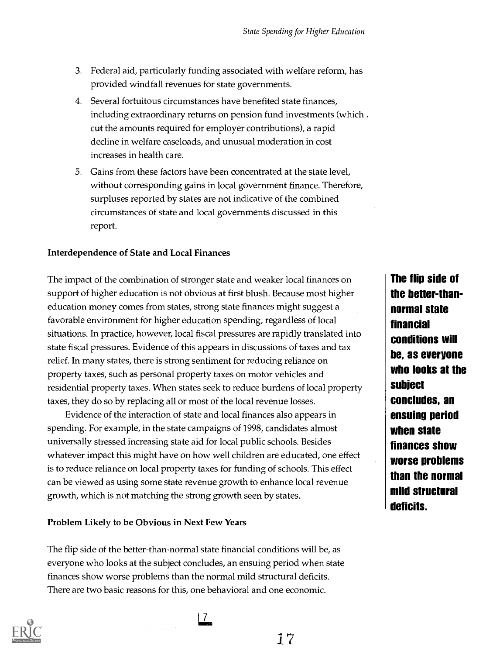- 3. Federal aid, particularly funding associated with welfare reform, has provided windfall revenues for state governments.
- 4. Several fortuitous circumstances have benefited state finances, including extraordinary returns on pension fund investments (which. cut the amounts required for employer contributions), a rapid decline in welfare caseloads, and unusual moderation in cost increases in health care.
- 5. Gains from these factors have been concentrated at the state level, without corresponding gains in local government finance. Therefore, surpluses reported by states are not indicative of the combined circumstances of state and local governments discussed in this report.

#### Interdependence of State and Local Finances

The impact of the combination of stronger state and weaker local finances on support of higher education is not obvious at first blush. Because most higher education money comes from states, strong state finances might suggest a favorable environment for higher education spending, regardless of local situations. In practice, however, local fiscal pressures are rapidly translated into state fiscal pressures. Evidence of this appears in discussions of taxes and tax relief. In many states, there is strong sentiment for reducing reliance on property taxes, such as personal property taxes on motor vehicles and residential property taxes. When states seek to reduce burdens of local property taxes, they do so by replacing all or most of the local revenue losses.

Evidence of the interaction of state and local finances also appears in spending. For example, in the state campaigns of 1998, candidates almost universally stressed increasing state aid for local public schools. Besides whatever impact this might have on how well children are educated, one effect is to reduce reliance on local property taxes for funding of schools. This effect can be viewed as using some state revenue growth to enhance local revenue growth, which is not matching the strong growth seen by states.

#### Problem Likely to be Obvious in Next Few Years

The flip side of the better-than-normal state financial conditions will be, as everyone who looks at the subject concludes, an ensuing period when state finances show worse problems than the normal mild structural deficits. There are two basic reasons for this, one behavioral and one economic.



17

The flip side of the better-thannormal state financial conditions will be, as everyone who looks at the subject concludes, an ensuing period when state finances show worse problems than the normal mild structural deficits.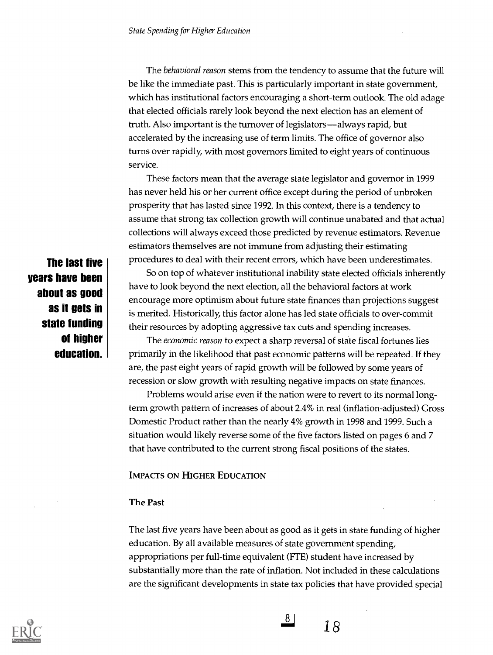The behavioral reason stems from the tendency to assume that the future will be like the immediate past. This is particularly important in state government, which has institutional factors encouraging a short-term outlook. The old adage that elected officials rarely look beyond the next election has an element of truth. Also important is the turnover of legislators—always rapid, but accelerated by the increasing use of term limits. The office of governor also turns over rapidly, with most governors limited to eight years of continuous service.

These factors mean that the average state legislator and governor in 1999 has never held his or her current office except during the period of unbroken prosperity that has lasted since 1992. In this context, there is a tendency to assume that strong tax collection growth will continue unabated and that actual collections will always exceed those predicted by revenue estimators. Revenue estimators themselves are not immune from adjusting their estimating procedures to deal with their recent errors, which have been underestimates.

So on top of whatever institutional inability state elected officials inherently have to look beyond the next election, all the behavioral factors at work encourage more optimism about future state finances than projections suggest is merited. Historically, this factor alone has led state officials to over-commit their resources by adopting aggressive tax cuts and spending increases.

The economic reason to expect a sharp reversal of state fiscal fortunes lies primarily in the likelihood that past economic patterns will be repeated. If they are, the past eight years of rapid growth will be followed by some years of recession or slow growth with resulting negative impacts on state finances.

Problems would arise even if the nation were to revert to its normal longterm growth pattern of increases of about 2.4% in real (inflation-adjusted) Gross Domestic Product rather than the nearly 4% growth in 1998 and 1999. Such a situation would likely reverse some of the five factors listed on pages 6 and 7 that have contributed to the current strong fiscal positions of the states.

#### IMPACTS ON HIGHER EDUCATION

#### The Past

The last five years have been about as good as it gets in state funding of higher education. By all available measures of state government spending, appropriations per full-time equivalent (FTE) student have increased by substantially more than the rate of inflation. Not included in these calculations are the significant developments in state tax policies that have provided special





 $\frac{8}{18}$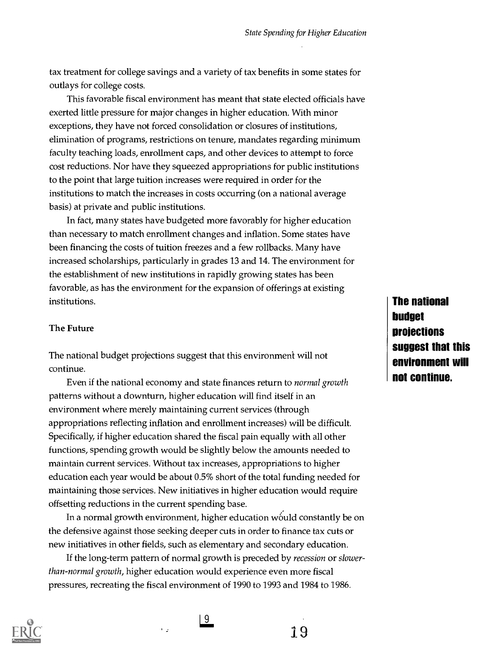tax treatment for college savings and a variety of tax benefits in some states for outlays for college costs.

This favorable fiscal environment has meant that state elected officials have exerted little pressure for major changes in higher education. With minor exceptions, they have not forced consolidation or closures of institutions, elimination of programs, restrictions on tenure, mandates regarding minimum faculty teaching loads, enrollment caps, and other devices to attempt to force cost reductions. Nor have they squeezed appropriations for public institutions to the point that large tuition increases were required in order for the institutions to match the increases in costs occurring (on a national average basis) at private and public institutions.

In fact, many states have budgeted more favorably for higher education than necessary to match enrollment changes and inflation. Some states have been financing the costs of tuition freezes and a few rollbacks. Many have increased scholarships, particularly in grades 13 and 14. The environment for the establishment of new institutions in rapidly growing states has been favorable, as has the environment for the expansion of offerings at existing institutions.

#### The Future

The national budget projections suggest that this environment will not continue.

Even if the national economy and state finances return to normal growth patterns without a downturn, higher education will find itself in an environment where merely maintaining current services (through appropriations reflecting inflation and enrollment increases) will be difficult. Specifically, if higher education shared the fiscal pain equally with all other functions, spending growth would be slightly below the amounts needed to maintain current services. Without tax increases, appropriations to higher education each year would be about 0.5% short of the total funding needed for maintaining those services. New initiatives in higher education would require offsetting reductions in the current spending base.

In a normal growth environment, higher education would constantly be on the defensive against those seeking deeper cuts in order to finance tax cuts or new initiatives in other fields, such as elementary and secondary education.

If the long-term pattern of normal growth is preceded by recession or slowerthan-normal growth, higher education would experience even more fiscal pressures, recreating the fiscal environment of 1990 to 1993 and 1984 to 1986.

l 9

 $\mathbf{r}_{\mathbf{p}}$ 

The national budget projections suggest that this environment will not continue.

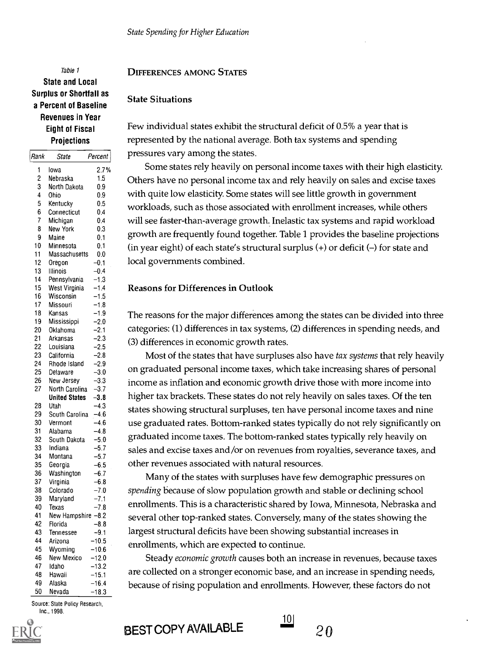# Table 1 State and Local Surplus or Shortfall as

a Percent of Baseline Revenues in Year Eight of Fiscal **Projections** 

| <i>Hank</i>                         | State                | Percent            | Prepour     |
|-------------------------------------|----------------------|--------------------|-------------|
| 1<br>Iowa                           |                      | 2.7%               | Sor         |
| 2<br>Nebraska                       |                      | 1.5                | Others I    |
| 3<br>North Dakota                   |                      | 0.9                |             |
| 4<br>Ohio                           |                      | 0.9                | with qu     |
| 5<br>Kentucky<br>6                  |                      | 0.5<br>0.4         | workloa     |
| Connecticut<br>7<br>Michigan        |                      | 0.4                | will see    |
| 8<br>New York                       |                      | 0.3                |             |
| 9<br>Maine                          |                      | 0.1                | growth      |
| 10<br>Minnesota                     |                      | 0.1                | (in year    |
| 11                                  | Massachusetts        | 0.0                | local go    |
| 12<br>Oregon                        |                      | $-0.1$             |             |
| 13<br>Illinois<br>14                |                      | $-0.4$<br>$-1.3$   |             |
| Pennsylvania<br>15<br>West Virginia |                      | $-1.4$             | Reason      |
| 16<br>Wisconsin                     |                      | $-1.5$             |             |
| 17<br>Missouri                      |                      | $-1.8$             |             |
| 18<br>Kansas                        |                      | $-1.9$             | The reas    |
| 19<br>Mississippi                   |                      | $-2.0$             |             |
| 20<br>Oklahoma                      |                      | $-2.1$             | categori    |
| 21<br>Arkansas                      |                      | $-2.3$             | $(3)$ diffe |
| 22<br>Louisiana                     |                      | -2.5               |             |
| 23<br>California                    |                      | $-2.8$             | Mo          |
| 24<br>Rhode Island                  |                      | $-2.9$             | on grad     |
| 25<br>Delaware<br>26<br>New Jersey  |                      | $-3.0$<br>$-3.3$   |             |
| 27                                  | North Carolina       | $-3.7$             | income      |
|                                     | <b>United States</b> | $-3.8$             | higher t    |
| 28<br>Utah                          |                      | $-4.3$             | states sl   |
| 29                                  | South Carolina       | $-4.6$             |             |
| 30<br>Vermont                       |                      | $-4.6$             | use gra     |
| 31<br>Alabama<br>32                 | South Dakota         | $-4.8$<br>$-5.0$   | graduat     |
| 33<br>Indiana                       |                      | $-5.7$             | sales an    |
| 34<br>Montana                       |                      | $-5.7$             |             |
| 35<br>Georgia                       |                      | $-6.5$             | other re    |
| 36<br>Washington                    |                      | $-6.7$             | Ma          |
| 37<br>Virginia                      |                      | $-6.8$             |             |
| 38<br>Colorado<br>39                |                      | $-7.0$<br>$-7.1$   | spending    |
| Maryland<br>40<br>Texas             |                      | $-7.8$             | enrollm     |
| 41                                  | New Hampshire -8.2   |                    | several     |
| 42<br>Florida                       |                      | $-8.8$             |             |
| 43<br>Tennessee                     |                      | $-9.1$             | largest s   |
| 44<br>Arizona                       |                      | $-10.5$            | enrollm     |
| 45<br>Wyoming                       |                      | $-10.6$            |             |
| 46<br>New Mexico<br>47<br>Idaho     |                      | $-12.0$<br>$-13.2$ | Ste         |
| 48<br>Hawaii                        |                      | $-15.1$            | are colle   |
| 49<br>Alaska                        |                      | $-16.4$            | because     |
| 50<br>Nevada                        |                      | $-18.3$            |             |

Source: State Policy Research, Inc., 1998.

#### DIFFERENCES AMONG STATES

#### State Situations

Few individual states exhibit the structural deficit of 0.5% a year that is represented by the national average. Both tax systems and spending pressures vary among the states.

Some states rely heavily on personal income taxes with their high elasticity. Others have no personal income tax and rely heavily on sales and excise taxes with quite low elasticity. Some states will see little growth in government workloads, such as those associated with enrollment increases, while others will see faster-than-average growth. Inelastic tax systems and rapid workload growth are frequently found together. Table 1 provides the baseline projections (in year eight) of each state's structural surplus  $(+)$  or deficit  $(-)$  for state and local governments combined.

#### Reasons for Differences in Outlook

<sup>18</sup> Kansas <sup>-1.9</sup> The reasons for the major differences among the states can be divided into three categories: (1) differences in tax systems, (2) differences in spending needs, and (3) differences in economic growth rates.

 $^{26}$  New Jersey  $-3.3$  income as inflation and economic growth drive those with more income into United States -3.8 higher tax brackets. These states do not rely heavily on sales taxes. Of the ten <sup>30</sup> Vermont -4.6 use graduated rates. Bottom-ranked states typically do not rely significantly on  $\frac{33}{100}$  Indiana  $\frac{57}{57}$  sales and excise taxes and/or on revenues from royalties, severance taxes, and Most of the states that have surpluses also have tax systems that rely heavily on graduated personal income taxes, which take increasing shares of personal states showing structural surpluses, ten have personal income taxes and nine graduated income taxes. The bottom-ranked states typically rely heavily on other revenues associated with natural resources.

38 Colorado -7.0 spending because of slow population growth and stable or declining school Many of the states with surpluses have few demographic pressures on enrollments. This is a characteristic shared by Iowa, Minnesota, Nebraska and several other top-ranked states. Conversely, many of the states showing the largest structural deficits have been showing substantial increases in enrollments, which are expected to continue.

> Steady economic growth causes both an increase in revenues, because taxes are collected on a stronger economic base, and an increase in spending needs, because of rising population and enrollments. However, these factors do not

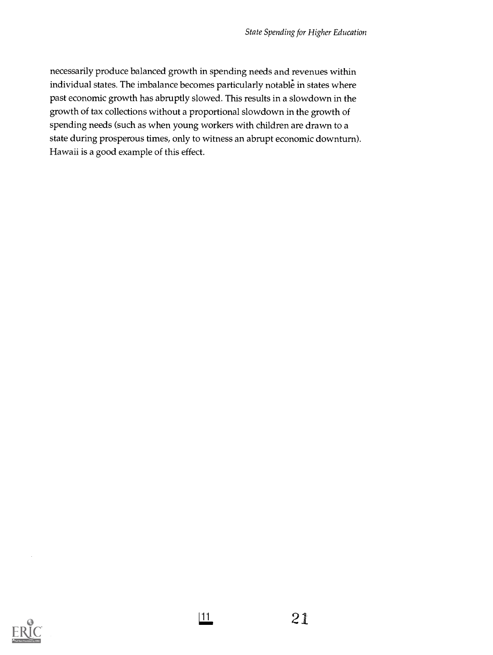necessarily produce balanced growth in spending needs and revenues within individual states. The imbalance becomes particularly notable in states where past economic growth has abruptly slowed. This results in a slowdown in the growth of tax collections without a proportional slowdown in the growth of spending needs (such as when young workers with children are drawn to a state during prosperous times, only to witness an abrupt economic downturn). Hawaii is a good example of this effect.

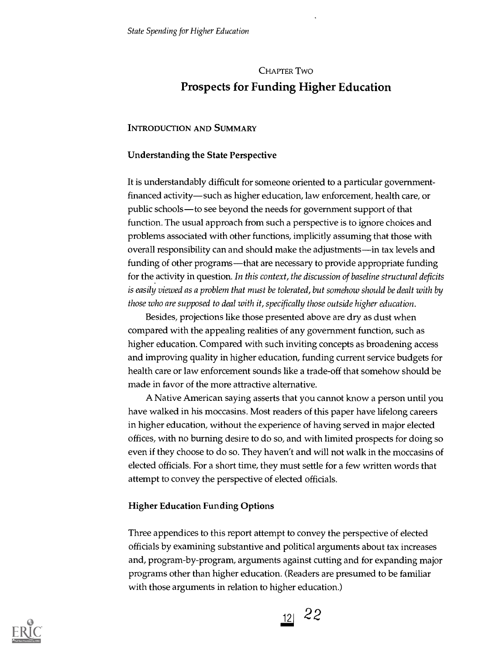# CHAPTER Two Prospects for Funding Higher Education

# INTRODUCTION AND SUMMARY

# Understanding the State Perspective

It is understandably difficult for someone oriented to a particular governmentfinanced activity—such as higher education, law enforcement, health care, or public schools—to see beyond the needs for government support of that function. The usual approach from such a perspective is to ignore choices and problems associated with other functions, implicitly assuming that those with overall responsibility can and should make the adjustments—in tax levels and funding of other programs—that are necessary to provide appropriate funding for the activity in question. In this context, the discussion of baseline structural deficits is easily viewed as a problem that must be tolerated, but somehow should be dealt with by those who are supposed to deal with it, specifically those outside higher education.

Besides, projections like those presented above are dry as dust when compared with the appealing realities of any government function, such as higher education. Compared with such inviting concepts as broadening access and improving quality in higher education, funding current service budgets for health care or law enforcement sounds like a trade-off that somehow should be made in favor of the more attractive alternative.

A Native American saying asserts that you cannot know a person until you have walked in his moccasins. Most readers of this paper have lifelong careers in higher education, without the experience of having served in major elected offices, with no burning desire to do so, and with limited prospects for doing so even if they choose to do so. They haven't and will not walk in the moccasins of elected officials. For a short time, they must settle for a few written words that attempt to convey the perspective of elected officials.

# Higher Education Funding Options

Three appendices to this report attempt to convey the perspective of elected officials by examining substantive and political arguments about tax increases and, program-by-program, arguments against cutting and for expanding major programs other than higher education. (Readers are presumed to be familiar with those arguments in relation to higher education.)



 $\frac{12}{2}$  22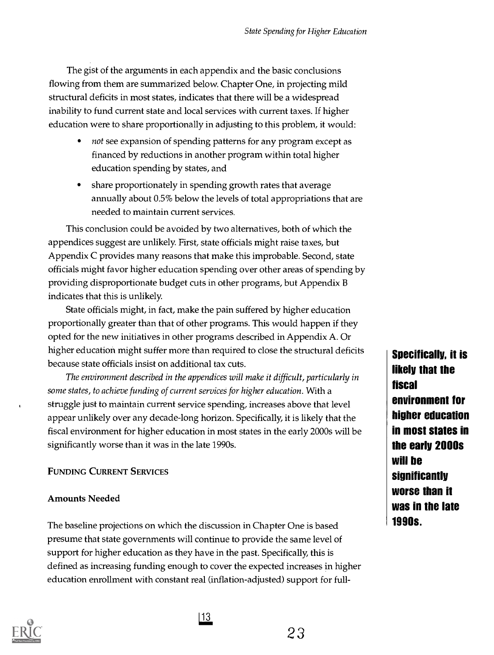The gist of the arguments in each appendix and the basic conclusions flowing from them are summarized below. Chapter One, in projecting mild structural deficits in most states, indicates that there will be a widespread inability to fund current state and local services with current taxes. If higher education were to share proportionally in adjusting to this problem, it would:

- not see expansion of spending patterns for any program except as financed by reductions in another program within total higher education spending by states, and
- share proportionately in spending growth rates that average annually about 0.5% below the levels of total appropriations that are needed to maintain current services.

This conclusion could be avoided by two alternatives, both of which the appendices suggest are unlikely. First, state officials might raise taxes, but Appendix C provides many reasons that make this improbable. Second, state officials might favor higher education spending over other areas of spending by providing disproportionate budget cuts in other programs, but Appendix B indicates that this is unlikely.

State officials might, in fact, make the pain suffered by higher education proportionally greater than that of other programs. This would happen if they opted for the new initiatives in other programs described in Appendix A. Or higher education might suffer more than required to close the structural deficits because state officials insist on additional tax cuts.

The environment described in the appendices will make it difficult, particularly in some states, to achieve funding of current services for higher education. With a struggle just to maintain current service spending, increases above that level appear unlikely over any decade-long horizon. Specifically, it is likely that the fiscal environment for higher education in most states in the early 2000s will be significantly worse than it was in the late 1990s.

# FUNDING CURRENT SERVICES

# Amounts Needed

The baseline projections on which the discussion in Chapter One is based presume that state governments will continue to provide the same level of support for higher education as they have in the past. Specifically, this is defined as increasing funding enough to cover the expected increases in higher education enrollment with constant real (inflation-adjusted) support for full-



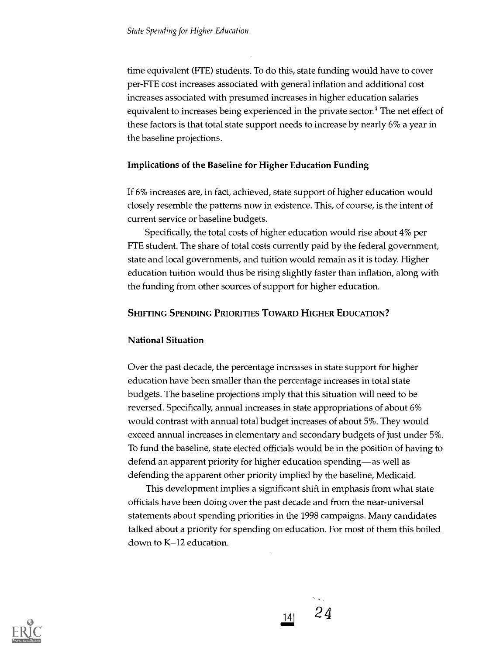time equivalent (FTE) students. To do this, state funding would have to cover per-FTE cost increases associated with general inflation and additional cost increases associated with presumed increases in higher education salaries equivalent to increases being experienced in the private sector.<sup>4</sup> The net effect of these factors is that total state support needs to increase by nearly 6% a year in the baseline projections.

#### Implications of the Baseline for Higher Education Funding

If 6% increases are, in fact, achieved, state support of higher education would closely resemble the patterns now in existence. This, of course, is the intent of current service or baseline budgets.

Specifically, the total costs of higher education would rise about 4% per FTE student. The share of total costs currently paid by the federal government, state and local governments, and tuition would remain as it is today. Higher education tuition would thus be rising slightly faster than inflation, along with the funding from other sources of support for higher education.

# SHIFTING SPENDING PRIORITIES TOWARD HIGHER EDUCATION?

# National Situation

Over the past decade, the percentage increases in state support for higher education have been smaller than the percentage increases in total state budgets. The baseline projections imply that this situation will need to be reversed. Specifically, annual increases in state appropriations of about 6% would contrast with annual total budget increases of about 5%. They would exceed annual increases in elementary and secondary budgets of just under 5%. To fund the baseline, state elected officials would be in the position of having to defend an apparent priority for higher education spending—as well as defending the apparent other priority implied by the baseline, Medicaid.

This development implies a significant shift in emphasis from what state officials have been doing over the past decade and from the near-universal statements about spending priorities in the 1998 campaigns. Many candidates talked about a priority for spending on education. For most of them this boiled down to K-12 education.



 $141 \t 24$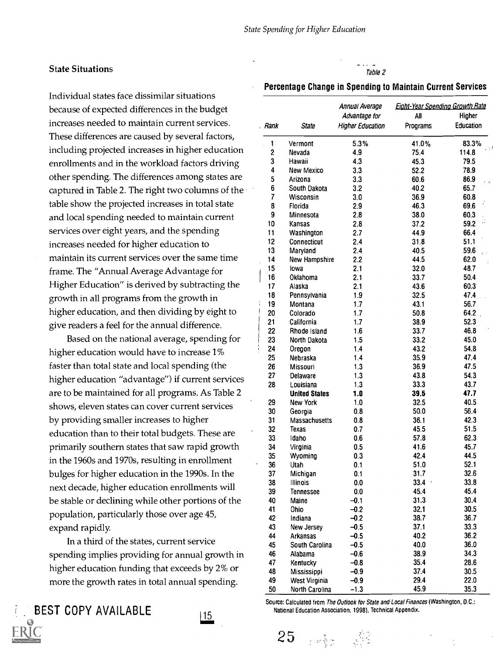#### State Situations

Individual states face dissimilar situations because of expected differences in the budget increases needed to maintain current services. These differences are caused by several factors, including projected increases in higher education enrollments and in the workload factors driving other spending. The differences among states are captured in Table 2. The right two columns of the table show the projected increases in total state and local spending needed to maintain current services over eight years, and the spending increases needed for higher education to maintain its current services over the same time frame. The "Annual Average Advantage for Higher Education" is derived by subtracting the growth in all programs from the growth in higher education, and then dividing by eight to give readers a feel for the annual difference.

Based on the national average, spending for higher education would have to increase 1% faster than total state and local spending (the higher education "advantage") if current services are to be maintained for all programs. As Table 2 shows, eleven states can cover current services by providing smaller increases to higher education than to their total budgets. These are primarily southern states that saw rapid growth in the 1960s and 1970s, resulting in enrollment bulges for higher education in the 1990s. In the next decade, higher education enrollments will be stable or declining while other portions of the population, particularly those over age 45, expand rapidly.

In a third of the states, current service spending implies providing for annual growth in higher education funding that exceeds by 2% or more the growth rates in total annual spending.





# Table 2

#### Percentage Change in Spending to Maintain Current Services

|                         |                      | Annual Average<br>Advantage for | <b>Eight-Year Spending Growth Rate</b><br>All<br>Higher |            |  |
|-------------------------|----------------------|---------------------------------|---------------------------------------------------------|------------|--|
| Rank                    | <b>State</b>         | <b>Higher Education</b>         | Programs                                                | Education  |  |
| 1                       | Vermont              | 5.3%                            | 41.0%                                                   | 83.3%      |  |
| $\overline{\mathbf{c}}$ | Nevada               | 4.9                             | 75.4                                                    | 114.8      |  |
| 3                       | Hawaii               | 4.3                             | 45.3                                                    | 79.5       |  |
| 4                       | New Mexico           | 3.3                             | 52.2                                                    | 78.9       |  |
| 5                       | Arizona              | 3.3                             | 60.6                                                    | 86.9<br>εŵ |  |
| 6                       | South Dakota         | 3.2                             | 40.2                                                    | 65.7       |  |
| 7                       | Wisconsin            | 3.0                             | 36.9                                                    | 60.8       |  |
| 8                       | Florida              | 2.9                             | 46.3                                                    | 69.6       |  |
| 9                       | Minnesota            | 2.8                             | 38.0                                                    | 60.3       |  |
| 10                      | Kansas               | 2.8                             | 37.2                                                    | 59.2       |  |
| 11                      | Washington           | 2.7                             | 44.9                                                    | 66.4       |  |
| 12                      | Connecticut          | 2.4                             | 31.8                                                    | 51.1       |  |
| 13                      | Maryland             | 2.4                             | 40.5                                                    | 59.6       |  |
| 14                      | New Hampshire        | 2.2                             | 44.5                                                    | 62.0       |  |
| 15                      | lowa                 | 2.1                             | 32.0                                                    | 48.7       |  |
| 16                      | Oklahoma             | 2.1                             | 33.7                                                    | 50.4       |  |
| 17                      | Alaska               | 2.1                             | 43.6                                                    | 60.3       |  |
| 18                      | Pennsylvania         | 1.9                             | 32.5                                                    | 47.4       |  |
| 19                      | Montana              | 1.7                             | 43.1                                                    | 56.7       |  |
| 20                      | Colorado             | 1.7                             | 50.8                                                    | 64.2       |  |
| 21                      | California           | 1.7                             | 38.9                                                    | 52.3       |  |
| 22                      | Rhode Island         | 1.6                             | 33.7                                                    | 46.8       |  |
| 23                      | North Dakota         | 1.5                             | 33.2                                                    | 45.0       |  |
| 24                      | Oregon               | 1.4                             | 43.2                                                    | 54.8       |  |
| 25                      | Nebraska             | 1.4                             | 35.9                                                    | 47.4       |  |
| 26                      | Missouri             | 1.3                             | 36.9                                                    | 47.5       |  |
| 27                      | Delaware             | 1.3                             | 43.8                                                    | 54.3       |  |
| 28                      | Louisiana            | 1.3                             | 33.3                                                    | 43.7       |  |
|                         | <b>United States</b> | 1.0                             | 39.5                                                    | 47.7       |  |
| 29                      | New York             | 1.0                             | 32.5                                                    | 40.5       |  |
|                         |                      |                                 |                                                         |            |  |
| 30                      | Georgia              | 0.8                             | 50.0                                                    | 56.4       |  |
| 31                      | Massachusetts        | 0.8                             | 36.1                                                    | 42.3       |  |
| 32                      | Texas                | 0.7                             | 45.5                                                    | 51.5       |  |
| 33                      | Idaho                | 0.6                             | 57.8                                                    | 62.3       |  |
| 34                      | Virginia             | 0.5                             | 41.6                                                    | 45.7       |  |
| 35                      | Wyoming              | 0.3                             | 42.4                                                    | 44.5       |  |
| 36                      | Utah                 | 0.1                             | 51.0                                                    | 52.1       |  |
| 37                      | Michigan             | 0.1                             | 31.7                                                    | 32.6       |  |
| 38                      | Illinois             | 0.0                             | $33.4 -$                                                | 33.8       |  |
| 39                      | <b>Tennessee</b>     | 0.0                             | 45.4                                                    | 45.4       |  |
| 40                      | Maine                | $-0.1$                          | 31.3                                                    | 30.4       |  |
| 41                      | Ohio                 | $-0.2$                          | 32.1                                                    | 30.5       |  |
| 42                      | Indiana              | $-0.2$                          | 38.7                                                    | 36.7       |  |
| 43                      | New Jersey           | $-0.5$                          | 37.1                                                    | 33.3       |  |
| 44                      | Arkansas             | $-0.5$                          | 40.2                                                    | 36.2       |  |
| 45                      | South Carolina       | $-0.5$                          | 40.0                                                    | 36.0       |  |
| 46                      | Alabama              | $-0.6$                          | 38.9                                                    | 34.3       |  |
| 47                      | Kentucky             | $-0.8$                          | 35.4                                                    | 28.6       |  |
| 48                      | Mississippi          | $-0.9$                          | 37.4                                                    | 30.5       |  |
| 49                      | West Virginia        | $-0.9$                          | 29.4                                                    | 22.0       |  |
| 50                      | North Carolina       | $-1.3$                          | 45.9                                                    | 35.3       |  |

Source: Calculated from The Outlook for State and Local Finances (Washington, D.C.: National Education Association. 1998). Technical Appendix.

 $25$  and  $\mathbb{Z}_2$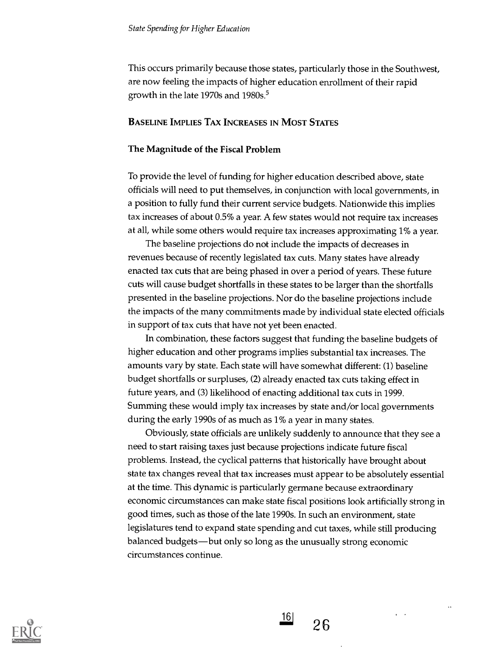This occurs primarily because those states, particularly those in the Southwest, are now feeling the impacts of higher education enrollment of their rapid growth in the late 1970s and 1980s.<sup>5</sup>

#### BASELINE IMPLIES TAX INCREASES IN MOST STATES

#### The Magnitude of the Fiscal Problem

To provide the level of funding for higher education described above, state officials will need to put themselves, in conjunction with local governments, in a position to fully fund their current service budgets. Nationwide this implies tax increases of about 0.5% a year. A few states would not require tax increases at all, while some others would require tax increases approximating 1% a year.

The baseline projections do not include the impacts of decreases in revenues because of recently legislated tax cuts. Many states have already enacted tax cuts that are being phased in over a period of years. These future cuts will cause budget shortfalls in these states to be larger than the shortfalls presented in the baseline projections. Nor do the baseline projections include the impacts of the many commitments made by individual state elected officials in support of tax cuts that have not yet been enacted.

In combination, these factors suggest that funding the baseline budgets of higher education and other programs implies substantial tax increases. The amounts vary by state. Each state will have somewhat different: (1) baseline budget shortfalls or surpluses, (2) already enacted tax cuts taking effect in future years, and (3) likelihood of enacting additional tax cuts in 1999. Summing these would imply tax increases by state and/or local governments during the early 1990s of as much as 1% a year in many states.

Obviously, state officials are unlikely suddenly to announce that they see a need to start raising taxes just because projections indicate future fiscal problems. Instead, the cyclical patterns that historically have brought about state tax changes reveal that tax increases must appear to be absolutely essential at the time. This dynamic is particularly germane because extraordinary economic circumstances can make state fiscal positions look artificially strong in good times, such as those of the late 1990s. In such an environment, state legislatures tend to expand state spending and cut taxes, while still producing balanced budgets—but only so long as the unusually strong economic circumstances continue.



 $|16|$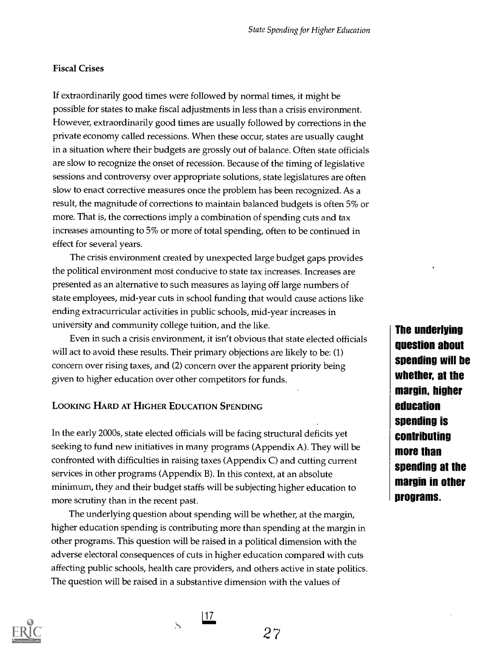#### Fiscal Crises

If extraordinarily good times were followed by normal times, it might be possible for states to make fiscal adjustments in less than a crisis environment. However, extraordinarily good times are usually followed by corrections in the private economy called recessions. When these occur, states are usually caught in a situation where their budgets are grossly out of balance. Often state officials are slow to recognize the onset of recession. Because of the timing of legislative sessions and controversy over appropriate solutions, state legislatures are often slow to enact corrective measures once the problem has been recognized. As a result, the magnitude of corrections to maintain balanced budgets is often 5% or more. That is, the corrections imply a combination of spending cuts and tax increases amounting to 5% or more of total spending, often to be continued in effect for several years.

The crisis environment created by unexpected large budget gaps provides the political environment most conducive to state tax increases. Increases are presented as an alternative to such measures as laying off large numbers of state employees, mid-year cuts in school funding that would cause actions like ending extracurricular activities in public schools, mid-year increases in university and community college tuition, and the like.

Even in such a crisis environment, it isn't obvious that state elected officials will act to avoid these results. Their primary objections are likely to be: (1) concern over rising taxes, and (2) concern over the apparent priority being given to higher education over other competitors for funds.

# LOOKING HARD AT HIGHER EDUCATION SPENDING

In the early 2000s, state elected officials will be facing structural deficits yet seeking to fund new initiatives in many programs (Appendix A). They will be confronted with difficulties in raising taxes (Appendix C) and cutting current services in other programs (Appendix B). In this context, at an absolute minimum, they and their budget staffs will be subjecting higher education to more scrutiny than in the recent past.

The underlying question about spending will be whether, at the margin, higher education spending is contributing more than spending at the margin in other programs. This question will be raised in a political dimension with the adverse electoral consequences of cuts in higher education compared with cuts affecting public schools, health care providers, and others active in state politics. The question will be raised in a substantive dimension with the values of

 $\sim$ 

The underlying question about spending will be whether, at the margin, higher education spending is contributing more than spending at the margin in other programs.

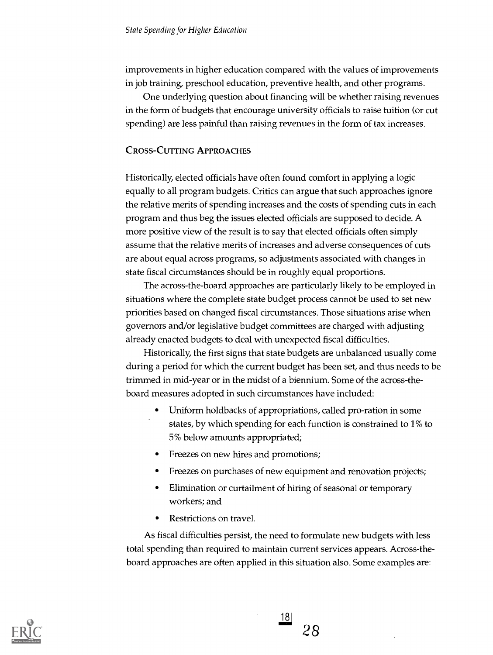improvements in higher education compared with the values of improvements in job training, preschool education, preventive health, and other programs.

One underlying question about financing will be whether raising revenues in the form of budgets that encourage university officials to raise tuition (or cut spending) are less painful than raising revenues in the form of tax increases.

# CROSS-CUTTING APPROACHES

Historically, elected officials have often found comfort in applying a logic equally to all program budgets. Critics can argue that such approaches ignore the relative merits of spending increases and the costs of spending cuts in each program and thus beg the issues elected officials are supposed to decide. A more positive view of the result is to say that elected officials often simply assume that the relative merits of increases and adverse consequences of cuts are about equal across programs, so adjustments associated with changes in state fiscal circumstances should be in roughly equal proportions.

The across-the-board approaches are particularly likely to be employed in situations where the complete state budget process cannot be used to set new priorities based on changed fiscal circumstances. Those situations arise when governors and/or legislative budget committees are charged with adjusting already enacted budgets to deal with unexpected fiscal difficulties.

Historically, the first signs that state budgets are unbalanced usually come during a period for which the current budget has been set, and thus needs to be trimmed in mid-year or in the midst of a biennium. Some of the across-theboard measures adopted in such circumstances have included:

- Uniform holdbacks of appropriations, called pro-ration in some states, by which spending for each function is constrained to 1% to 5% below amounts appropriated;
- Freezes on new hires and promotions;
- Freezes on purchases of new equipment and renovation projects;  $\bullet$
- Elimination or curtailment of hiring of seasonal or temporary  $\bullet$ workers; and
- Restrictions on travel.

As fiscal difficulties persist, the need to formulate new budgets with less total spending than required to maintain current services appears. Across-theboard approaches are often applied in this situation also. Some examples are:



<u> 18 </u> 28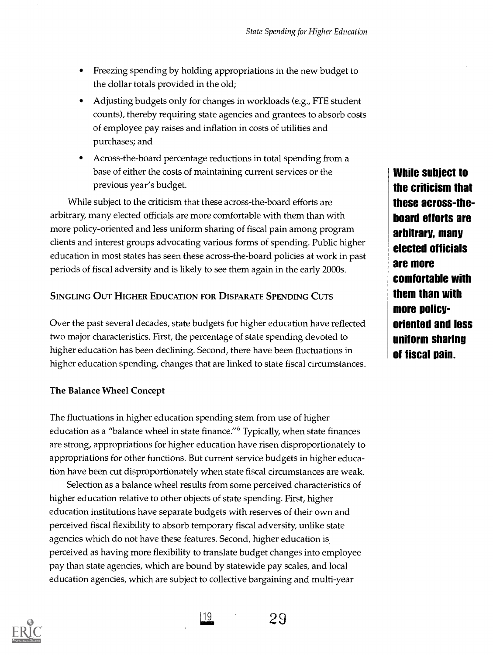- Freezing spending by holding appropriations in the new budget to the dollar totals provided in the old;
- Adjusting budgets only for changes in workloads (e.g., FTE student counts), thereby requiring state agencies and grantees to absorb costs of employee pay raises and inflation in costs of utilities and purchases; and
- Across-the-board percentage reductions in total spending from a base of either the costs of maintaining current services or the previous year's budget.

While subject to the criticism that these across-the-board efforts are arbitrary, many elected officials are more comfortable with them than with more policy-oriented and less uniform sharing of fiscal pain among program clients and interest groups advocating various forms of spending. Public higher education in most states has seen these across-the-board policies at work in past periods of fiscal adversity and is likely to see them again in the early 2000s.

# SINGLING OUT HIGHER EDUCATION FOR DISPARATE SPENDING CUTS

Over the past several decades, state budgets for higher education have reflected two major characteristics. First, the percentage of state spending devoted to higher education has been declining. Second, there have been fluctuations in higher education spending, changes that are linked to state fiscal circumstances.

# The Balance Wheel Concept

The fluctuations in higher education spending stem from use of higher education as a "balance wheel in state finance." Typically, when state finances are strong, appropriations for higher education have risen disproportionately to appropriations for other functions. But current service budgets in higher education have been cut disproportionately when state fiscal circumstances are weak.

Selection as a balance wheel results from some perceived characteristics of higher education relative to other objects of state spending. First, higher education institutions have separate budgets with reserves of their own and perceived fiscal flexibility to absorb temporary fiscal adversity, unlike state agencies which do not have these features. Second, higher education is perceived as having more flexibility to translate budget changes into employee pay than state agencies, which are bound by statewide pay scales, and local education agencies, which are subject to collective bargaining and multi-year



119.



While subject to the criticism that these across-theboard efforts are arbitrary, many elected officials are more comfortable with them than with more policyoriented and less uniform sharing of fiscal pain.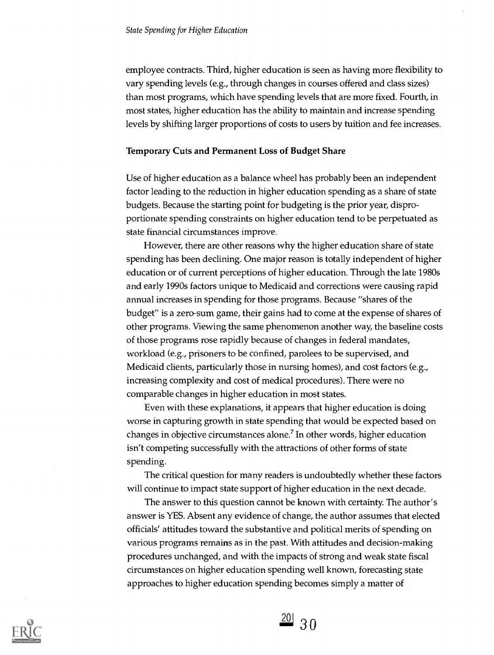employee contracts. Third, higher education is seen as having more flexibility to vary spending levels (e.g., through changes in courses offered and class sizes) than most programs, which have spending levels that are more fixed. Fourth, in most states, higher education has the ability to maintain and increase spending levels by shifting larger proportions of costs to users by tuition and fee increases.

#### Temporary Cuts and Permanent Loss of Budget Share

Use of higher education as a balance wheel has probably been an independent factor leading to the reduction in higher education spending as a share of state budgets. Because the starting point for budgeting is the prior year, disproportionate spending constraints on higher education tend to be perpetuated as state financial circumstances improve.

However, there are other reasons why the higher education share of state spending has been declining. One major reason is totally independent of higher education or of current perceptions of higher education. Through the late 1980s and early 1990s factors unique to Medicaid and corrections were causing rapid annual increases in spending for those programs. Because "shares of the budget" is a zero-sum game, their gains had to come at the expense of shares of other programs. Viewing the same phenomenon another way, the baseline costs of those programs rose rapidly because of changes in federal mandates, workload (e.g., prisoners to be confined, parolees to be supervised, and Medicaid clients, particularly those in nursing homes), and cost factors (e.g., increasing complexity and cost of medical procedures). There were no comparable changes in higher education in most states.

Even with these explanations, it appears that higher education is doing worse in capturing growth in state spending that would be expected based on changes in objective circumstances alone.' In other words, higher education isn't competing successfully with the attractions of other forms of state spending.

The critical question for many readers is undoubtedly whether these factors will continue to impact state support of higher education in the next decade.

The answer to this question cannot be known with certainty. The author's answer is YES. Absent any evidence of change, the author assumes that elected officials' attitudes toward the substantive and political merits of spending on various programs remains as in the past. With attitudes and decision-making procedures unchanged, and with the impacts of strong and weak state fiscal circumstances on higher education spending well known, forecasting state approaches to higher education spending becomes simply a matter of



 $\frac{20}{30}$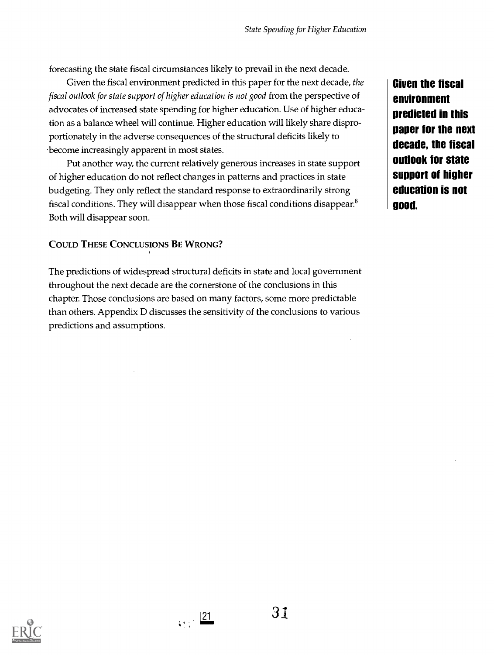forecasting the state fiscal circumstances likely to prevail in the next decade.

Given the fiscal environment predicted in this paper for the next decade, the fiscal outlook for state support of higher education is not good from the perspective of advocates of increased state spending for higher education. Use of higher education as a balance wheel will continue. Higher education will likely share disproportionately in the adverse consequences of the structural deficits likely to 'become increasingly apparent in most states.

Put another way, the current relatively generous increases in state support of higher education do not reflect changes in patterns and practices in state budgeting. They only reflect the standard response to extraordinarily strong fiscal conditions. They will disappear when those fiscal conditions disappear.<sup>8</sup> Both will disappear soon.

# COULD THESE CONCLUSIONS BE WRONG?

The predictions of widespread structural deficits in state and local government throughout the next decade are the cornerstone of the conclusions in this chapter. Those conclusions are based on many factors, some more predictable than others. Appendix D discusses the sensitivity of the conclusions to various predictions and assumptions.

Given the fiscal environment predicted in this paper for the next decade, the fiscal outlook for state support of higher education is not good.



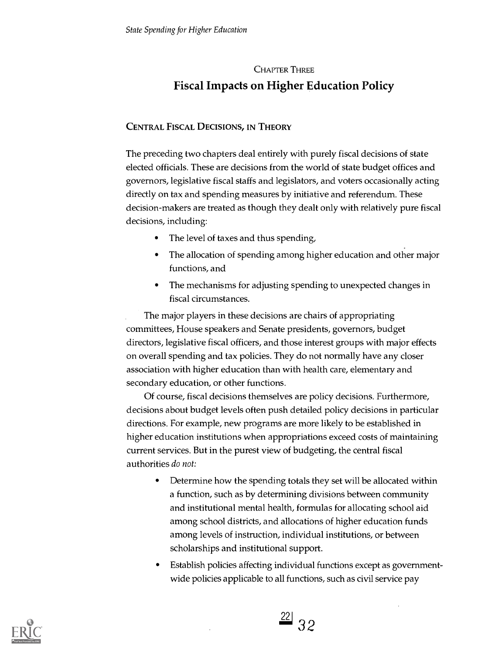# CHAPTER THREE Fiscal Impacts on Higher Education Policy

# CENTRAL FISCAL DECISIONS, IN THEORY

The preceding two chapters deal entirely with purely fiscal decisions of state elected officials. These are decisions from the world of state budget offices and governors, legislative fiscal staffs and legislators, and voters occasionally acting directly on tax and spending measures by initiative and referendum. These decision-makers are treated as though they dealt only with relatively pure fiscal decisions, including:

- The level of taxes and thus spending,  $\bullet$
- The allocation of spending among higher education and other major functions, and
- The mechanisms for adjusting spending to unexpected changes in  $\bullet$ fiscal circumstances.

The major players in these decisions are chairs of appropriating committees, House speakers and Senate presidents, governors, budget directors, legislative fiscal officers, and those interest groups with major effects on overall spending and tax policies. They do not normally have any closer association with higher education than with health care, elementary and secondary education, or other functions.

Of course, fiscal decisions themselves are policy decisions. Furthermore, decisions about budget levels often push detailed policy decisions in particular directions. For example, new programs are more likely to be established in higher education institutions when appropriations exceed costs of maintaining current services. But in the purest view of budgeting, the central fiscal authorities do not:

- $\bullet$ Determine how the spending totals they set will be allocated within a function, such as by determining divisions between community and institutional mental health, formulas for allocating school aid among school districts, and allocations of higher education funds among levels of instruction, individual institutions, or between scholarships and institutional support.
- Establish policies affecting individual functions except as governmentwide policies applicable to all functions, such as civil service pay



 $^{22}$  32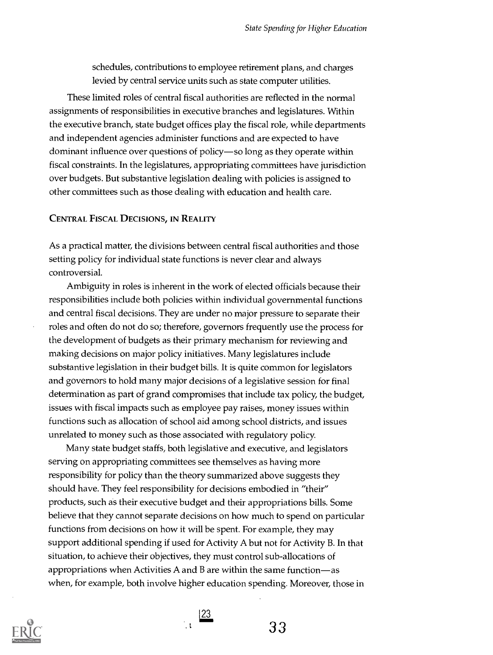schedules, contributions to employee retirement plans, and charges levied by central service units such as state computer utilities.

These limited roles of central fiscal authorities are reflected in the normal assignments of responsibilities in executive branches and legislatures. Within the executive branch, state budget offices play the fiscal role, while departments and independent agencies administer functions and are expected to have dominant influence over questions of policy-so long as they operate within fiscal constraints. In the legislatures, appropriating committees have jurisdiction over budgets. But substantive legislation dealing with policies is assigned to other committees such as those dealing with education and health care.

#### CENTRAL FISCAL DECISIONS, IN REALITY

As a practical matter, the divisions between central fiscal authorities and those setting policy for individual state functions is never clear and always controversial.

Ambiguity in roles is inherent in the work of elected officials because their responsibilities include both policies within individual governmental functions and central fiscal decisions. They are under no major pressure to separate their roles and often do not do so; therefore, governors frequently use the process for the development of budgets as their primary mechanism for reviewing and making decisions on major policy initiatives. Many legislatures include substantive legislation in their budget bills. It is quite common for legislators and governors to hold many major decisions of a legislative session for final determination as part of grand compromises that include tax policy, the budget, issues with fiscal impacts such as employee pay raises, money issues within functions such as allocation of school aid among school districts, and issues unrelated to money such as those associated with regulatory policy.

Many state budget staffs, both legislative and executive, and legislators serving on appropriating committees see themselves as having more responsibility for policy than the theory summarized above suggests they should have. They feel responsibility for decisions embodied in "their" products, such as their executive budget and their appropriations bills. Some believe that they cannot separate decisions on how much to spend on particular functions from decisions on how it will be spent. For example, they may support additional spending if used for Activity A but not for Activity B. In that situation, to achieve their objectives, they must control sub-allocations of appropriations when Activities A and B are within the same function—as when, for example, both involve higher education spending. Moreover, those in



 $\frac{23}{2}$ 

33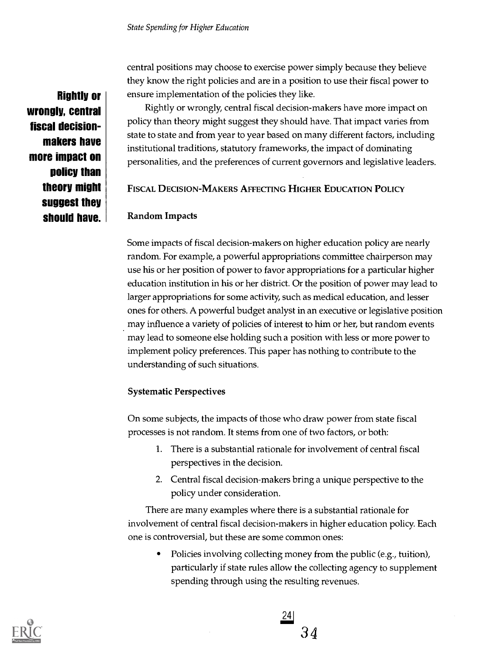Rightly or wrongly, central fiscal decisionmakers have more impact on policy than theory might suggest they should have. central positions may choose to exercise power simply because they believe they know the right policies and are in a position to use their fiscal power to ensure implementation of the policies they like.

Rightly or wrongly, central fiscal decision-makers have more impact on policy than theory might suggest they should have. That impact varies from state to state and from year to year based on many different factors, including institutional traditions, statutory frameworks, the impact of dominating personalities, and the preferences of current governors and legislative leaders.

# FISCAL DECISION-MAKERS AFFECTING HIGHER EDUCATION POLICY

# Random Impacts

Some impacts of fiscal decision-makers on higher education policy are nearly random. For example, a powerful appropriations committee chairperson may use his or her position of power to favor appropriations for a particular higher education institution in his or her district. Or the position of power may lead to larger appropriations for some activity, such as medical education, and lesser ones for others. A powerful budget analyst in an executive or legislative position may influence a variety of policies of interest to him or her, but random events may lead to someone else holding such a position with less or more power to implement policy preferences. This paper has nothing to contribute to the understanding of such situations.

# Systematic Perspectives

On some subjects, the impacts of those who draw power from state fiscal processes is not random. It stems from one of two factors, or both:

- 1. There is a substantial rationale for involvement of central fiscal perspectives in the decision.
- 2. Central fiscal decision-makers bring a unique perspective to the policy under consideration.

There are many examples where there is a substantial rationale for involvement of central fiscal decision-makers in higher education policy. Each one is controversial, but these are some common ones:

Policies involving collecting money from the public (e.g., tuition), particularly if state rules allow the collecting agency to supplement spending through using the resulting revenues.

34

 $\frac{24}{24}$ 

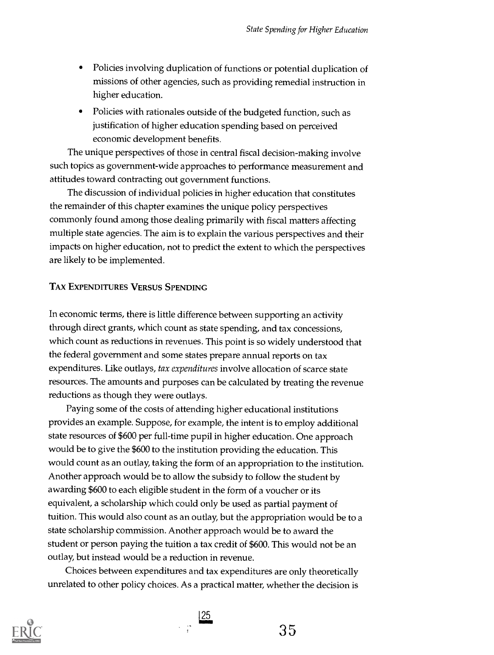- Policies involving duplication of functions or potential duplication of missions of other agencies, such as providing remedial instruction in higher education.
- Policies with rationales outside of the budgeted function, such as justification of higher education spending based on perceived economic development benefits.

The unique perspectives of those in central fiscal decision-making involve such topics as government-wide approaches to performance measurement and attitudes toward contracting out government functions.

The discussion of individual policies in higher education that constitutes the remainder of this chapter examines the unique policy perspectives commonly found among those dealing primarily with fiscal matters affecting multiple state agencies. The aim is to explain the various perspectives and their impacts on higher education, not to predict the extent to which the perspectives are likely to be implemented.

#### TAX EXPENDITURES VERSUS SPENDING

In economic terms, there is little difference between supporting an activity through direct grants, which count as state spending, and tax concessions, which count as reductions in revenues. This point is so widely understood that the federal government and some states prepare annual reports on tax expenditures. Like outlays, tax expenditures involve allocation of scarce state resources. The amounts and purposes can be calculated by treating the revenue reductions as though they were outlays.

Paying some of the costs of attending higher educational institutions provides an example. Suppose, for example, the intent is to employ additional state resources of \$600 per full-time pupil in higher education. One approach would be to give the \$600 to the institution providing the education. This would count as an outlay, taking the form of an appropriation to the institution. Another approach would be to allow the subsidy to follow the student by awarding \$600 to each eligible student in the form of a voucher or its equivalent, a scholarship which could only be used as partial payment of tuition. This would also count as an outlay, but the appropriation would be to a state scholarship commission. Another approach would be to award the student or person paying the tuition a tax credit of \$600. This would not be an outlay, but instead would be a reduction in revenue.

Choices between expenditures and tax expenditures are only theoretically unrelated to other policy choices. As a practical matter, whether the decision is

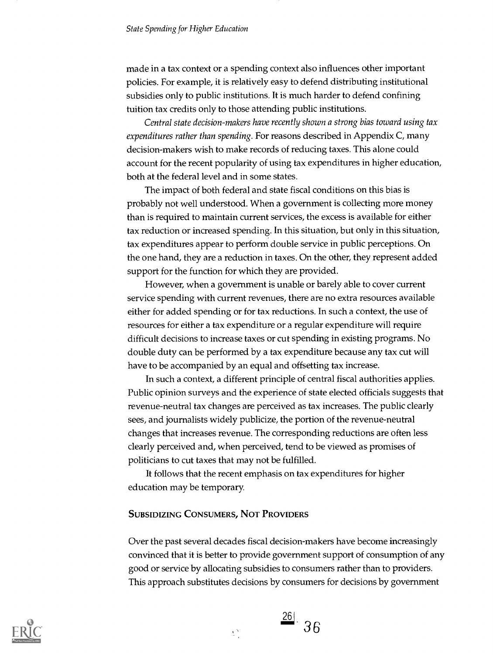#### State Spending for Higher Education

made in a tax context or a spending context also influences other important policies. For example, it is relatively easy to defend distributing institutional subsidies only to public institutions. It is much harder to defend confining tuition tax credits only to those attending public institutions.

Central state decision-makers have recently shown a strong bias toward using tax expenditures rather than spending. For reasons described in Appendix C, many decision-makers wish to make records of reducing taxes. This alone could account for the recent popularity of using tax expenditures in higher education, both at the federal level and in some states.

The impact of both federal and state fiscal conditions on this bias is probably not well understood. When a government is collecting more money than is required to maintain current services, the excess is available for either tax reduction or increased spending. In this situation, but only in this situation, tax expenditures appear to perform double service in public perceptions. On the one hand, they are a reduction in taxes. On the other, they represent added support for the function for which they are provided.

However, when a government is unable or barely able to cover current service spending with current revenues, there are no extra resources available either for added spending or for tax reductions. In such a context, the use of resources for either a tax expenditure or a regular expenditure will require difficult decisions to increase taxes or cut spending in existing programs. No double duty can be performed by a tax expenditure because any tax cut will have to be accompanied by an equal and offsetting tax increase.

In such a context, a different principle of central fiscal authorities applies. Public opinion surveys and the experience of state elected officials suggests that revenue-neutral tax changes are perceived as tax increases. The public clearly sees, and journalists widely publicize, the portion of the revenue-neutral changes that increases revenue. The corresponding reductions are often less clearly perceived and, when perceived, tend to be viewed as promises of politicians to cut taxes that may not be fulfilled.

It follows that the recent emphasis on tax expenditures for higher education may be temporary.

#### SUBSIDIZING CONSUMERS, NOT PROVIDERS

Over the past several decades fiscal decision-makers have become increasingly convinced that it is better to provide government support of consumption of any good or service by allocating subsidies to consumers rather than to providers. This approach substitutes decisions by consumers for decisions by government



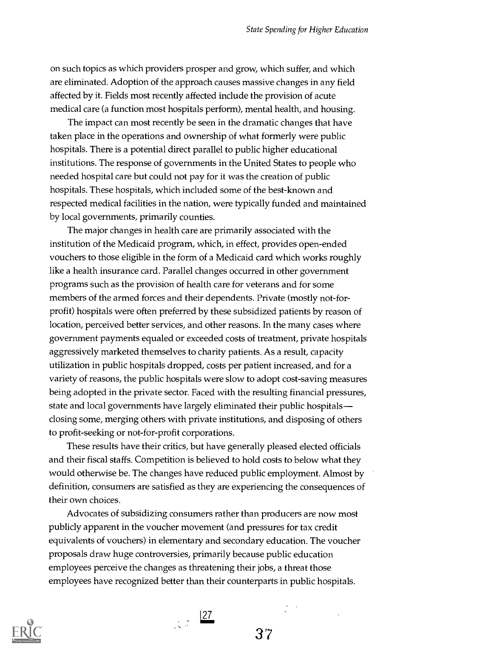on such topics as which providers prosper and grow, which suffer, and which are eliminated. Adoption of the approach causes massive changes in any field affected by it. Fields most recently affected include the provision of acute medical care (a function most hospitals perform), mental health, and housing.

The impact can most recently be seen in the dramatic changes that have taken place in the operations and ownership of what formerly were public hospitals. There is a potential direct parallel to public higher educational institutions. The response of governments in the United States to people who needed hospital care but could not pay for it was the creation of public hospitals. These hospitals, which included some of the best-known and respected medical facilities in the nation, were typically funded and maintained by local governments, primarily counties.

The major changes in health care are primarily associated with the institution of the Medicaid program, which, in effect, provides open-ended vouchers to those eligible in the form of a Medicaid card which works roughly like a health insurance card. Parallel changes occurred in other government programs such as the provision of health care for veterans and for some members of the armed forces and their dependents. Private (mostly not-forprofit) hospitals were often preferred by these subsidized patients by reason of location, perceived better services, and other reasons. In the many cases where government payments equaled or exceeded costs of treatment, private hospitals aggressively marketed themselves to charity patients. As a result, capacity utilization in public hospitals dropped, costs per patient increased, and for a variety of reasons, the public hospitals were slow to adopt cost-saving measures being adopted in the private sector. Faced with the resulting financial pressures, state and local governments have largely eliminated their public hospitals closing some, merging others with private institutions, and disposing of others to profit-seeking or not-for-profit corporations.

These results have their critics, but have generally pleased elected officials and their fiscal staffs. Competition is believed to hold costs to below what they would otherwise be. The changes have reduced public employment. Almost by definition, consumers are satisfied as they are experiencing the consequences of their own choices.

Advocates of subsidizing consumers rather than producers are now most publicly apparent in the voucher movement (and pressures for tax credit equivalents of vouchers) in elementary and secondary education. The voucher proposals draw huge controversies, primarily because public education employees perceive the changes as threatening their jobs, a threat those employees have recognized better than their counterparts in public hospitals.



 $\frac{27}{25}$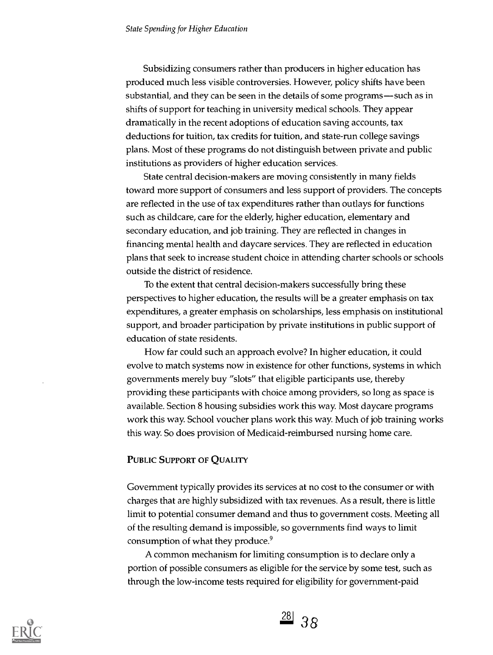Subsidizing consumers rather than producers in higher education has produced much less visible controversies. However, policy shifts have been substantial, and they can be seen in the details of some programs—such as in shifts of support for teaching in university medical schools. They appear dramatically in the recent adoptions of education saving accounts, tax deductions for tuition, tax credits for tuition, and state-run college savings plans. Most of these programs do not distinguish between private and public institutions as providers of higher education services.

State central decision-makers are moving consistently in many fields toward more support of consumers and less support of providers. The concepts are reflected in the use of tax expenditures rather than outlays for functions such as childcare, care for the elderly, higher education, elementary and secondary education, and job training. They are reflected in changes in financing mental health and daycare services. They are reflected in education plans that seek to increase student choice in attending charter schools or schools outside the district of residence.

To the extent that central decision-makers successfully bring these perspectives to higher education, the results will be a greater emphasis on tax expenditures, a greater emphasis on scholarships, less emphasis on institutional support, and broader participation by private institutions in public support of education of state residents.

How far could such an approach evolve? In higher education, it could evolve to match systems now in existence for other functions, systems in which governments merely buy "slots" that eligible participants use, thereby providing these participants with choice among providers, so long as space is available. Section 8 housing subsidies work this way. Most daycare programs work this way. School voucher plans work this way. Much of job training works this way. So does provision of Medicaid-reimbursed nursing home care.

# PUBLIC SUPPORT OF QUALITY

Government typically provides its services at no cost to the consumer or with charges that are highly subsidized with tax revenues. As a result, there is little limit to potential consumer demand and thus to government costs. Meeting all of the resulting demand is impossible, so governments find ways to limit consumption of what they produce.<sup>9</sup>

A common mechanism for limiting consumption is to declare only a portion of possible consumers as eligible for the service by some test, such as through the low-income tests required for eligibility for government-paid



 $\frac{28}{38}$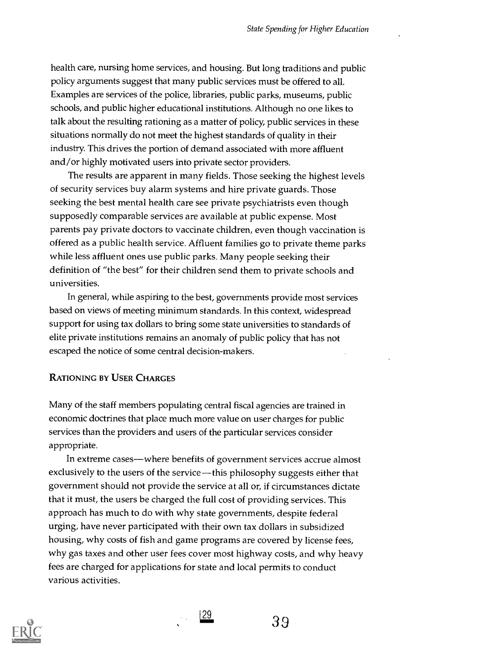health care, nursing home services, and housing. But long traditions and public policy arguments suggest that many public services must be offered to all. Examples are services of the police, libraries, public parks, museums, public schools, and public higher educational institutions. Although no one likes to talk about the resulting rationing as a matter of policy, public services in these situations normally do not meet the highest standards of quality in their industry. This drives the portion of demand associated with more affluent and/or highly motivated users into private sector providers.

The results are apparent in many fields. Those seeking the highest levels of security services buy alarm systems and hire private guards. Those seeking the best mental health care see private psychiatrists even though supposedly comparable services are available at public expense. Most parents pay private doctors to vaccinate children, even though vaccination is offered as a public health service. Affluent families go to private theme parks while less affluent ones use public parks. Many people seeking their definition of "the best" for their children send them to private schools and universities.

In general, while aspiring to the best, governments provide most services based on views of meeting minimum standards. In this context, widespread support for using tax dollars to bring some state universities to standards of elite private institutions remains an anomaly of public policy that has not escaped the notice of some central decision-makers.

#### RATIONING BY USER CHARGES

Many of the staff members populating central fiscal agencies are trained in economic doctrines that place much more value on user charges for public services than the providers and users of the particular services consider appropriate.

In extreme cases—where benefits of government services accrue almost exclusively to the users of the service—this philosophy suggests either that government should not provide the service at all or, if circumstances dictate that it must, the users be charged the full cost of providing services. This approach has much to do with why state governments, despite federal urging, have never participated with their own tax dollars in subsidized housing, why costs of fish and game programs are covered by license fees, why gas taxes and other user fees cover most highway costs, and why heavy fees are charged for applications for state and local permits to conduct various activities.



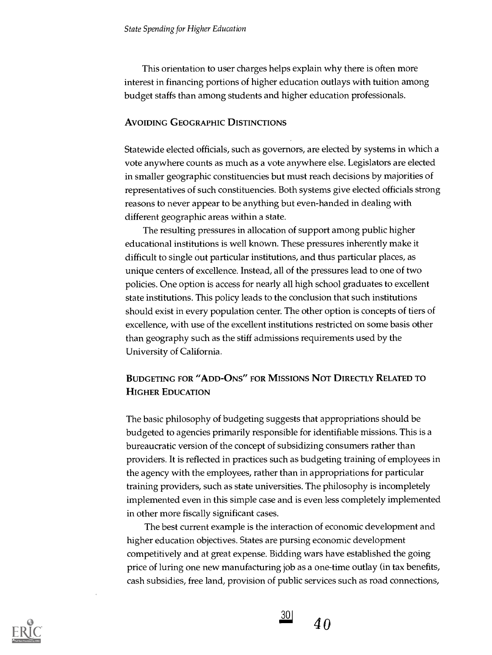This orientation to user charges helps explain why there is often more interest in financing portions of higher education outlays with tuition among budget staffs than among students and higher education professionals.

#### AVOIDING GEOGRAPHIC DISTINCTIONS

Statewide elected officials, such as governors, are elected by systems in which a vote anywhere counts as much as a vote anywhere else. Legislators are elected in smaller geographic constituencies but must reach decisions by majorities of representatives of such constituencies. Both systems give elected officials strong reasons to never appear to be anything but even-handed in dealing with different geographic areas within a state.

The resulting pressures in allocation of support among public higher educational institutions is well known. These pressures inherently make it difficult to single out particular institutions, and thus particular places, as unique centers of excellence. Instead, all of the pressures lead to one of two policies. One option is access for nearly all high school graduates to excellent state institutions. This policy leads to the conclusion that such institutions should exist in every population center. The other option is concepts of tiers of excellence, with use of the excellent institutions restricted on some basis other than geography such as the stiff admissions requirements used by the University of California.

# BUDGETING FOR "ADD-ONS" FOR MISSIONS NOT DIRECTLY RELATED TO HIGHER EDUCATION

The basic philosophy of budgeting suggests that appropriations should be budgeted to agencies primarily responsible for identifiable missions. This is a bureaucratic version of the concept of subsidizing consumers rather than providers. It is reflected in practices such as budgeting training of employees in the agency with the employees, rather than in appropriations for particular training providers, such as state universities. The philosophy is incompletely implemented even in this simple case and is even less completely implemented in other more fiscally significant cases.

The best current example is the interaction of economic development and higher education objectives. States are pursing economic development competitively and at great expense. Bidding wars have established the going price of luring one new manufacturing job as a one-time outlay (in tax benefits, cash subsidies, free land, provision of public services such as road connections,



 $30<sub>1</sub>$  $40$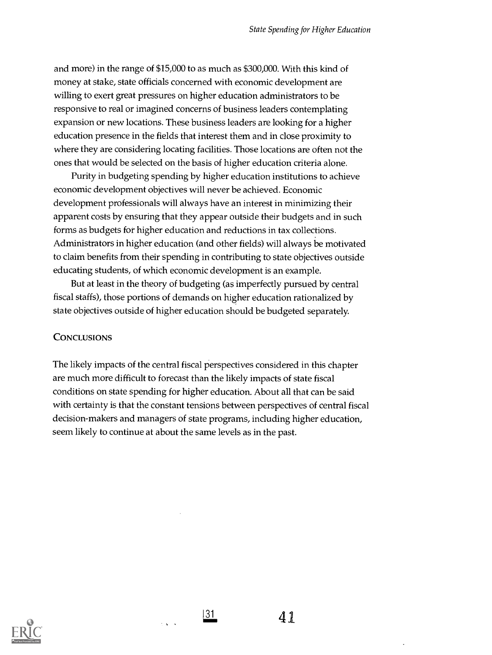and more) in the range of \$15,000 to as much as \$300,000. With this kind of money at stake, state officials concerned with economic development are willing to exert great pressures on higher education administrators to be responsive to real or imagined concerns of business leaders contemplating expansion or new locations. These business leaders are looking for a higher education presence in the fields that interest them and in close proximity to where they are considering locating facilities. Those locations are often not the ones that would be selected on the basis of higher education criteria alone.

Purity in budgeting spending by higher education institutions to achieve economic development objectives will never be achieved. Economic development professionals will always have an interest in minimizing their apparent costs by ensuring that they appear outside their budgets and in such forms as budgets for higher education and reductions in tax collections. Administrators in higher education (and other fields) will always be motivated to claim benefits from their spending in contributing to state objectives outside educating students, of which economic development is an example.

But at least in the theory of budgeting (as imperfectly pursued by central fiscal staffs), those portions of demands on higher education rationalized by state objectives outside of higher education should be budgeted separately.

# **CONCLUSIONS**

The likely impacts of the central fiscal perspectives considered in this chapter are much more difficult to forecast than the likely impacts of state fiscal conditions on state spending for higher education. About all that can be said with certainty is that the constant tensions between perspectives of central fiscal decision-makers and managers of state programs, including higher education, seem likely to continue at about the same levels as in the past.



131.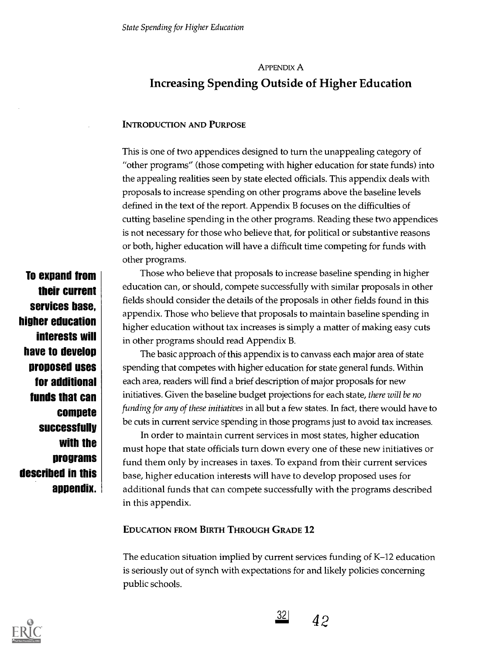# APPENDIX A Increasing Spending Outside of Higher Education

# INTRODUCTION AND PURPOSE

This is one of two appendices designed to turn the unappealing category of "other programs" (those competing with higher education for state funds) into the appealing realities seen by state elected officials. This appendix deals with proposals to increase spending on other programs above the baseline levels defined in the text of the report. Appendix B focuses on the difficulties of cutting baseline spending in the other programs. Reading these two appendices is not necessary for those who believe that, for political or substantive reasons or both, higher education will have a difficult time competing for funds with other programs.

To expand from their current services base, higher education interests will have to develop proposed uses for additional funds that can compete successfully with the programs described in this appendix.

Those who believe that proposals to increase baseline spending in higher education can, or should, compete successfully with similar proposals in other fields should consider the details of the proposals in other fields found in this appendix. Those who believe that proposals to maintain baseline spending in higher education without tax increases is simply a matter of making easy cuts in other programs should read Appendix B.

The basic approach of this appendix is to canvass each major area of state spending that competes with higher education for state general funds. Within each area, readers will find a brief description of major proposals for new initiatives. Given the baseline budget projections for each state, there will be no funding for any of these initiatives in all but a few states. In fact, there would have to be cuts in current service spending in those programs just to avoid tax increases.

In order to maintain current services in most states, higher education must hope that state officials turn down every one of these new initiatives or fund them only by increases in taxes. To expand from their current services base, higher education interests will have to develop proposed uses for additional funds that can compete successfully with the programs described in this appendix.

# EDUCATION FROM BIRTH THROUGH GRADE 12

The education situation implied by current services funding of K-12 education is seriously out of synch with expectations for and likely policies concerning public schools.



32| 42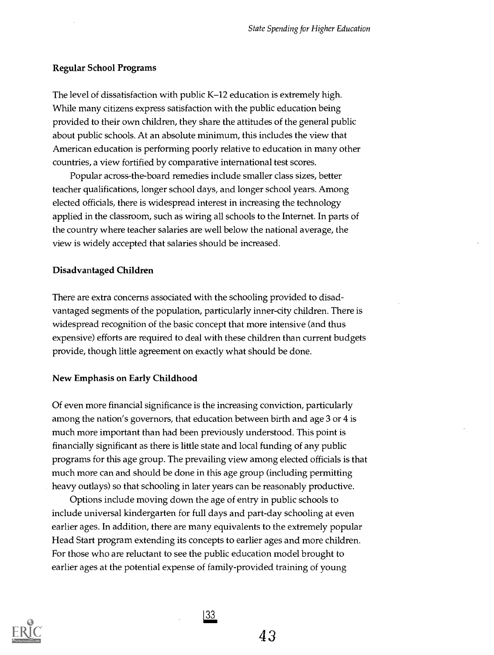# Regular School Programs

The level of dissatisfaction with public K-12 education is extremely high. While many citizens express satisfaction with the public education being provided to their own children, they share the attitudes of the general public about public schools. At an absolute minimum, this includes the view that American education is performing poorly relative to education in many other countries, a view fortified by comparative international test scores.

Popular across-the-board remedies include smaller class sizes, better teacher qualifications, longer school days, and longer school years. Among elected officials, there is widespread interest in increasing the technology applied in the classroom, such as wiring all schools to the Internet. In parts of the country where teacher salaries are well below the national average, the view is widely accepted that salaries should be increased.

#### Disadvantaged Children

There are extra concerns associated with the schooling provided to disadvantaged segments of the population, particularly inner-city children. There is widespread recognition of the basic concept that more intensive (and thus expensive) efforts are required to deal with these children than current budgets provide, though little agreement on exactly what should be done.

#### New Emphasis on Early Childhood

Of even more financial significance is the increasing conviction, particularly among the nation's governors, that education between birth and age 3 or 4 is much more important than had been previously understood. This point is financially significant as there is little state and local funding of any public programs for this age group. The prevailing view among elected officials is that much more can and should be done in this age group (including permitting heavy outlays) so that schooling in later years can be reasonably productive.

Options include moving down the age of entry in public schools to include universal kindergarten for full days and part-day schooling at even earlier ages. In addition, there are many equivalents to the extremely popular Head Start program extending its concepts to earlier ages and more children. For those who are reluctant to see the public education model brought to earlier ages at the potential expense of family-provided training of young



|33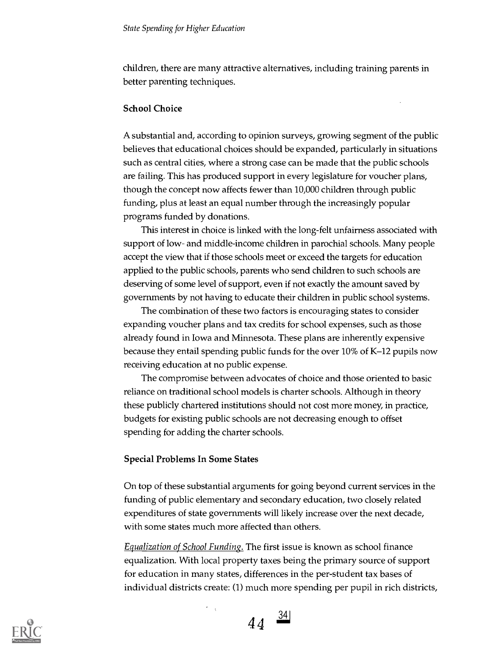children, there are many attractive alternatives, including training parents in better parenting techniques.

### School Choice

A substantial and, according to opinion surveys, growing segment of the public believes that educational choices should be expanded, particularly in situations such as central cities, where a strong case can be made that the public schools are failing. This has produced support in every legislature for voucher plans, though the concept now affects fewer than 10,000 children through public funding, plus at least an equal number through the increasingly popular programs funded by donations.

This interest in choice is linked with the long-felt unfairness associated with support of low- and middle-income children in parochial schools. Many people accept the view that if those schools meet or exceed the targets for education applied to the public schools, parents who send children to such schools are deserving of some level of support, even if not exactly the amount saved by governments by not having to educate their children in public school systems.

The combination of these two factors is encouraging states to consider expanding voucher plans and tax credits for school expenses, such as those already found in Iowa and Minnesota. These plans are inherently expensive because they entail spending public funds for the over 10% of K-12 pupils now receiving education at no public expense.

The compromise between advocates of choice and those oriented to basic reliance on traditional school models is charter schools. Although in theory these publicly chartered institutions should not cost more money, in practice, budgets for existing public schools are not decreasing enough to offset spending for adding the charter schools.

#### Special Problems In Some States

On top of these substantial arguments for going beyond current services in the funding of public elementary and secondary education, two closely related expenditures of state governments will likely increase over the next decade, with some states much more affected than others.

Equalization of School Funding. The first issue is known as school finance equalization. With local property taxes being the primary source of support for education in many states, differences in the per-student tax bases of individual districts create: (1) much more spending per pupil in rich districts,

$$
44 \quad \frac{34}{}
$$

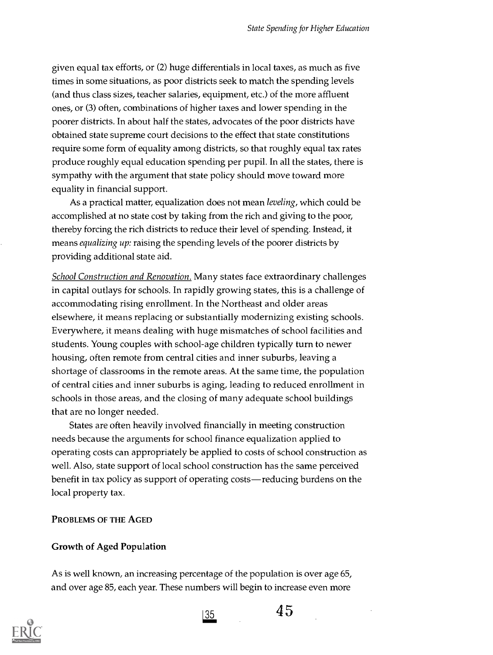given equal tax efforts, or (2) huge differentials in local taxes, as much as five times in some situations, as poor districts seek to match the spending levels (and thus class sizes, teacher salaries, equipment, etc.) of the more affluent ones, or (3) often, combinations of higher taxes and lower spending in the poorer districts. In about half the states, advocates of the poor districts have obtained state supreme court decisions to the effect that state constitutions require some form of equality among districts, so that roughly equal tax rates produce roughly equal education spending per pupil. In all the states, there is sympathy with the argument that state policy should move toward more equality in financial support.

As a practical matter, equalization does not mean *leveling*, which could be accomplished at no state cost by taking from the rich and giving to the poor, thereby forcing the rich districts to reduce their level of spending. Instead, it means *equalizing up*: raising the spending levels of the poorer districts by providing additional state aid.

School Construction and Renovation. Many states face extraordinary challenges in capital outlays for schools. In rapidly growing states, this is a challenge of accommodating rising enrollment. In the Northeast and older areas elsewhere, it means replacing or substantially modernizing existing schools. Everywhere, it means dealing with huge mismatches of school facilities and students. Young couples with school-age children typically turn to newer housing, often remote from central cities and inner suburbs, leaving a shortage of classrooms in the remote areas. At the same time, the population of central cities and inner suburbs is aging, leading to reduced enrollment in schools in those areas, and the closing of many adequate school buildings that are no longer needed.

States are often heavily involved financially in meeting construction needs because the arguments for school finance equalization applied to operating costs can appropriately be applied to costs of school construction as well. Also, state support of local school construction has the same perceived benefit in tax policy as support of operating costs—reducing burdens on the local property tax.

PROBLEMS OF THE AGED

#### Growth of Aged Population

As is well known, an increasing percentage of the population is over age 65, and over age 85, each year. These numbers will begin to increase even more





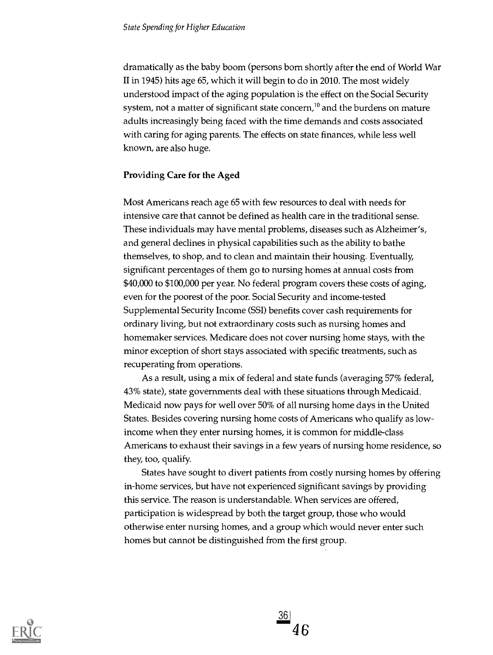dramatically as the baby boom (persons born shortly after the end of World War II in 1945) hits age 65, which it will begin to do in 2010. The most widely understood impact of the aging population is the effect on the Social Security system, not a matter of significant state concern,<sup>10</sup> and the burdens on mature adults increasingly being faced with the time demands and costs associated with caring for aging parents. The effects on state finances, while less well known, are also huge.

# Providing Care for the Aged

Most Americans reach age 65 with few resources to deal with needs for intensive care that cannot be defined as health care in the traditional sense. These individuals may have mental problems, diseases such as Alzheimer's, and general declines in physical capabilities such as the ability to bathe themselves, to shop, and to clean and maintain their housing. Eventually, significant percentages of them go to nursing homes at annual costs from \$40,000 to \$100,000 per year. No federal program covers these costs of aging, even for the poorest of the poor. Social Security and income-tested Supplemental Security Income (SSI) benefits cover cash requirements for ordinary living, but not extraordinary costs such as nursing homes and homemaker services. Medicare does not cover nursing home stays, with the minor exception of short stays associated with specific treatments, such as recuperating from operations.

As a result, using a mix of federal and state funds (averaging 57% federal, 43% state), state governments deal with these situations through Medicaid. Medicaid now pays for well over 50% of all nursing home days in the United States. Besides covering nursing home costs of Americans who qualify as lowincome when they enter nursing homes, it is common for middle-class Americans to exhaust their savings in a few years of nursing home residence, so they, too, qualify.

States have sought to divert patients from costly nursing homes by offering in-home services, but have not experienced significant savings by providing this service. The reason is understandable. When services are offered, participation is widespread by both the target group, those who would otherwise enter nursing homes, and a group which would never enter such homes but cannot be distinguished from the first group.



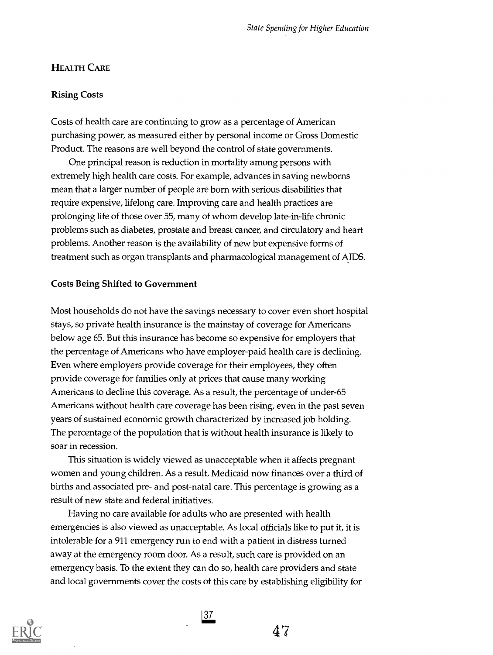# **HEALTH CARE**

#### Rising Costs

Costs of health care are continuing to grow as a percentage of American purchasing power, as measured either by personal income or Gross Domestic Product. The reasons are well beyond the control of state governments.

One principal reason is reduction in mortality among persons with extremely high health care costs. For example, advances in saving newborns mean that a larger number of people are born with serious disabilities that require expensive, lifelong care. Improving care and health practices are prolonging life of those over 55, many of whom develop late-in-life chronic problems such as diabetes, prostate and breast cancer, and circulatory and heart problems. Another reason is the availability of new but expensive forms of treatment such as organ transplants and pharmacological management of AIDS.

#### Costs Being Shifted to Government

Most households do not have the savings necessary to cover even short hospital stays, so private health insurance is the mainstay of coverage for Americans below age 65. But this insurance has become so expensive for employers that the percentage of Americans who have employer-paid health care is declining. Even where employers provide coverage for their employees, they often provide coverage for families only at prices that cause many working Americans to decline this coverage. As a result, the percentage of under-65 Americans without health care coverage has been rising, even in the past seven years of sustained economic growth characterized by increased job holding. The percentage of the population that is without health insurance is likely to soar in recession.

This situation is widely viewed as unacceptable when it affects pregnant women and young children. As a result, Medicaid now finances over a third of births and associated pre- and post-natal care. This percentage is growing as a result of new state and federal initiatives.

Having no care available for adults who are presented with health emergencies is also viewed as unacceptable. As local officials like to put it, it is intolerable for a 911 emergency run to end with a patient in distress turned away at the emergency room door. As a result, such care is provided on an emergency basis. To the extent they can do so, health care providers and state and local governments cover the costs of this care by establishing eligibility for



 $\frac{37}{2}$ 

47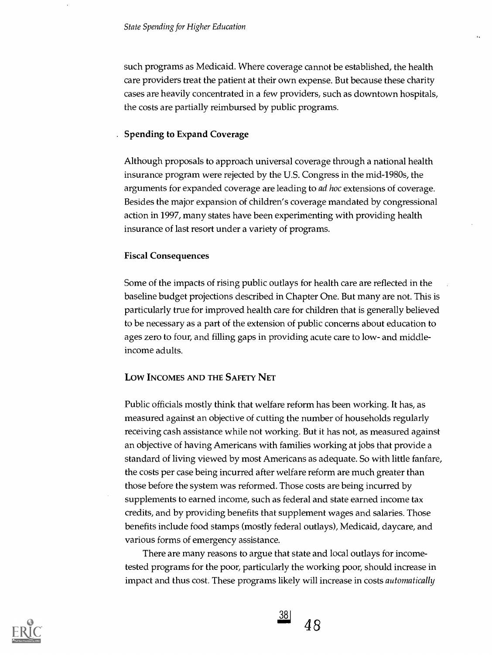such programs as Medicaid. Where coverage cannot be established, the health care providers treat the patient at their own expense. But because these charity cases are heavily concentrated in a few providers, such as downtown hospitals, the costs are partially reimbursed by public programs.

#### . Spending to Expand Coverage

Although proposals to approach universal coverage through a national health insurance program were rejected by the U.S. Congress in the mid-1980s, the arguments for expanded coverage are leading to ad hoc extensions of coverage. Besides the major expansion of children's coverage mandated by congressional action in 1997, many states have been experimenting with providing health insurance of last resort under a variety of programs.

#### Fiscal Consequences

Some of the impacts of rising public outlays for health care are reflected in the baseline budget projections described in Chapter One. But many are not. This is particularly true for improved health care for children that is generally believed to be necessary as a part of the extension of public concerns about education to ages zero to four, and filling gaps in providing acute care to low- and middleincome adults.

#### Low INCOMES AND THE SAFETY NET

Public officials mostly think that welfare reform has been working. It has, as measured against an objective of cutting the number of households regularly receiving cash assistance while not working. But it has not, as measured against an objective of having Americans with families working at jobs that provide a standard of living viewed by most Americans as adequate. So with little fanfare, the costs per case being incurred after welfare reform are much greater than those before the system was reformed. Those costs are being incurred by supplements to earned income, such as federal and state earned income tax credits, and by providing benefits that supplement wages and salaries. Those benefits include food stamps (mostly federal outlays), Medicaid, daycare, and various forms of emergency assistance.

There are many reasons to argue that state and local outlays for incometested programs for the poor, particularly the working poor, should increase in impact and thus cost. These programs likely will increase in costs automatically



38 48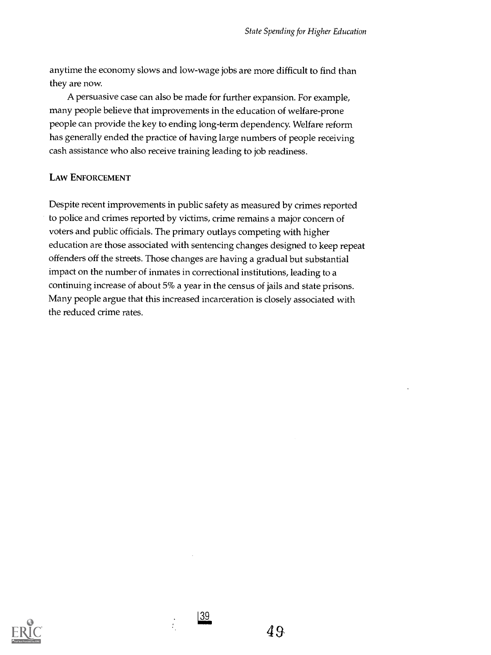anytime the economy slows and low-wage jobs are more difficult to find than they are now.

A persuasive case can also be made for further expansion. For example, many people believe that improvements in the education of welfare-prone people can provide the key to ending long-term dependency. Welfare reform has generally ended the practice of having large numbers of people receiving cash assistance who also receive training leading to job readiness.

# LAW ENFORCEMENT

Despite recent improvements in public safety as measured by crimes reported to police and crimes reported by victims, crime remains a major concern of voters and public officials The primary outlays competing with higher education are those associated with sentencing changes designed to keep repeat offenders off the streets. Those changes are having a gradual but substantial impact on the number of inmates in correctional institutions, leading to a continuing increase of about 5% a year in the census of jails and state prisons. Many people argue that this increased incarceration is closely associated with the reduced crime rates.



|39

 $\ddot{\cdot}$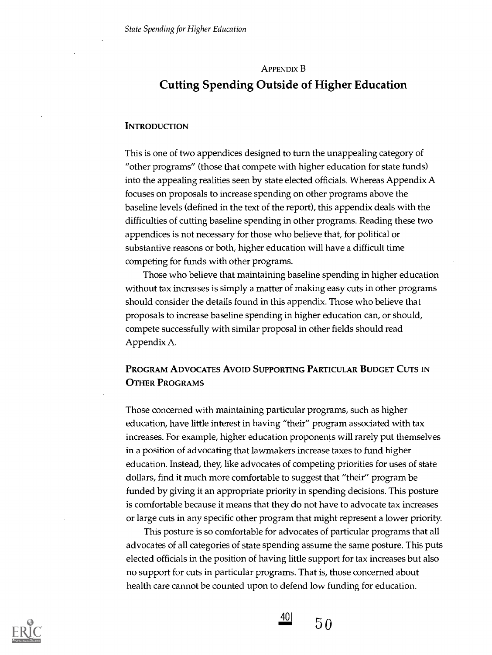# APPENDIX B Cutting Spending Outside of Higher Education

#### **INTRODUCTION**

This is one of two appendices designed to turn the unappealing category of "other programs" (those that compete with higher education for state funds) into the appealing realities seen by state elected officials. Whereas Appendix A focuses on proposals to increase spending on other programs above the baseline levels (defined in the text of the report), this appendix deals with the difficulties of cutting baseline spending in other programs. Reading these two appendices is not necessary for those who believe that, for political or substantive reasons or both, higher education will have a difficult time competing for funds with other programs.

Those who believe that maintaining baseline spending in higher education without tax increases is simply a matter of making easy cuts in other programs should consider the details found in this appendix. Those who believe that proposals to increase baseline spending in higher education can, or should, compete successfully with similar proposal in other fields should read Appendix A.

# PROGRAM ADVOCATES AVOID SUPPORTING PARTICULAR BUDGET CUTS IN OTHER PROGRAMS

Those concerned with maintaining particular programs, such as higher education, have little interest in having "their" program associated with tax increases. For example, higher education proponents will rarely put themselves in a position of advocating that lawmakers increase taxes to fund higher education. Instead, they, like advocates of competing priorities for uses of state dollars, find it much more comfortable to suggest that "their" program be funded by giving it an appropriate priority in spending decisions. This posture is comfortable because it means that they do not have to advocate tax increases or large cuts in any specific other program that might represent a lower priority.

This posture is so comfortable for advocates of particular programs that all advocates of all categories of state spending assume the same posture. This puts elected officials in the position of having little support for tax increases but also no support for cuts in particular programs. That is, those concerned about health care cannot be counted upon to defend low funding for education.



40 | 50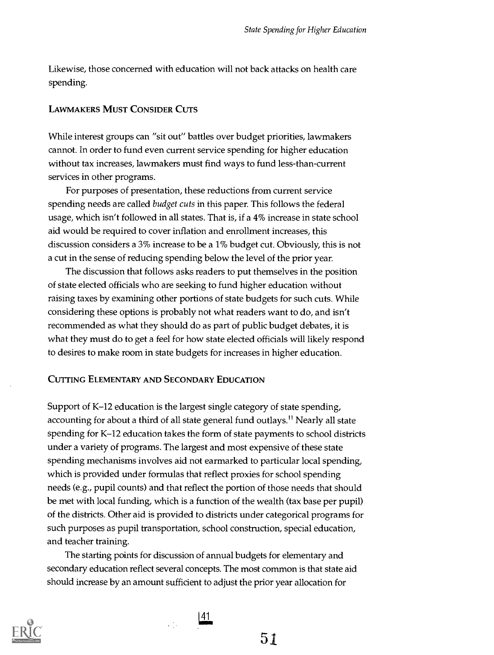Likewise, those concerned with education will not back attacks on health care spending.

# LAWMAKERS MUST CONSIDER CUTS

While interest groups can "sit out" battles over budget priorities, lawmakers cannot. In order to fund even current service spending for higher education without tax increases, lawmakers must find ways to fund less-than-current services in other programs.

For purposes of presentation, these reductions from current service spending needs are called budget cuts in this paper. This follows the federal usage, which isn't followed in all states. That is, if a 4% increase in state school aid would be required to cover inflation and enrollment increases, this discussion considers a 3% increase to be a 1% budget cut. Obviously, this is not a cut in the sense of reducing spending below the level of the prior year.

The discussion that follows asks readers to put themselves in the position of state elected officials who are seeking to fund higher education without raising taxes by examining other portions of state budgets for such cuts. While considering these options is probably not what readers want to do, and isn't recommended as what they should do as part of public budget debates, it is what they must do to get a feel for how state elected officials will likely respond to desires to make room in state budgets for increases in higher education.

#### CUTTING ELEMENTARY AND SECONDARY EDUCATION

Support of K-12 education is the largest single category of state spending, accounting for about a third of all state general fund outlays.<sup>11</sup> Nearly all state spending for K-12 education takes the form of state payments to school districts under a variety of programs. The largest and most expensive of these state spending mechanisms involves aid not earmarked to particular local spending, which is provided under formulas that reflect proxies for school spending needs (e.g., pupil counts) and that reflect the portion of those needs that should be met with local funding, which is a function of the wealth (tax base per pupil) of the districts. Other aid is provided to districts under categorical programs for such purposes as pupil transportation, school construction, special education, and teacher training.

The starting points for discussion of annual budgets for elementary and secondary education reflect several concepts. The most common is that state aid should increase by an amount sufficient to adjust the prior year allocation for



41

 $\frac{1}{2} \sum_{i=1}^n \hat{f}_i$ 

51.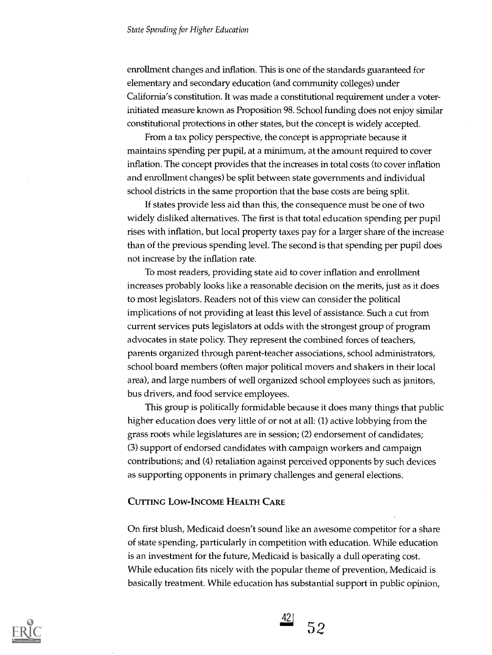enrollment changes and inflation. This is one of the standards guaranteed for elementary and secondary education (and community colleges) under California's constitution. It was made a constitutional requirement under a voterinitiated measure known as Proposition 98. School funding does not enjoy similar constitutional protections in other states, but the concept is widely accepted.

From a tax policy perspective, the concept is appropriate because it maintains spending per pupil, at a minimum, at the amount required to cover inflation. The concept provides that the increases in total costs (to cover inflation and enrollment changes) be split between state governments and individual school districts in the same proportion that the base costs are being split.

If states provide less aid than this, the consequence must be one of two widely disliked alternatives. The first is that total education spending per pupil rises with inflation, but local property taxes pay for a larger share of the increase than of the previous spending level. The second is that spending per pupil does not increase by the inflation rate.

To most readers, providing state aid to cover inflation and enrollment increases probably looks like a reasonable decision on the merits, just as it does to most legislators. Readers not of this view can consider the political implications of not providing at least this level of assistance. Such a cut from current services puts legislators at odds with the strongest group of program advocates in state policy. They represent the combined forces of teachers, parents organized through parent-teacher associations, school administrators, school board members (often major political movers and shakers in their local area), and large numbers of well organized school employees such as janitors, bus drivers, and food service employees.

This group is politically formidable because it does many things that public higher education does very little of or not at all: (1) active lobbying from the grass roots while legislatures are in session; (2) endorsement of candidates; (3) support of endorsed candidates with campaign workers and campaign contributions; and (4) retaliation against perceived opponents by such devices as supporting opponents in primary challenges and general elections.

# CUTTING LOW-INCOME HEALTH CARE

On first blush, Medicaid doesn't sound like an awesome competitor for a share of state spending, particularly in competition with education. While education is an investment for the future, Medicaid is basically a dull operating cost. While education fits nicely with the popular theme of prevention, Medicaid is basically treatment. While education has substantial support in public opinion,



 $\frac{42}{52}$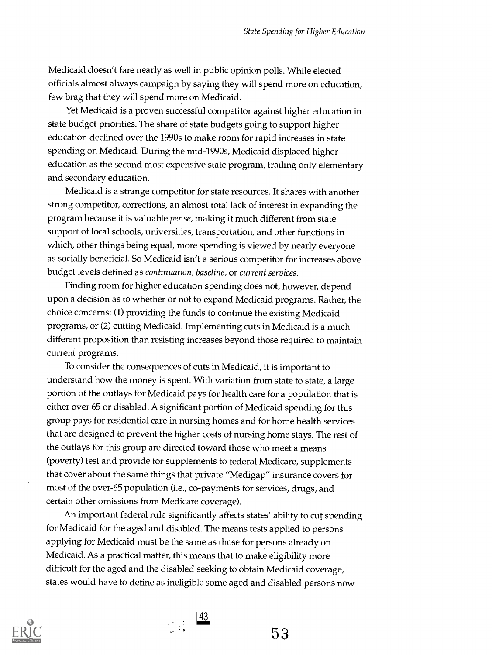Medicaid doesn't fare nearly as well in public opinion polls. While elected officials almost always campaign by saying they will spend more on education, few brag that they will spend more on Medicaid.

Yet Medicaid is a proven successful competitor against higher education in state budget priorities. The share of state budgets going to support higher education declined over the 1990s to make room for rapid increases in state spending on Medicaid. During the mid-1990s, Medicaid displaced higher education as the second most expensive state program, trailing only elementary and secondary education.

Medicaid is a strange competitor for state resources. It shares with another strong competitor, corrections, an almost total lack of interest in expanding the program because it is valuable *per se*, making it much different from state support of local schools, universities, transportation, and other functions in which, other things being equal, more spending is viewed by nearly everyone as socially beneficial. So Medicaid isn't a serious competitor for increases above budget levels defined as continuation, baseline, or current services.

Finding room for higher education spending does not, however, depend upon a decision as to whether or not to expand Medicaid programs. Rather, the choice concerns: (1) providing the funds to continue the existing Medicaid programs, or (2) cutting Medicaid. Implementing cuts in Medicaid is a much different proposition than resisting increases beyond those required to maintain current programs.

To consider the consequences of cuts in Medicaid, it is important to understand how the money is spent. With variation from state to state, a large portion of the outlays for Medicaid pays for health care for a population that is either over 65 or disabled. A significant portion of Medicaid spending for this group pays for residential care in nursing homes and for home health services that are designed to prevent the higher costs of nursing home stays. The rest of the outlays for this group are directed toward those who meet a means (poverty) test and provide for supplements to federal Medicare, supplements that cover about the same things that private "Medigap" insurance covers for most of the over-65 population (i.e., co-payments for services, drugs, and certain other omissions from Medicare coverage).

An important federal rule significantly affects states' ability to cut spending for Medicaid for the aged and disabled. The means tests applied to persons applying for Medicaid must be the same as those for persons already on Medicaid. As a practical matter, this means that to make eligibility more difficult for the aged and the disabled seeking to obtain Medicaid coverage, states would have to define as ineligible some aged and disabled persons now



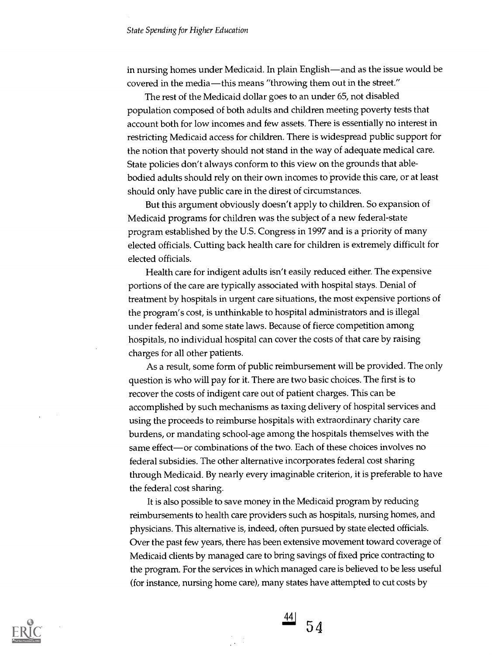in nursing homes under Medicaid. In plain English—and as the issue would be covered in the media—this means "throwing them out in the street."

The rest of the Medicaid dollar goes to an under 65, not disabled population composed of both adults and children meeting poverty tests that account both for low incomes and few assets. There is essentially no interest in restricting Medicaid access for children. There is widespread public support for the notion that poverty should not stand in the way of adequate medical care. State policies don't always conform to this view on the grounds that ablebodied adults should rely on their own incomes to provide this care, or at least should only have public care in the direst of circumstances.

But this argument obviously doesn't apply to children. So expansion of Medicaid programs for children was the subject of a new federal-state program established by the U.S. Congress in 1997 and is a priority of many elected officials. Cutting back health care for children is extremely difficult for elected officials.

Health care for indigent adults isn't easily reduced either. The expensive portions of the care are typically associated with hospital stays. Denial of treatment by hospitals in urgent care situations, the most expensive portions of the program's cost, is unthinkable to hospital administrators and is illegal under federal and some state laws. Because of fierce competition among hospitals, no individual hospital can cover the costs of that care by raising charges for all other patients.

As a result, some form of public reimbursement will be provided. The only question is who will pay for it. There are two basic choices. The first is to recover the costs of indigent care out of patient charges. This can be accomplished by such mechanisms as taxing delivery of hospital services and using the proceeds to reimburse hospitals with extraordinary charity care burdens, or mandating school-age among the hospitals themselves with the same effect—or combinations of the two. Each of these choices involves no federal subsidies. The other alternative incorporates federal cost sharing through Medicaid. By nearly every imaginable criterion, it is preferable to have the federal cost sharing.

It is also possible to save money in the Medicaid program by reducing reimbursements to health care providers such as hospitals, nursing homes, and physicians. This alternative is, indeed, often pursued by state elected officials. Over the past few years, there has been extensive movement toward coverage of Medicaid clients by managed care to bring savings of fixed price contracting to the program. For the services in which managed care is believed to be less useful (for instance, nursing home care), many states have attempted to cut costs by



 $\left( \frac{44}{1} \right)$  $54$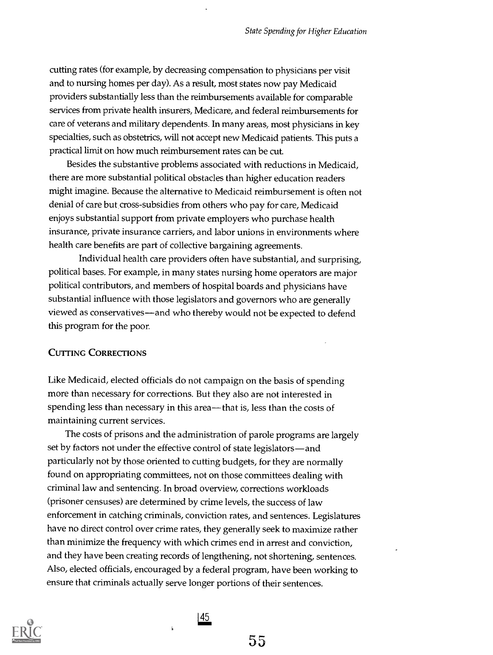cutting rates (for example, by decreasing compensation to physicians per visit and to nursing homes per day). As a result, most states now pay Medicaid providers substantially less than the reimbursements available for comparable services from private health insurers, Medicare, and federal reimbursements for care of veterans and military dependents. In many areas, most physicians in key specialties, such as obstetrics, will not accept new Medicaid patients. This puts a practical limit on how much reimbursement rates can be cut.

Besides the substantive problems associated with reductions in Medicaid, there are more substantial political obstacles than higher education readers might imagine. Because the alternative to Medicaid reimbursement is often not denial of care but cross-subsidies from others who pay for care, Medicaid enjoys substantial support from private employers who purchase health insurance, private insurance carriers, and labor unions in environments where health care benefits are part of collective bargaining agreements.

Individual health care providers often have substantial, and surprising, political bases. For example, in many states nursing home operators are major political contributors, and members of hospital boards and physicians have substantial influence with those legislators and governors who are generally viewed as conservatives—and who thereby would not be expected to defend this program for the poor.

#### CUTTING CORRECTIONS

Like Medicaid, elected officials do not campaign on the basis of spending more than necessary for corrections. But they also are not interested in spending less than necessary in this area—that is, less than the costs of maintaining current services.

The costs of prisons and the administration of parole programs are largely set by factors not under the effective control of state legislators-and particularly not by those oriented to cutting budgets, for they are normally found on appropriating committees, not on those committees dealing with criminal law and sentencing. In broad overview, corrections workloads (prisoner censuses) are determined by crime levels, the success of law enforcement in catching criminals, conviction rates, and sentences. Legislatures have no direct control over crime rates, they generally seek to maximize rather than minimize the frequency with which crimes end in arrest and conviction, and they have been creating records of lengthening, not shortening, sentences. Also, elected officials, encouraged by a federal program, have been working to ensure that criminals actually serve longer portions of their sentences.

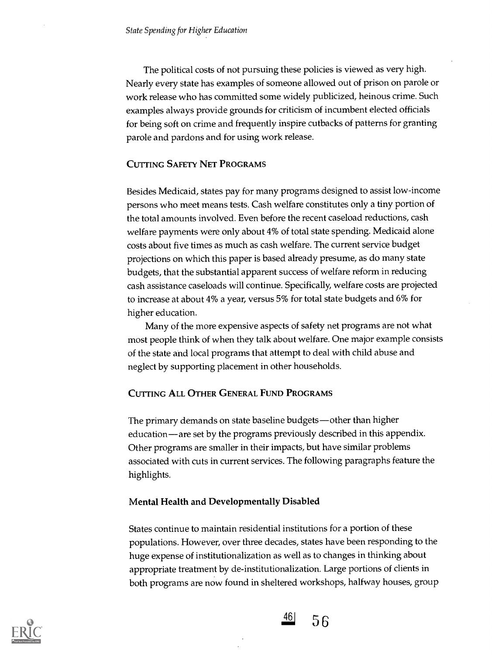The political costs of not pursuing these policies is viewed as very high. Nearly every state has examples of someone allowed out of prison on parole or work release who has committed some widely publicized, heinous crime. Such examples always provide grounds for criticism of incumbent elected officials for being soft on crime and frequently inspire cutbacks of patterns for granting parole and pardons and for using work release.

# CUTTING SAFETY NET PROGRAMS

Besides Medicaid, states pay for many programs designed to assist low-income persons who meet means tests. Cash welfare constitutes only a tiny portion of the total amounts involved. Even before the recent caseload reductions, cash welfare payments were only about 4% of total state spending. Medicaid alone costs about five times as much as cash welfare. The current service budget projections on which this paper is based already presume, as do many state budgets, that the substantial apparent success of welfare reform in reducing cash assistance caseloads will continue. Specifically, welfare costs are projected to increase at about 4% a year, versus 5% for total state budgets and 6% for higher education.

Many of the more expensive aspects of safety net programs are not what most people think of when they talk about welfare. One major example consists of the state and local programs that attempt to deal with child abuse and neglect by supporting placement in other households.

# CUTTING ALL OTHER GENERAL FUND PROGRAMS

The primary demands on state baseline budgets-other than higher education—are set by the programs previously described in this appendix. Other programs are smaller in their impacts, but have similar problems associated with cuts in current services. The following paragraphs feature the highlights.

#### Mental Health and Developmentally Disabled

States continue to maintain residential institutions for a portion of these populations. However, over three decades, states have been responding to the huge expense of institutionalization as well as to changes in thinking about appropriate treatment by de-institutionalization. Large portions of clients in both programs are now found in sheltered workshops, halfway houses, group



 $\frac{46}{56}$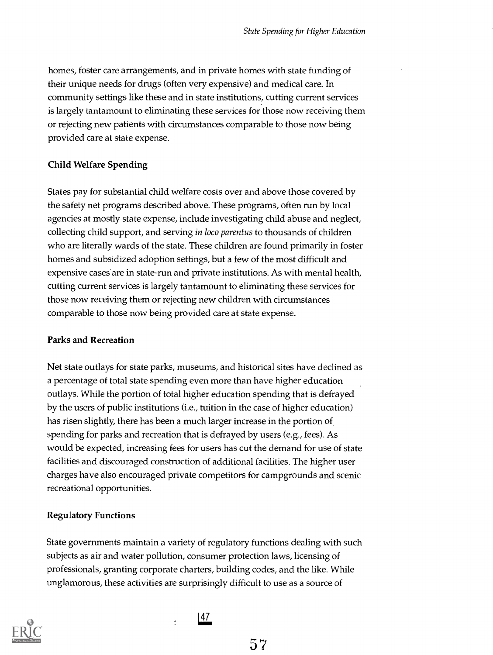homes, foster care arrangements, and in private homes with state funding of their unique needs for drugs (often very expensive) and medical care. In community settings like these and in state institutions, cutting current services is largely tantamount to eliminating these services for those now receiving them or rejecting new patients with circumstances comparable to those now being provided care at state expense.

# Child Welfare Spending

States pay for substantial child welfare costs over and above those covered by the safety net programs described above. These programs, often run by local agencies at mostly state expense, include investigating child abuse and neglect, collecting child support, and serving in loco parentus to thousands of children who are literally wards of the state. These children are found primarily in foster homes and subsidized adoption settings, but a few of the most difficult and expensive cases are in state-run and private institutions. As with mental health, cutting current services is largely tantamount to eliminating these services for those now receiving them or rejecting new children with circumstances comparable to those now being provided care at state expense.

# Parks and Recreation

Net state outlays for state parks, museums, and historical sites have declined as a percentage of total state spending even more than have higher education outlays. While the portion of total higher education spending that is defrayed by the users of public institutions (i.e., tuition in the case of higher education) has risen slightly, there has been a much larger increase in the portion of spending for parks and recreation that is defrayed by users (e.g., fees). As would be expected, increasing fees for users has cut the demand for use of state facilities and discouraged construction of additional facilities. The higher user charges have also encouraged private competitors for campgrounds and scenic recreational opportunities.

# Regulatory Functions

State governments maintain a variety of regulatory functions dealing with such subjects as air and water pollution, consumer protection laws, licensing of professionals, granting corporate charters, building codes, and the like. While unglamorous, these activities are surprisingly difficult to use as a source of

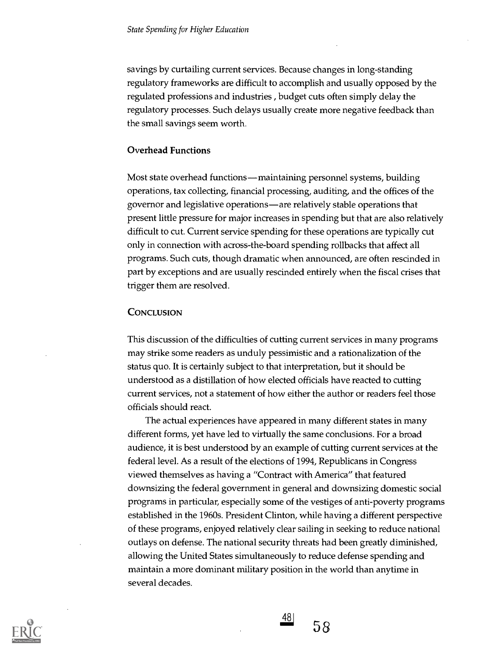savings by curtailing current services. Because changes in long-standing regulatory frameworks are difficult to accomplish and usually opposed by the regulated professions and industries , budget cuts often simply delay the regulatory processes. Such delays usually create more negative feedback than the small savings seem worth.

#### Overhead Functions

Most state overhead functions—maintaining personnel systems, building operations, tax collecting, financial processing, auditing, and the offices of the governor and legislative operations—are relatively stable operations that present little pressure for major increases in spending but that are also relatively difficult to cut. Current service spending for these operations are typically cut only in connection with across-the-board spending rollbacks that affect all programs. Such cuts, though dramatic when announced, are often rescinded in part by exceptions and are usually rescinded entirely when the fiscal crises that trigger them are resolved.

#### **CONCLUSION**

This discussion of the difficulties of cutting current services in many programs may strike some readers as unduly pessimistic and a rationalization of the status quo. It is certainly subject to that interpretation, but it should be understood as a distillation of how elected officials have reacted to cutting current services, not a statement of how either the author or readers feel those officials should react.

The actual experiences have appeared in many different states in many different forms, yet have led to virtually the same conclusions. For a broad audience, it is best understood by an example of cutting current services at the federal level. As a result of the elections of 1994, Republicans in Congress viewed themselves as having a "Contract with America" that featured downsizing the federal government in general and downsizing domestic social programs in particular, especially some of the vestiges of anti-poverty programs established in the 1960s. President Clinton, while having a different perspective of these programs, enjoyed relatively clear sailing in seeking to reduce national outlays on defense. The national security threats had been greatly diminished, allowing the United States simultaneously to reduce defense spending and maintain a more dominant military position in the world than anytime in several decades.



 $\frac{48}{58}$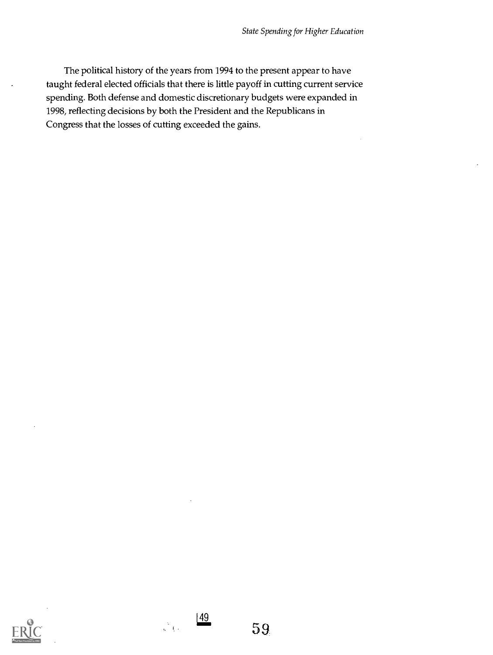The political history of the years from 1994 to the present appear to have taught federal elected officials that there is little payoff in cutting current service spending. Both defense and domestic discretionary budgets were expanded in 1998, reflecting decisions by both the President and the Republicans in Congress that the losses of cutting exceeded the gains.



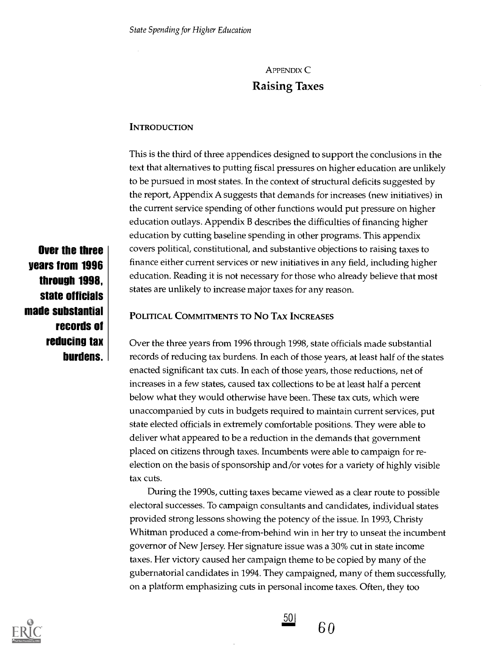# APPENDIX C Raising Taxes

# **INTRODUCTION**

This is the third of three appendices designed to support the conclusions in the text that alternatives to putting fiscal pressures on higher education are unlikely to be pursued in most states. In the context of structural deficits suggested by the report, Appendix A suggests that demands for increases (new initiatives) in the current service spending of other functions would put pressure on higher education outlays. Appendix B describes the difficulties of financing higher education by cutting baseline spending in other programs. This appendix covers political, constitutional, and substantive objections to raising taxes to finance either current services or new initiatives in any field, including higher education. Reading it is not necessary for those who already believe that most states are unlikely to increase major taxes for any reason.

Over the three years from 1996 through 1998, state officials made substantial records of reducing tax burdens.

# POLITICAL COMMITMENTS TO NO TAX INCREASES

Over the three years from 1996 through 1998, state officials made substantial records of reducing tax burdens. In each of those years, at least half of the states enacted significant tax cuts. In each of those years, those reductions, net of increases in a few states, caused tax collections to be at least half a percent below what they would otherwise have been. These tax cuts, which were unaccompanied by cuts in budgets required to maintain current services, put state elected officials in extremely comfortable positions. They were able to deliver what appeared to be a reduction in the demands that government placed on citizens through taxes. Incumbents were able to campaign for reelection on the basis of sponsorship and/or votes for a variety of highly visible tax cuts.

During the 1990s, cutting taxes became viewed as a clear route to possible electoral successes. To campaign consultants and candidates, individual states provided strong lessons showing the potency of the issue. In 1993, Christy Whitman produced a come-from-behind win in her try to unseat the incumbent governor of New Jersey. Her signature issue was a 30% cut in state income taxes. Her victory caused her campaign theme to be copied by many of the gubernatorial candidates in 1994. They campaigned, many of them successfully, on a platform emphasizing cuts in personal income taxes. Often, they too



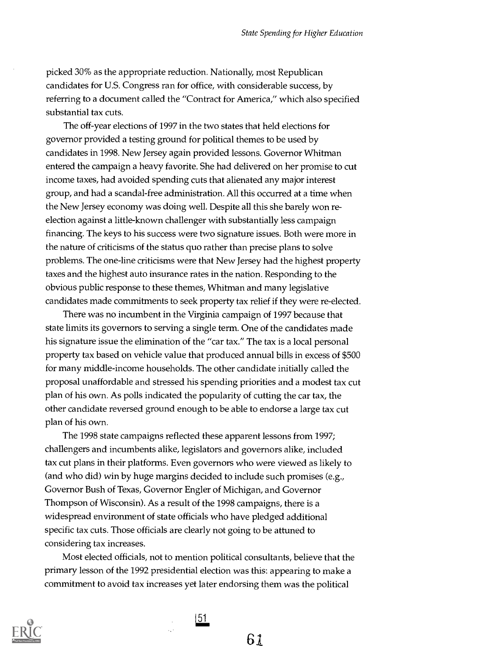picked 30% as the appropriate reduction. Nationally, most Republican candidates for U.S. Congress ran for office, with considerable success, by referring to a document called the "Contract for America," which also specified substantial tax cuts.

The off-year elections of 1997 in the two states that held elections for governor provided a testing ground for political themes to be used by candidates in 1998. New Jersey again provided lessons. Governor Whitman entered the campaign a heavy favorite. She had delivered on her promise to cut income taxes, had avoided spending cuts that alienated any major interest group, and had a scandal-free administration. All this occurred at a time when the New Jersey economy was doing well. Despite all this she barely won reelection against a little-known challenger with substantially less campaign financing. The keys to his success were two signature issues. Both were more in the nature of criticisms of the status quo rather than precise plans to solve problems. The one-line criticisms were that New Jersey had the highest property taxes and the highest auto insurance rates in the nation. Responding to the obvious public response to these themes, Whitman and many legislative candidates made commitments to seek property tax relief if they were re-elected.

There was no incumbent in the Virginia campaign of 1997 because that state limits its governors to serving a single term. One of the candidates made his signature issue the elimination of the "car tax." The tax is a local personal property tax based on vehicle value that produced annual bills in excess of \$500 for many middle-income households. The other candidate initially called the proposal unaffordable and stressed his spending priorities and a modest tax cut plan of his own. As polls indicated the popularity of cutting the car tax, the other candidate reversed ground enough to be able to endorse a large tax cut plan of his own.

The 1998 state campaigns reflected these apparent lessons from 1997; challengers and incumbents alike, legislators and governors alike, included tax cut plans in their platforms. Even governors who were viewed as likely to (and who did) win by huge margins decided to include such promises (e.g., Governor Bush of Texas, Governor Engler of Michigan, and Governor Thompson of Wisconsin). As a result of the 1998 campaigns, there is a widespread environment of state officials who have pledged additional specific tax cuts. Those officials are clearly not going to be attuned to considering tax increases.

Most elected officials, not to mention political consultants, believe that the primary lesson of the 1992 presidential election was this: appearing to make a commitment to avoid tax increases yet later endorsing them was the political



51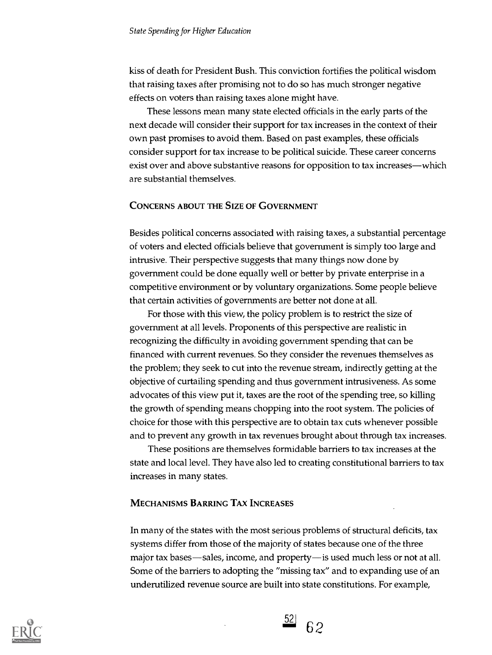kiss of death for President Bush. This conviction fortifies the political wisdom that raising taxes after promising not to do so has much stronger negative effects on voters than raising taxes alone might have.

These lessons mean many state elected officials in the early parts of the next decade will consider their support for tax increases in the context of their own past promises to avoid them. Based on past examples, these officials consider support for tax increase to be political suicide. These career concerns exist over and above substantive reasons for opposition to tax increases—which are substantial themselves.

#### CONCERNS ABOUT THE SIZE OF GOVERNMENT

Besides political concerns associated with raising taxes, a substantial percentage of voters and elected officials believe that government is simply too large and intrusive. Their perspective suggests that many things now done by government could be done equally well or better by private enterprise in a competitive environment or by voluntary organizations. Some people believe that certain activities of governments are better not done at all.

For those with this view, the policy problem is to restrict the size of government at all levels. Proponents of this perspective are realistic in recognizing the difficulty in avoiding government spending that can be financed with current revenues. So they consider the revenues themselves as the problem; they seek to cut into the revenue stream, indirectly getting at the objective of curtailing spending and thus government intrusiveness. As some advocates of this view put it, taxes are the root of the spending tree, so killing the growth of spending means chopping into the root system. The policies of choice for those with this perspective are to obtain tax cuts whenever possible and to prevent any growth in tax revenues brought about through tax increases.

These positions are themselves formidable barriers to tax increases at the state and local level. They have also led to creating constitutional barriers to tax increases in many states.

#### MECHANISMS BARRING TAX INCREASES

In many of the states with the most serious problems of structural deficits, tax systems differ from those of the majority of states because one of the three major tax bases—sales, income, and property—is used much less or not at all. Some of the barriers to adopting the "missing tax" and to expanding use of an underutilized revenue source are built into state constitutions. For example,



 $rac{52}{62}$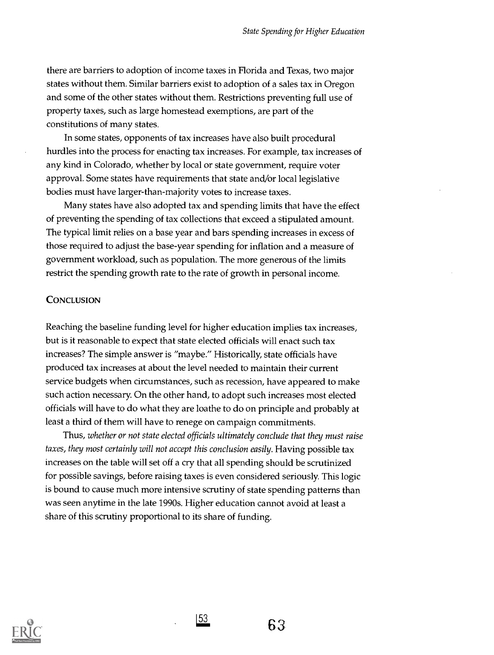there are barriers to adoption of income taxes in Florida and Texas, two major states without them. Similar barriers exist to adoption of a sales tax in Oregon and some of the other states without them. Restrictions preventing full use of property taxes, such as large homestead exemptions, are part of the constitutions of many states.

In some states, opponents of tax increases have also built procedural hurdles into the process for enacting tax increases. For example, tax increases of any kind in Colorado, whether by local or state government, require voter approval. Some states have requirements that state and/or local legislative bodies must have larger-than-majority votes to increase taxes.

Many states have also adopted tax and spending limits that have the effect of preventing the spending of tax collections that exceed a stipulated amount. The typical limit relies on a base year and bars spending increases in excess of those required to adjust the base-year spending for inflation and a measure of government workload, such as population. The more generous of the limits restrict the spending growth rate to the rate of growth in personal income.

#### **CONCLUSION**

Reaching the baseline funding level for higher education implies tax increases, but is it reasonable to expect that state elected officials will enact such tax increases? The simple answer is "maybe." Historically, state officials have produced tax increases at about the level needed to maintain their current service budgets when circumstances, such as recession, have appeared to make such action necessary. On the other hand, to adopt such increases most elected officials will have to do what they are loathe to do on principle and probably at least a third of them will have to renege on campaign commitments.

Thus, whether or not state elected officials ultimately conclude that they must raise taxes, they most certainly will not accept this conclusion easily. Having possible tax increases on the table will set off a cry that all spending should be scrutinized for possible savings, before raising taxes is even considered seriously. This logic is bound to cause much more intensive scrutiny of state spending patterns than was seen anytime in the late 1990s. Higher education cannot avoid at least a share of this scrutiny proportional to its share of funding.

|53

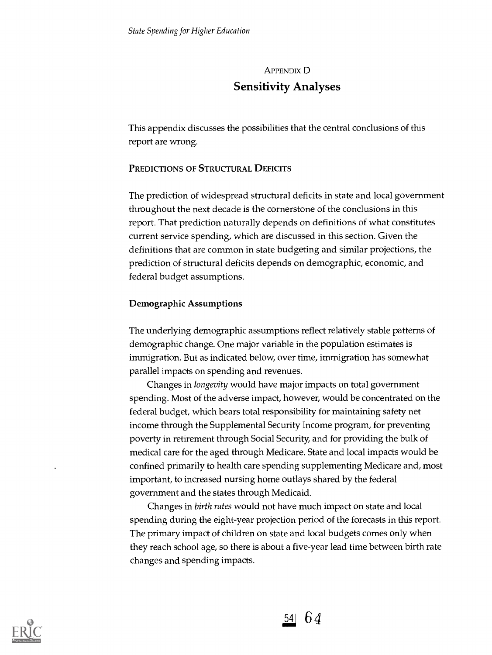# APPENDIX D Sensitivity Analyses

This appendix discusses the possibilities that the central conclusions of this report are wrong.

# PREDICTIONS OF STRUCTURAL DEFICITS

The prediction of widespread structural deficits in state and local government throughout the next decade is the cornerstone of the conclusions in this report. That prediction naturally depends on definitions of what constitutes current service spending, which are discussed in this section. Given the definitions that are common in state budgeting and similar projections, the prediction of structural deficits depends on demographic, economic, and federal budget assumptions.

#### Demographic Assumptions

The underlying demographic assumptions reflect relatively stable patterns of demographic change. One major variable in the population estimates is immigration. But as indicated below, over time, immigration has somewhat parallel impacts on spending and revenues.

Changes in longevity would have major impacts on total government spending. Most of the adverse impact, however, would be concentrated on the federal budget, which bears total responsibility for maintaining safety net income through the Supplemental Security Income program, for preventing poverty in retirement through Social Security, and for providing the bulk of medical care for the aged through Medicare. State and local impacts would be confined primarily to health care spending supplementing Medicare and, most important, to increased nursing home outlays shared by the federal government and the states through Medicaid.

Changes in birth rates would not have much impact on state and local spending during the eight-year projection period of the forecasts in this report. The primary impact of children on state and local budgets comes only when they reach school age, so there is about a five-year lead time between birth rate changes and spending impacts.



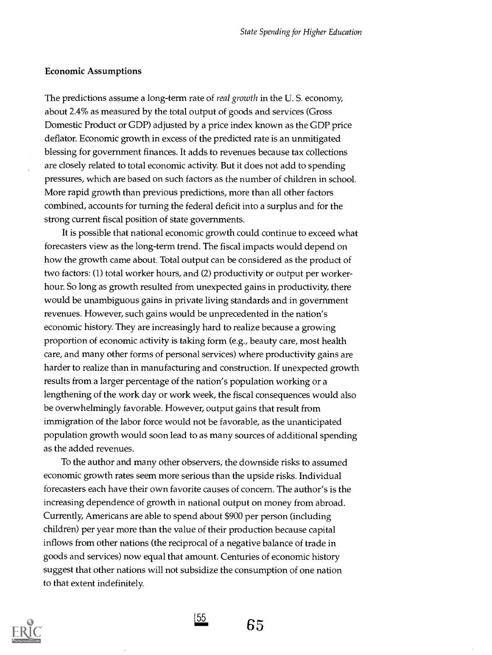#### Economic Assumptions

The predictions assume a long-term rate of *real growth* in the U.S. economy, about 2.4% as measured by the total output of goods and services (Gross Domestic Product or GDP) adjusted by a price index known as the GDP price deflator. Economic growth in excess of the predicted rate is an unmitigated blessing for government finances. It adds to revenues because tax collections are closely related to total economic activity. But it does not add to spending pressures, which are based on such factors as the number of children in school. More rapid growth than previous predictions, more than all other factors combined, accounts for turning the federal deficit into a surplus and for the strong current fiscal position of state governments.

It is possible that national economic growth could continue to exceed what forecasters view as the long-term trend. The fiscal impacts would depend on how the growth came about. Total output can be considered as the product of two factors: (1) total worker hours, and (2) productivity or output per workerhour. So long as growth resulted from unexpected gains in productivity, there would be unambiguous gains in private living standards and in government revenues. However, such gains would be unprecedented in the nation's economic history. They are increasingly hard to realize because a growing proportion of economic activity is taking form (e.g., beauty care, most health care, and many other forms of personal services) where productivity gains are harder to realize than in manufacturing and construction. If unexpected growth results from a larger percentage of the nation's population working or a lengthening of the work day or work week, the fiscal consequences would also be overwhelmingly favorable. However, output gains that result from immigration of the labor force would not be favorable, as the unanticipated population growth would soon lead to as many sources of additional spending as the added revenues.

To the author and many other observers, the downside risks to assumed economic growth rates seem more serious than the upside risks. Individual forecasters each have their own favorite causes of concern. The author's is the increasing dependence of growth in national output on money from abroad. Currently, Americans are able to spend about \$900 per person (including children) per year more than the value of their production because capital inflows from other nations (the reciprocal of a negative balance of trade in goods and services) now equal that amount. Centuries of economic history suggest that other nations will not subsidize the consumption of one nation to that extent indefinitely.



 $\frac{155}{65}$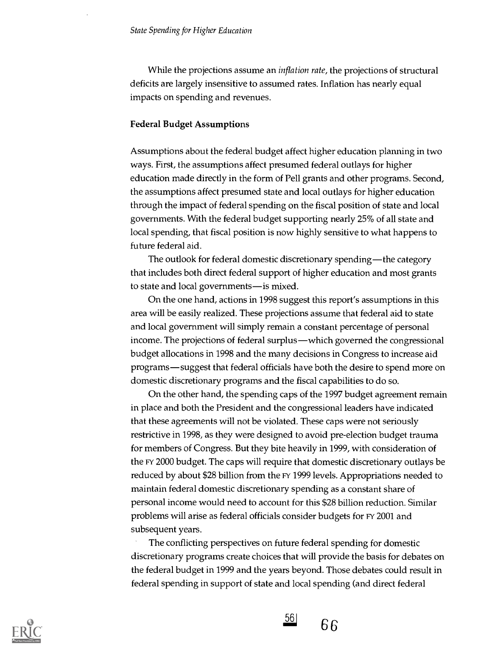While the projections assume an *inflation rate*, the projections of structural deficits are largely insensitive to assumed rates. Inflation has nearly equal impacts on spending and revenues.

#### Federal Budget Assumptions

Assumptions about the federal budget affect higher education planning in two ways. First, the assumptions affect presumed federal outlays for higher education made directly in the form of Pell grants and other programs. Second, the assumptions affect presumed state and local outlays for higher education through the impact of federal spending on the fiscal position of state and local governments. With the federal budget supporting nearly 25% of all state and local spending, that fiscal position is now highly sensitive to what happens to future federal aid.

The outlook for federal domestic discretionary spending—the category that includes both direct federal support of higher education and most grants to state and local governments—is mixed.

On the one hand, actions in 1998 suggest this report's assumptions in this area will be easily realized. These projections assume that federal aid to state and local government will simply remain a constant percentage of personal income. The projections of federal surplus—which governed the congressional budget allocations in 1998 and the many decisions in Congress to increase aid programs—suggest that federal officials have both the desire to spend more on domestic discretionary programs and the fiscal capabilities to do so.

On the other hand, the spending caps of the 1997 budget agreement remain in place and both the President and the congressional leaders have indicated that these agreements will not be violated. These caps were not seriously restrictive in 1998, as they were designed to avoid pre-election budget trauma for members of Congress. But they bite heavily in 1999, with consideration of the FY 2000 budget. The caps will require that domestic discretionary outlays be reduced by about \$28 billion from the FY 1999 levels. Appropriations needed to maintain federal domestic discretionary spending as a constant share of personal income would need to account for this \$28 billion reduction. Similar problems will arise as federal officials consider budgets for FY 2001 and subsequent years.

The conflicting perspectives on future federal spending for domestic discretionary programs create choices that will provide the basis for debates on the federal budget in 1999 and the years beyond. Those debates could result in federal spending in support of state and local spending (and direct federal



 $56$ 66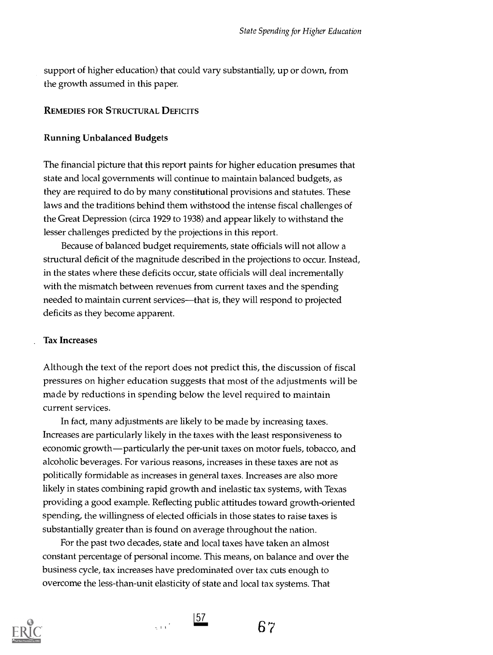support of higher education) that could vary substantially, up or down, from the growth assumed in this paper.

# REMEDIES FOR STRUCTURAL DEFICITS

#### Running Unbalanced Budgets

The financial picture that this report paints for higher education presumes that state and local governments will continue to maintain balanced budgets, as they are required to do by many constitutional provisions and statutes. These laws and the traditions behind them withstood the intense fiscal challenges of the Great Depression (circa 1929 to 1938) and appear likely to withstand the lesser challenges predicted by the projections in this report.

Because of balanced budget requirements, state officials will not allow a structural deficit of the magnitude described in the projections to occur. Instead, in the states where these deficits occur, state officials will deal incrementally with the mismatch between revenues from current taxes and the spending needed to maintain current services—that is, they will respond to projected deficits as they become apparent.

#### Tax Increases

Although the text of the report does not predict this, the discussion of fiscal pressures on higher education suggests that most of the adjustments will be made by reductions in spending below the level required to maintain current services.

In fact, many adjustments are likely to be made by increasing taxes. Increases are particularly likely in the taxes with the least responsiveness to economic growth—particularly the per-unit taxes on motor fuels, tobacco, and alcoholic beverages. For various reasons, increases in these taxes are not as politically formidable as increases in general taxes. Increases are also more likely in states combining rapid growth and inelastic tax systems, with Texas providing a good example. Reflecting public attitudes toward growth-oriented spending, the willingness of elected officials in those states to raise taxes is substantially greater than is found on average throughout the nation.

For the past two decades, state and local taxes have taken an almost constant percentage of personal income. This means, on balance and over the business cycle, tax increases have predominated over tax cuts enough to overcome the less-than-unit elasticity of state and local tax systems. That





67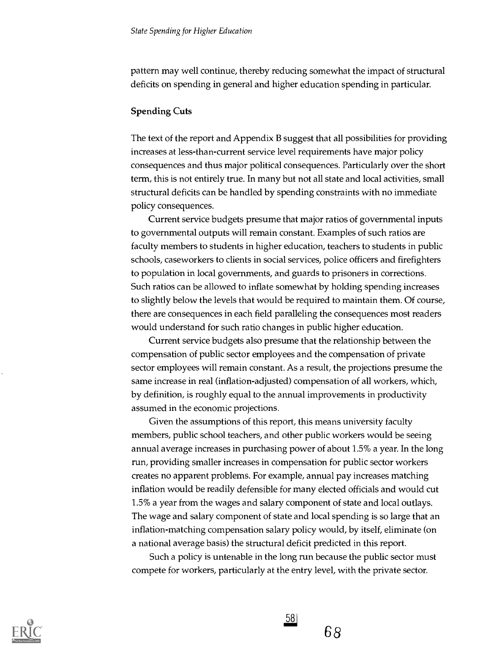pattern may well continue, thereby reducing somewhat the impact of structural deficits on spending in general and higher education spending in particular.

#### Spending Cuts

The text of the report and Appendix B suggest that all possibilities for providing increases at less-than-current service level requirements have major policy consequences and thus major political consequences. Particularly over the short term, this is not entirely true. In many but not all state and local activities, small structural deficits can be handled by spending constraints with no immediate policy consequences.

Current service budgets presume that major ratios of governmental inputs to governmental outputs will remain constant. Examples of such ratios are faculty members to students in higher education, teachers to students in public schools, caseworkers to clients in social services, police officers and firefighters to population in local governments, and guards to prisoners in corrections. Such ratios can be allowed to inflate somewhat by holding spending increases to slightly below the levels that would be required to maintain them. Of course, there are consequences in each field paralleling the consequences most readers would understand for such ratio changes in public higher education.

Current service budgets also presume that the relationship between the compensation of public sector employees and the compensation of private sector employees will remain constant. As a result, the projections presume the same increase in real (inflation-adjusted) compensation of all workers, which, by definition, is roughly equal to the annual improvements in productivity assumed in the economic projections.

Given the assumptions of this report, this means university faculty members, public school teachers, and other public workers would be seeing annual average increases in purchasing power of about 1.5% a year. In the long run, providing smaller increases in compensation for public sector workers creates no apparent problems. For example, annual pay increases matching inflation would be readily defensible for many elected officials and would cut 1.5% a year from the wages and salary component of state and local outlays. The wage and salary component of state and local spending is so large that an inflation-matching compensation salary policy would, by itself, eliminate (on a national average basis) the structural deficit predicted in this report.

Such a policy is untenable in the long run because the public sector must compete for workers, particularly at the entry level, with the private sector.

<u>58</u>

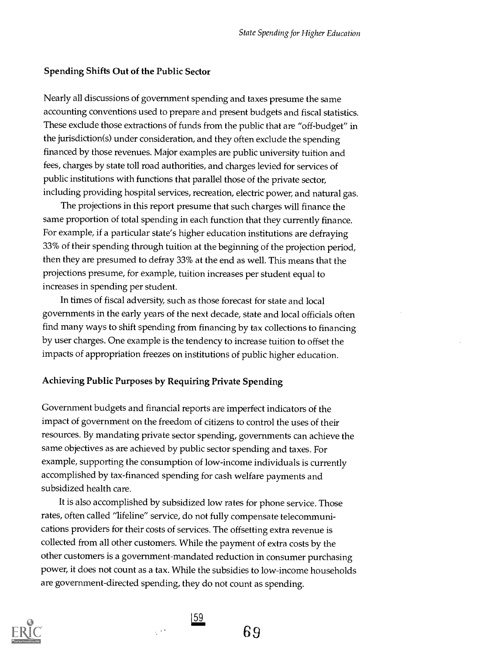#### Spending Shifts Out of the Public Sector

Nearly all discussions of government spending and taxes presume the same accounting conventions used to prepare and present budgets and fiscal statistics. These exclude those extractions of funds from the public that are "off-budget" in the jurisdiction(s) under consideration, and they often exclude the spending financed by those revenues. Major examples are public university tuition and fees, charges by state toll road authorities, and charges levied for services of public institutions with functions that parallel those of the private sector, including providing hospital services, recreation, electric power, and natural gas.

The projections in this report presume that such charges will finance the same proportion of total spending in each function that they currently finance. For example, if a particular state's higher education institutions are defraying 33% of their spending through tuition at the beginning of the projection period, then they are presumed to defray 33% at the end as well. This means that the projections presume, for example, tuition increases per student equal to increases in spending per student.

In times of fiscal adversity, such as those forecast for state and local governments in the early years of the next decade, state and local officials often find many ways to shift spending from financing by tax collections to financing by user charges. One example is the tendency to increase tuition to offset the impacts of appropriation freezes on institutions of public higher education.

#### Achieving Public Purposes by Requiring Private Spending

Government budgets and financial reports are imperfect indicators of the impact of government on the freedom of citizens to control the uses of their resources. By mandating private sector spending, governments can achieve the same objectives as are achieved by public sector spending and taxes. For example, supporting the consumption of low-income individuals is currently accomplished by tax-financed spending for cash welfare payments and subsidized health care.

It is also accomplished by subsidized low rates for phone service. Those rates, often called "lifeline" service, do not fully compensate telecommunications providers for their costs of services. The offsetting extra revenue is collected from all other customers. While the payment of extra costs by the other customers is a government-mandated reduction in consumer purchasing power, it does not count as a tax. While the subsidies to low-income households are government-directed spending, they do not count as spending.



 $\frac{159}{200}$ 

 $\frac{1}{2}$  ,  $\frac{1}{2}$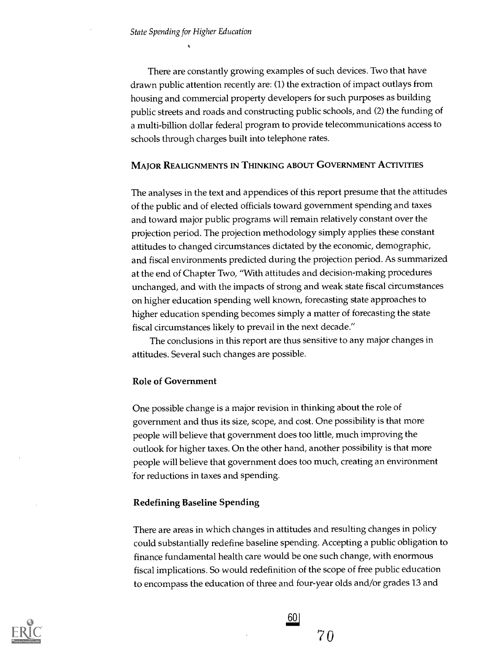There are constantly growing examples of such devices. Two that have drawn public attention recently are: (1) the extraction of impact outlays from housing and commercial property developers for such purposes as building public streets and roads and constructing public schools, and (2) the funding of a multi-billion dollar federal program to provide telecommunications access to schools through charges built into telephone rates.

#### MAJOR REALIGNMENTS IN THINKING ABOUT GOVERNMENT ACTIVITIES

The analyses in the text and appendices of this report presume that the attitudes of the public and of elected officials toward government spending and taxes and toward major public programs will remain relatively constant over the projection period. The projection methodology simply applies these constant attitudes to changed circumstances dictated by the economic, demographic, and fiscal environments predicted during the projection period. As summarized at the end of Chapter Two, "With attitudes and decision-making procedures unchanged, and with the impacts of strong and weak state fiscal circumstances on higher education spending well known, forecasting state approaches to higher education spending becomes simply a matter of forecasting the state fiscal circumstances likely to prevail in the next decade."

The conclusions in this report are thus sensitive to any major changes in attitudes. Several such changes are possible.

#### Role of Government

One possible change is a major revision in thinking about the role of government and thus its size, scope, and cost. One possibility is that more people will believe that government does too little, much improving the outlook for higher taxes. On the other hand, another possibility is that more people will believe that government does too much, creating an environment for reductions in taxes and spending.

#### Redefining Baseline Spending

There are areas in which changes in attitudes and resulting changes in policy could substantially redefine baseline spending. Accepting a public obligation to finance fundamental health care would be one such change, with enormous fiscal implications. So would redefinition of the scope of free public education to encompass the education of three and four-year olds and/or grades 13 and



 $\frac{60}{70}$  $70$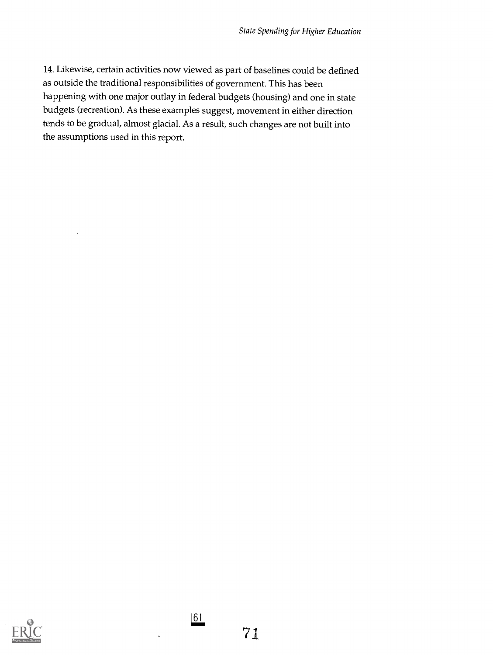14. Likewise, certain activities now viewed as part of baselines could be defined as outside the traditional responsibilities of government. This has been happening with one major outlay in federal budgets (housing) and one in state budgets (recreation). As these examples suggest, movement in either direction tends to be gradual, almost glacial. As a result, such changes are not built into the assumptions used in this report.



 $\underline{61}$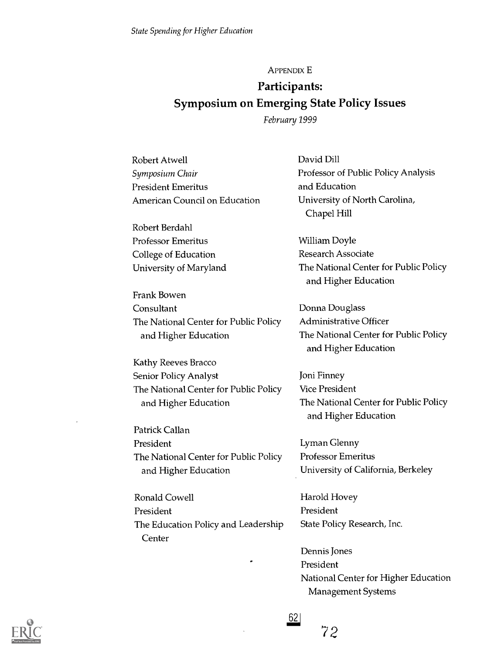APPENDIX E

# Participants: Symposium on Emerging State Policy Issues

February 1999

| Robert Atwell                         | David Dill                                                    |
|---------------------------------------|---------------------------------------------------------------|
| Symposium Chair                       | Professor of Public Policy Analysis                           |
| <b>President Emeritus</b>             | and Education                                                 |
| American Council on Education         | University of North Carolina,<br>Chapel Hill                  |
| Robert Berdahl                        |                                                               |
| <b>Professor Emeritus</b>             | William Doyle                                                 |
| College of Education                  | <b>Research Associate</b>                                     |
| University of Maryland                | The National Center for Public Policy                         |
|                                       | and Higher Education                                          |
| Frank Bowen                           |                                                               |
| Consultant                            | Donna Douglass                                                |
| The National Center for Public Policy | <b>Administrative Officer</b>                                 |
| and Higher Education                  | The National Center for Public Policy                         |
|                                       | and Higher Education                                          |
| Kathy Reeves Bracco                   |                                                               |
| Senior Policy Analyst                 | Joni Finney                                                   |
| The National Center for Public Policy | <b>Vice President</b>                                         |
| and Higher Education                  | The National Center for Public Policy<br>and Higher Education |
| Patrick Callan                        |                                                               |
| President                             | Lyman Glenny                                                  |
| The National Center for Public Policy | <b>Professor Emeritus</b>                                     |
| and Higher Education                  | University of California, Berkeley                            |
|                                       |                                                               |
| <b>Ronald Cowell</b>                  | Harold Hovey                                                  |
| President                             | President                                                     |
| The Education Policy and Leadership   | State Policy Research, Inc.                                   |
| Center                                |                                                               |
|                                       | Dennis Jones                                                  |
|                                       | President                                                     |
|                                       | National Center for Higher Education                          |
|                                       | Management Systems                                            |



 $62$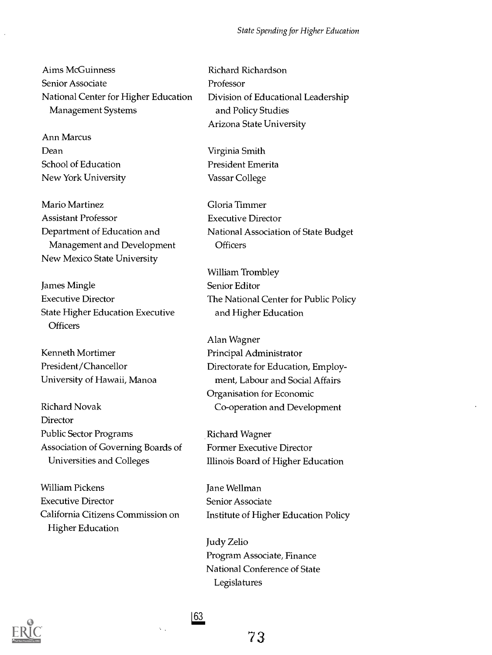#### State Spending for Higher Education

Aims McGuinness Senior Associate National Center for Higher Education Management Systems

Ann Marcus Dean School of Education New York University

Mario Martinez Assistant Professor Department of Education and Management and Development New Mexico State University

James Mingle Executive Director State Higher Education Executive **Officers** 

Kenneth Mortimer President /Chancellor University of Hawaii, Manoa

Richard Novak **Director** Public Sector Programs Association of Governing Boards of Universities and Colleges

William Pickens Executive Director California Citizens Commission on Higher Education

Richard Richardson Professor Division of Educational Leadership and Policy Studies Arizona State University

Virginia Smith President Emerita Vassar College

Gloria Timmer Executive Director National Association of State Budget **Officers** 

William Trombley Senior Editor The National Center for Public Policy and Higher Education

Alan Wagner Principal Administrator Directorate for Education, Employment, Labour and Social Affairs Organisation for Economic Co-operation and Development

Richard Wagner Former Executive Director Illinois Board of Higher Education

Jane Wellman Senior Associate Institute of Higher Education Policy

Judy Zelio Program Associate, Finance National Conference of State Legislatures



163

 $\mathbf{v}_{\mathrm{in}}$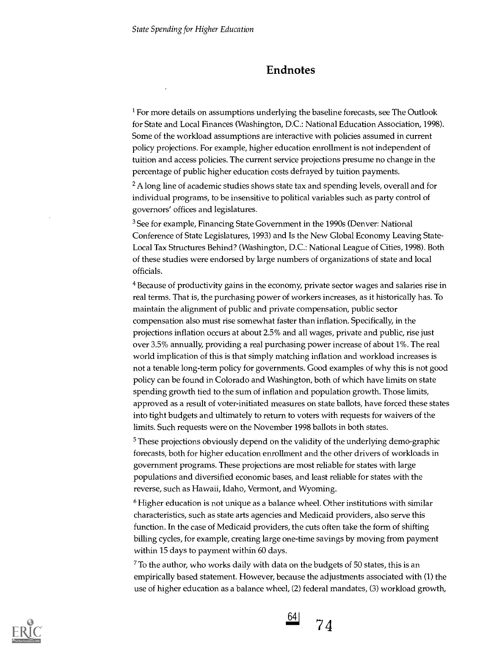### Endnotes

<sup>1</sup> For more details on assumptions underlying the baseline forecasts, see The Outlook for State and Local Finances (Washington, D.C.: National Education Association, 1998). Some of the workload assumptions are interactive with policies assumed in current policy projections. For example, higher education enrollment is not independent of tuition and access policies. The current service projections presume no change in the percentage of public higher education costs defrayed by tuition payments.

 $<sup>2</sup>$  A long line of academic studies shows state tax and spending levels, overall and for</sup> individual programs, to be insensitive to political variables such as party control of governors' offices and legislatures.

3 See for example, Financing State Government in the 1990s (Denver: National Conference of State Legislatures, 1993) and Is the New Global Economy Leaving State-Local Tax Structures Behind? (Washington, D.C.: National League of Cities, 1998). Both of these studies were endorsed by large numbers of organizations of state and local officials.

<sup>4</sup> Because of productivity gains in the economy, private sector wages and salaries rise in real terms. That is, the purchasing power of workers increases, as it historically has. To maintain the alignment of public and private compensation, public sector compensation also must rise somewhat faster than inflation. Specifically, in the projections inflation occurs at about 2.5% and all wages, private and public, rise just over 3.5% annually, providing a real purchasing power increase of about 1%. The real world implication of this is that simply matching inflation and workload increases is not a tenable long-term policy for governments. Good examples of why this is not good policy can be found in Colorado and Washington, both of which have limits on state spending growth tied to the sum of inflation and population growth. Those limits, approved as a result of voter-initiated measures on state ballots, have forced these states into tight budgets and ultimately to return to voters with requests for waivers of the limits. Such requests were on the November 1998 ballots in both states.

 $<sup>5</sup>$  These projections obviously depend on the validity of the underlying demo-graphic</sup> forecasts, both for higher education enrollment and the other drivers of workloads in government programs. These projections are most reliable for states with large populations and diversified economic bases, and least reliable for states with the reverse, such as Hawaii, Idaho, Vermont, and Wyoming.

6 Higher education is not unique as a balance wheel. Other institutions with similar characteristics, such as state arts agencies and Medicaid providers, also serve this function. In the case of Medicaid providers, the cuts often take the form of shifting billing cycles, for example, creating large one-time savings by moving from payment within 15 days to payment within 60 days.

 $7$  To the author, who works daily with data on the budgets of 50 states, this is an empirically based statement. However, because the adjustments associated with (1) the use of higher education as a balance wheel, (2) federal mandates, (3) workload growth,



 $64$ 7 4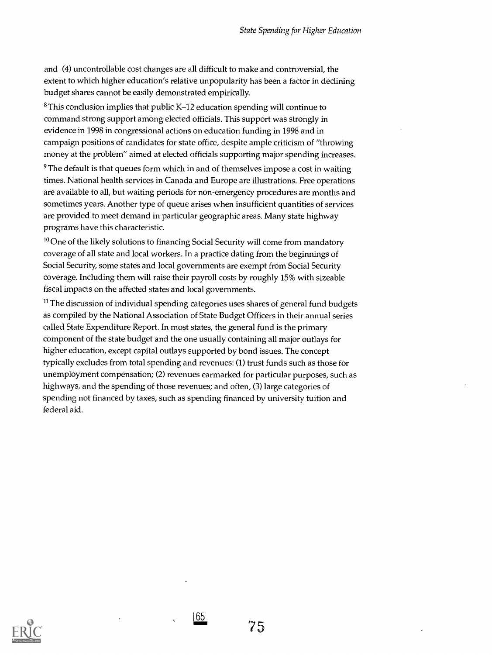and (4) uncontrollable cost changes are all difficult to make and controversial, the extent to which higher education's relative unpopularity has been a factor in declining budget shares cannot be easily demonstrated empirically.

8 This conclusion implies that public K-12 education spending will continue to command strong support among elected officials. This support was strongly in evidence in 1998 in congressional actions on education funding in 1998 and in campaign positions of candidates for state office, despite ample criticism of "throwing money at the problem" aimed at elected officials supporting major spending increases.

<sup>9</sup> The default is that queues form which in and of themselves impose a cost in waiting times. National health services in Canada and Europe are illustrations. Free operations are available to all, but waiting periods for non-emergency procedures are months and sometimes years. Another type of queue arises when insufficient quantities of services are provided to meet demand in particular geographic areas. Many state highway programs have this characteristic.

 $10$  One of the likely solutions to financing Social Security will come from mandatory coverage of all state and local workers. In a practice dating from the beginnings of Social Security, some states and local governments are exempt from Social Security coverage. Including them will raise their payroll costs by roughly 15% with sizeable fiscal impacts on the affected states and local governments.

 $11$  The discussion of individual spending categories uses shares of general fund budgets as compiled by the National Association of State Budget Officers in their annual series called State Expenditure Report. In most states, the general fund is the primary component of the state budget and the one usually containing all major outlays for higher education, except capital outlays supported by bond issues. The concept typically excludes from total spending and revenues: (1) trust funds such as those for unemployment compensation; (2) revenues earmarked for particular purposes, such as highways, and the spending of those revenues; and often, (3) large categories of spending not financed by taxes, such as spending financed by university tuition and federal aid.

165

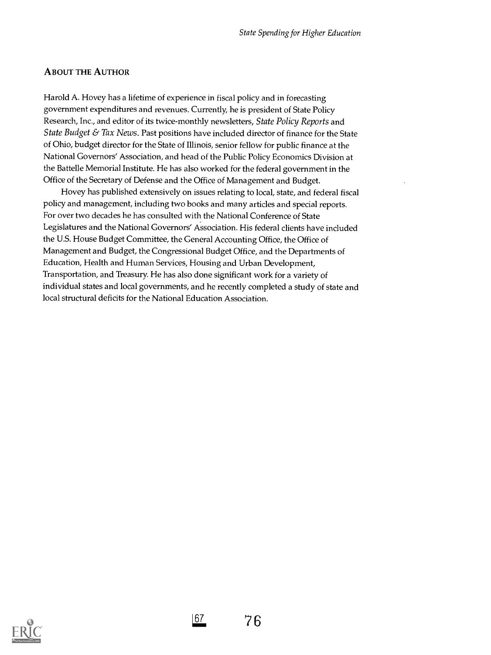### ABOUT THE AUTHOR

Harold A. Hovey has a lifetime of experience in fiscal policy and in forecasting government expenditures and revenues. Currently, he is president of State Policy Research, Inc., and editor of its twice-monthly newsletters, State Policy Reports and State Budget  $\&$  Tax News. Past positions have included director of finance for the State of Ohio, budget director for the State of Illinois, senior fellow for public finance at the National Governors' Association, and head of the Public Policy Economics Division at the Battelle Memorial Institute. He has also worked for the federal government in the Office of the Secretary of Defense and the Office of Management and Budget.

Hovey has published extensively on issues relating to local, state, and federal fiscal policy and management, including two books and many articles and special reports. For over two decades he has consulted with the National Conference of State Legislatures and the National Governors' Association. His federal clients have included the U.S. House Budget Committee, the General Accounting Office, the Office of Management and Budget, the Congressional Budget Office, and the Departments of Education, Health and Human Services, Housing and Urban Development, Transportation, and Treasury. He has also done significant work for a variety of individual states and local governments, and he recently completed a study of state and local structural deficits for the National Education Association.



167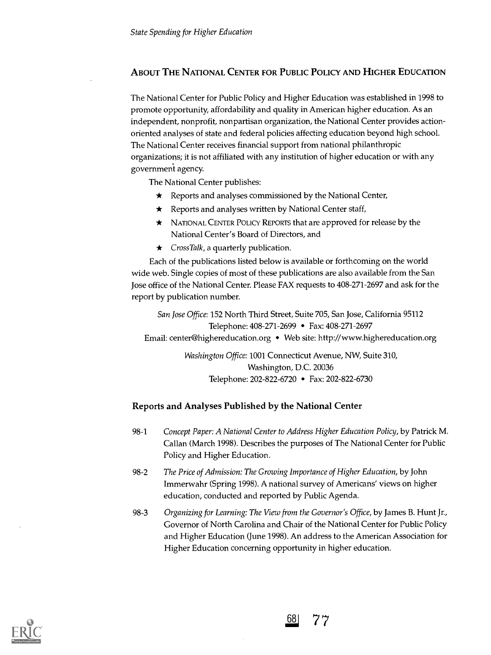### ABOUT THE NATIONAL CENTER FOR PUBLIC POLICY AND HIGHER EDUCATION

The National Center for Public Policy and Higher Education was established in 1998 to promote opportunity, affordability and quality in American higher education. As an independent, nonprofit, nonpartisan organization, the National Center provides actionoriented analyses of state and federal policies affecting education beyond high school. The National Center receives financial support from national philanthropic organizations; it is not affiliated with any institution of higher education or with any government agency.

The National Center publishes:

- $\star$  Reports and analyses commissioned by the National Center,
- $\star$  Reports and analyses written by National Center staff,
- \* NATIONAL CENTER POLICY REPORTS that are approved for release by the National Center's Board of Directors, and
- $\star$  CrossTalk, a quarterly publication.

Each of the publications listed below is available or forthcoming on the world wide web. Single copies of most of these publications are also available from the San Jose office of the National Center. Please FAX requests to 408-271-2697 and ask for the report by publication number.

San Jose Office: 152 North Third Street, Suite 705, San Jose, California 95112 Telephone: 408-271-2699 • Fax: 408-271-2697 Email: center@highereducation.org • Web site: http://www.highereducation.org

> Washington Office: 1001 Connecticut Avenue, NW, Suite 310, Washington, D.C. 20036 Telephone: 202-822-6720 • Fax: 202-822-6730

### Reports and Analyses Published by the National Center

- 98-1 Concept Paper: A National Center to Address Higher Education Policy, by Patrick M. Callan (March 1998). Describes the purposes of The National Center for Public Policy and Higher Education.
- 98-2 The Price of Admission: The Growing Importance of Higher Education, by John Immerwahr (Spring 1998). A national survey of Americans' views on higher education, conducted and reported by Public Agenda.
- 98-3 Organizing for Learning: The View from the Governor's Office, by James B. Hunt Jr., Governor of North Carolina and Chair of the National Center for Public Policy and Higher Education (June 1998). An address to the American Association for Higher Education concerning opportunity in higher education.



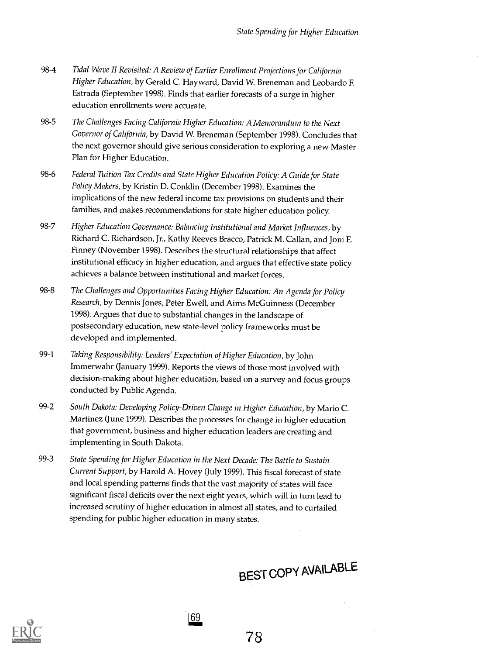- 98-4 Tidal Wave II Revisited: A Review of Earlier Enrollment Projections for California Higher Education, by Gerald C. Hayward, David W. Breneman and Leobardo E Estrada (September 1998). Finds that earlier forecasts of a surge in higher education enrollments were accurate.
- 98-5 The Challenges Facing California Higher Education: A Memorandum to the Next Governor of California, by David W. Breneman (September 1998). Concludes that the next governor should give serious consideration to exploring a new Master Plan for Higher Education.
- 98-6 Federal Tuition Tax Credits and State Higher Education Policy: A Guide for State Policy Makers, by Kristin D. Conklin (December 1998). Examines the implications of the new federal income tax provisions on students and their families, and makes recommendations for state higher education policy.
- 98-7 Higher Education Governance: Balancing Institutional and Market Influences, by Richard C. Richardson, Jr., Kathy Reeves Bracco, Patrick M. Callan, and Joni E. Finney (November 1998). Describes the structural relationships that affect institutional efficacy in higher education, and argues that effective state policy achieves a balance between institutional and market forces.
- 98-8 The Challenges and Opportunities Facing Higher Education: An Agenda for Policy Research, by Dennis Jones, Peter Ewell, and Aims McGuinness (December 1998). Argues that due to substantial changes in the landscape of postsecondary education, new state-level policy frameworks must be developed and implemented.
- 99-1 Taking Responsibility: Leaders' Expectation of Higher Education, by John Immerwahr (January 1999). Reports the views of those most involved with decision-making about higher education, based on a survey and focus groups conducted by Public Agenda.
- 99-2 South Dakota: Developing Policy-Driven Change in Higher Education, by Mario C. Martinez (June 1999). Describes the processes for change in higher education that government, business and higher education leaders are creating and implementing in South Dakota.
- 99-3 State Spending for Higher Education in the Next Decade: The Battle to Sustain Current Support, by Harold A. Hovey (July 1999). This fiscal forecast of state and local spending patterns finds that the vast majority of states will face significant fiscal deficits over the next eight years, which will in turn lead to increased scrutiny of higher education in almost all states, and to curtailed spending for public higher education in many states.

|69

# BEST copy AVAILABLE



78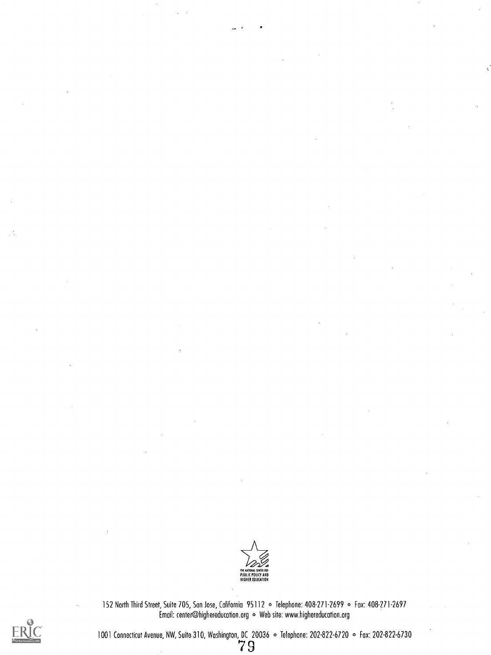

152 North Third Street, Suite 705, Son Jose, California 95112 0 Telephone: 408-271-2699 o Fax: 408-271-2697 Email: center@highereducation.org . Web site: www.highereducation.org



1001 Connecticut Avenue, NW, Suite-310, Washington, DC 20036  $\,\circ\,$  Telephone: 202-822-6720  $\,\circ\,$  Fax: 202-822-6730  $\,$   $\,7$   $9$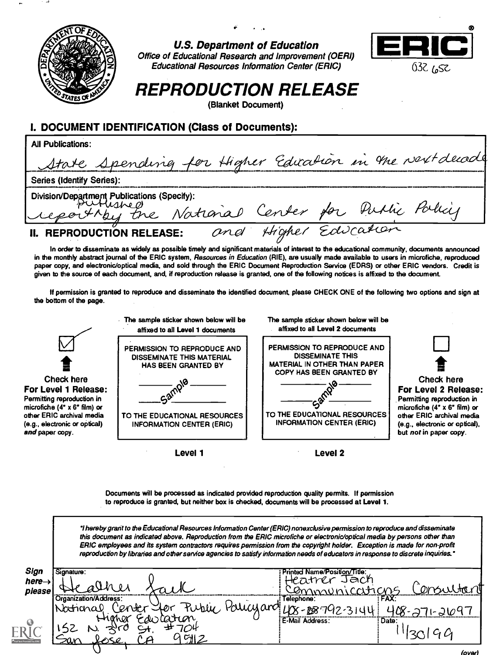

U.S. Department of Education Office of Educational Research and Improvement (OERI) Educational Resources Information Center (ERIC)



## REPRODUCTION RELEASE

(Blanket Document)

### I. DOCUMENT IDENTIFICATION (Class of Documents):

| <b>All Publications:</b>                                                                       |  |
|------------------------------------------------------------------------------------------------|--|
| State Spending for Higher Edication in the next decade                                         |  |
| <b>Series (Identify Series):</b>                                                               |  |
| Division Department Publications (Specity):<br>Ceporthey the National Center for Puttic Policy |  |
| Higher Education<br>and<br>II. REPRODUCTION RELEASE:                                           |  |

In order to disseminate as widely as possible timely and significant materials of interest to the educational community, documents announced in the monthly abstract journal of the ERIC system, Resources in Education (RIE), are usually made available to users in microfiche, reproduced paper copy, and electronic/optical media, and sold through the ERIC Document Reproduction Service (EDRS) or other ERIC vendors. Credit is given to the source of each document, and, if reproduction release is granted, one of the following notices is affixed to the document.

If permission is granted to reproduce and disseminate the identified document, please CHECK ONE of the following two options and sign at the bottom of the page.



Documents will be processed as indicated provided reproduction quality permits. If permission to reproduce is granted, but neither box is checked, documents will be processed at Level 1.

hereby grant to the Educational Resources Information Center (ERIC) nonexclusive permission to reproduce and disseminate this document as indicated above. Reproduction from the ERIC microfiche or electronic/optical media by persons other than ERIC employees and its system contractors requires permission from the copyright holder. Exception is made for non-profit reproduction by libraries and other service agencies to satisfy information needs of educators in response to discrete inquiries."

| Sign                    | Signature:                                            | Printed Name/Position/Title: |
|-------------------------|-------------------------------------------------------|------------------------------|
| $here \rightarrow$      |                                                       | Jach<br>$\pi$ tv $\gamma$ r  |
| please                  |                                                       |                              |
|                         | l'Organization/Address:                               | Telephone:<br>:FAX:          |
|                         | auaj<br>.aro<br>ver<br>'ON<br>Kurtu<br>D١<br>National |                              |
| Θ                       | discation<br>Hoher                                    | E-Mail Address:<br>: Date:   |
|                         | ייבי                                                  |                              |
| ull Text Provided by ER | CH <sub>1</sub><br><u>LOSl</u><br><u>sar</u>          |                              |
|                         |                                                       | (over)                       |